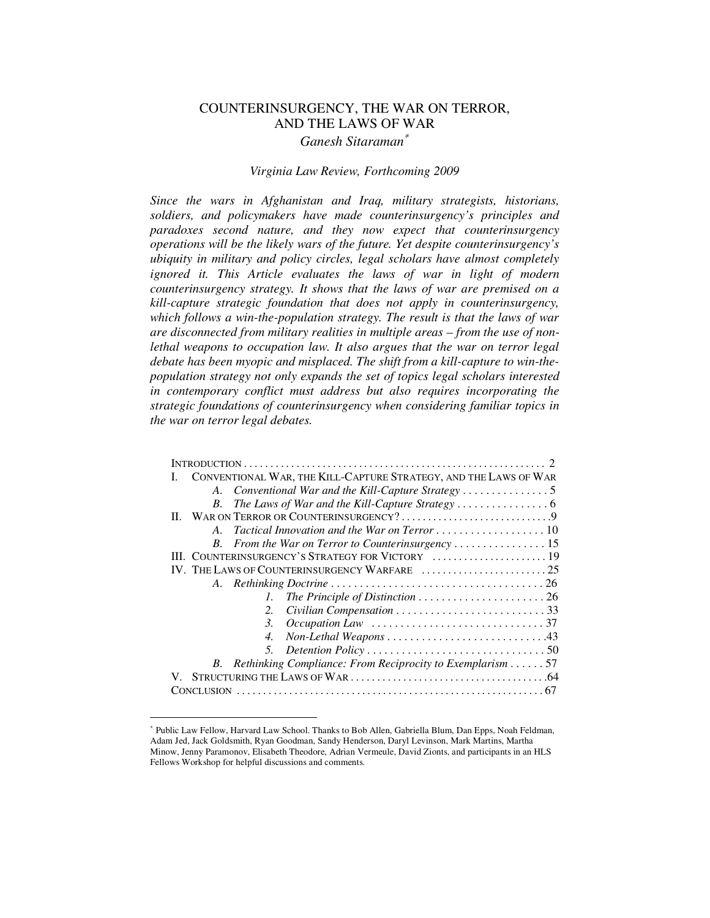# COUNTERINSURGENCY, THE WAR ON TERROR, AND THE LAWS OF WAR *Ganesh Sitaraman*<sup>∗</sup>

## *Virginia Law Review, Forthcoming 2009*

*Since the wars in Afghanistan and Iraq, military strategists, historians, soldiers, and policymakers have made counterinsurgency's principles and paradoxes second nature, and they now expect that counterinsurgency operations will be the likely wars of the future. Yet despite counterinsurgency's ubiquity in military and policy circles, legal scholars have almost completely ignored it. This Article evaluates the laws of war in light of modern counterinsurgency strategy. It shows that the laws of war are premised on a kill-capture strategic foundation that does not apply in counterinsurgency,*  which follows a win-the-population strategy. The result is that the laws of war *are disconnected from military realities in multiple areas – from the use of nonlethal weapons to occupation law. It also argues that the war on terror legal debate has been myopic and misplaced. The shift from a kill-capture to win-thepopulation strategy not only expands the set of topics legal scholars interested in contemporary conflict must address but also requires incorporating the strategic foundations of counterinsurgency when considering familiar topics in the war on terror legal debates.* 

| CONVENTIONAL WAR, THE KILL-CAPTURE STRATEGY, AND THE LAWS OF WAR         |
|--------------------------------------------------------------------------|
|                                                                          |
| $B_{\cdot}$                                                              |
|                                                                          |
| A.                                                                       |
| From the War on Terror to Counterinsurgency  15<br>$R_{\cdot}$           |
| III. COUNTERINSURGENCY'S STRATEGY FOR VICTORY  19                        |
|                                                                          |
|                                                                          |
|                                                                          |
| 2.                                                                       |
| 3.                                                                       |
| 4.                                                                       |
|                                                                          |
| Rethinking Compliance: From Reciprocity to Exemplarism 57<br>$B_{\cdot}$ |
|                                                                          |
|                                                                          |

<sup>∗</sup> Public Law Fellow, Harvard Law School. Thanks to Bob Allen, Gabriella Blum, Dan Epps, Noah Feldman, Adam Jed, Jack Goldsmith, Ryan Goodman, Sandy Henderson, Daryl Levinson, Mark Martins, Martha Minow, Jenny Paramonov, Elisabeth Theodore, Adrian Vermeule, David Zionts, and participants in an HLS Fellows Workshop for helpful discussions and comments.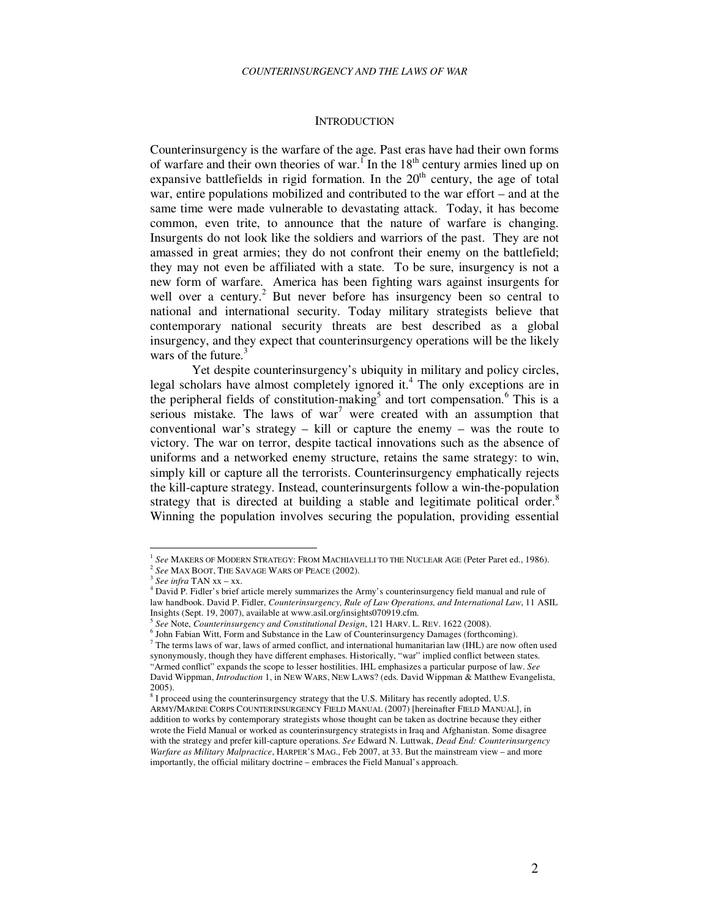### **INTRODUCTION**

Counterinsurgency is the warfare of the age. Past eras have had their own forms of warfare and their own theories of war.<sup>1</sup> In the  $18<sup>th</sup>$  century armies lined up on expansive battlefields in rigid formation. In the  $20<sup>th</sup>$  century, the age of total war, entire populations mobilized and contributed to the war effort – and at the same time were made vulnerable to devastating attack. Today, it has become common, even trite, to announce that the nature of warfare is changing. Insurgents do not look like the soldiers and warriors of the past. They are not amassed in great armies; they do not confront their enemy on the battlefield; they may not even be affiliated with a state. To be sure, insurgency is not a new form of warfare. America has been fighting wars against insurgents for well over a century.<sup>2</sup> But never before has insurgency been so central to national and international security. Today military strategists believe that contemporary national security threats are best described as a global insurgency, and they expect that counterinsurgency operations will be the likely wars of the future. $3$ 

Yet despite counterinsurgency's ubiquity in military and policy circles, legal scholars have almost completely ignored it.<sup>4</sup> The only exceptions are in the peripheral fields of constitution-making<sup>5</sup> and tort compensation.<sup>6</sup> This is a serious mistake. The laws of war<sup>7</sup> were created with an assumption that conventional war's strategy – kill or capture the enemy – was the route to victory. The war on terror, despite tactical innovations such as the absence of uniforms and a networked enemy structure, retains the same strategy: to win, simply kill or capture all the terrorists. Counterinsurgency emphatically rejects the kill-capture strategy. Instead, counterinsurgents follow a win-the-population strategy that is directed at building a stable and legitimate political order.<sup>8</sup> Winning the population involves securing the population, providing essential

<sup>1</sup> *See* MAKERS OF MODERN STRATEGY: FROM MACHIAVELLI TO THE NUCLEAR AGE (Peter Paret ed., 1986).

<sup>2</sup> *See* MAX BOOT, THE SAVAGE WARS OF PEACE (2002).

<sup>3</sup> *See infra* TAN xx – xx.

<sup>4</sup> David P. Fidler's brief article merely summarizes the Army's counterinsurgency field manual and rule of law handbook. David P. Fidler, *Counterinsurgency, Rule of Law Operations, and International Law*, 11 ASIL Insights (Sept. 19, 2007), available at www.asil.org/insights070919.cfm.

<sup>5</sup> *See* Note, *Counterinsurgency and Constitutional Design*, 121 HARV. L. REV. 1622 (2008).

<sup>&</sup>lt;sup>6</sup> John Fabian Witt, Form and Substance in the Law of Counterinsurgency Damages (forthcoming). 7 The terms laws of war, laws of armed conflict, and international humanitarian law (IHL) are now often used synonymously, though they have different emphases. Historically, "war" implied conflict between states. "Armed conflict" expands the scope to lesser hostilities. IHL emphasizes a particular purpose of law. *See* David Wippman, *Introduction* 1, in NEW WARS, NEW LAWS? (eds. David Wippman & Matthew Evangelista, 2005).

 $8$  I proceed using the counterinsurgency strategy that the U.S. Military has recently adopted, U.S. ARMY/MARINE CORPS COUNTERINSURGENCY FIELD MANUAL (2007) [hereinafter FIELD MANUAL], in addition to works by contemporary strategists whose thought can be taken as doctrine because they either wrote the Field Manual or worked as counterinsurgency strategists in Iraq and Afghanistan. Some disagree with the strategy and prefer kill-capture operations. *See* Edward N. Luttwak, *Dead End: Counterinsurgency Warfare as Military Malpractice*, HARPER'S MAG., Feb 2007, at 33. But the mainstream view – and more importantly, the official military doctrine – embraces the Field Manual's approach.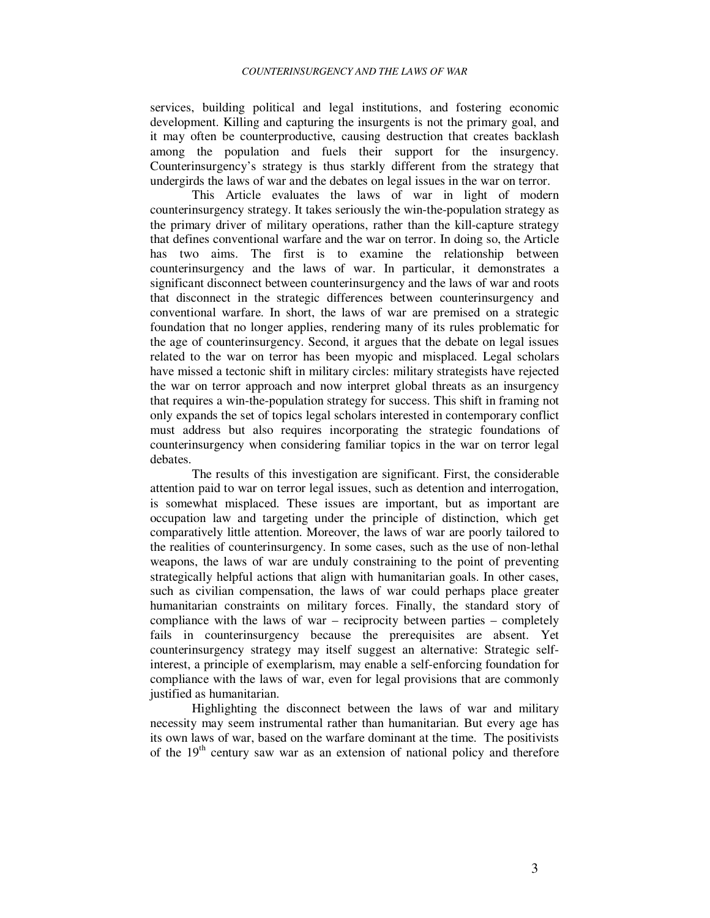services, building political and legal institutions, and fostering economic development. Killing and capturing the insurgents is not the primary goal, and it may often be counterproductive, causing destruction that creates backlash among the population and fuels their support for the insurgency. Counterinsurgency's strategy is thus starkly different from the strategy that undergirds the laws of war and the debates on legal issues in the war on terror.

This Article evaluates the laws of war in light of modern counterinsurgency strategy. It takes seriously the win-the-population strategy as the primary driver of military operations, rather than the kill-capture strategy that defines conventional warfare and the war on terror. In doing so, the Article has two aims. The first is to examine the relationship between counterinsurgency and the laws of war. In particular, it demonstrates a significant disconnect between counterinsurgency and the laws of war and roots that disconnect in the strategic differences between counterinsurgency and conventional warfare. In short, the laws of war are premised on a strategic foundation that no longer applies, rendering many of its rules problematic for the age of counterinsurgency. Second, it argues that the debate on legal issues related to the war on terror has been myopic and misplaced. Legal scholars have missed a tectonic shift in military circles: military strategists have rejected the war on terror approach and now interpret global threats as an insurgency that requires a win-the-population strategy for success. This shift in framing not only expands the set of topics legal scholars interested in contemporary conflict must address but also requires incorporating the strategic foundations of counterinsurgency when considering familiar topics in the war on terror legal debates.

The results of this investigation are significant. First, the considerable attention paid to war on terror legal issues, such as detention and interrogation, is somewhat misplaced. These issues are important, but as important are occupation law and targeting under the principle of distinction, which get comparatively little attention. Moreover, the laws of war are poorly tailored to the realities of counterinsurgency. In some cases, such as the use of non-lethal weapons, the laws of war are unduly constraining to the point of preventing strategically helpful actions that align with humanitarian goals. In other cases, such as civilian compensation, the laws of war could perhaps place greater humanitarian constraints on military forces. Finally, the standard story of compliance with the laws of war – reciprocity between parties – completely fails in counterinsurgency because the prerequisites are absent. Yet counterinsurgency strategy may itself suggest an alternative: Strategic selfinterest, a principle of exemplarism, may enable a self-enforcing foundation for compliance with the laws of war, even for legal provisions that are commonly justified as humanitarian.

Highlighting the disconnect between the laws of war and military necessity may seem instrumental rather than humanitarian. But every age has its own laws of war, based on the warfare dominant at the time. The positivists of the  $19<sup>th</sup>$  century saw war as an extension of national policy and therefore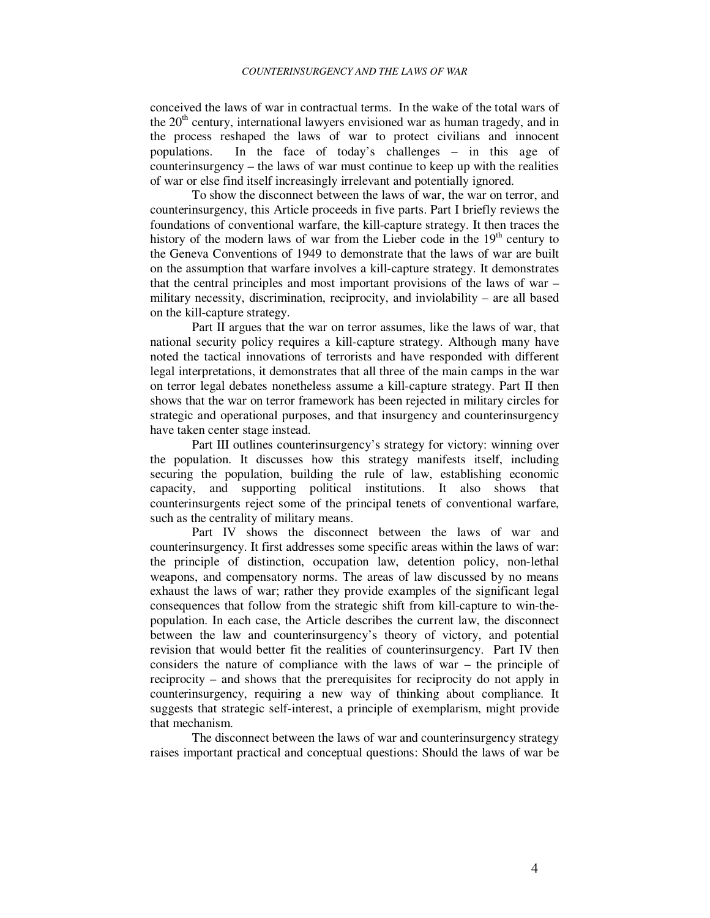conceived the laws of war in contractual terms. In the wake of the total wars of the  $20<sup>th</sup>$  century, international lawyers envisioned war as human tragedy, and in the process reshaped the laws of war to protect civilians and innocent populations. In the face of today's challenges – in this age of counterinsurgency – the laws of war must continue to keep up with the realities of war or else find itself increasingly irrelevant and potentially ignored.

To show the disconnect between the laws of war, the war on terror, and counterinsurgency, this Article proceeds in five parts. Part I briefly reviews the foundations of conventional warfare, the kill-capture strategy. It then traces the history of the modern laws of war from the Lieber code in the  $19<sup>th</sup>$  century to the Geneva Conventions of 1949 to demonstrate that the laws of war are built on the assumption that warfare involves a kill-capture strategy. It demonstrates that the central principles and most important provisions of the laws of war – military necessity, discrimination, reciprocity, and inviolability – are all based on the kill-capture strategy.

Part II argues that the war on terror assumes, like the laws of war, that national security policy requires a kill-capture strategy. Although many have noted the tactical innovations of terrorists and have responded with different legal interpretations, it demonstrates that all three of the main camps in the war on terror legal debates nonetheless assume a kill-capture strategy. Part II then shows that the war on terror framework has been rejected in military circles for strategic and operational purposes, and that insurgency and counterinsurgency have taken center stage instead.

Part III outlines counterinsurgency's strategy for victory: winning over the population. It discusses how this strategy manifests itself, including securing the population, building the rule of law, establishing economic capacity, and supporting political institutions. It also shows that counterinsurgents reject some of the principal tenets of conventional warfare, such as the centrality of military means.

Part IV shows the disconnect between the laws of war and counterinsurgency. It first addresses some specific areas within the laws of war: the principle of distinction, occupation law, detention policy, non-lethal weapons, and compensatory norms. The areas of law discussed by no means exhaust the laws of war; rather they provide examples of the significant legal consequences that follow from the strategic shift from kill-capture to win-thepopulation. In each case, the Article describes the current law, the disconnect between the law and counterinsurgency's theory of victory, and potential revision that would better fit the realities of counterinsurgency. Part IV then considers the nature of compliance with the laws of war – the principle of reciprocity – and shows that the prerequisites for reciprocity do not apply in counterinsurgency, requiring a new way of thinking about compliance. It suggests that strategic self-interest, a principle of exemplarism, might provide that mechanism.

The disconnect between the laws of war and counterinsurgency strategy raises important practical and conceptual questions: Should the laws of war be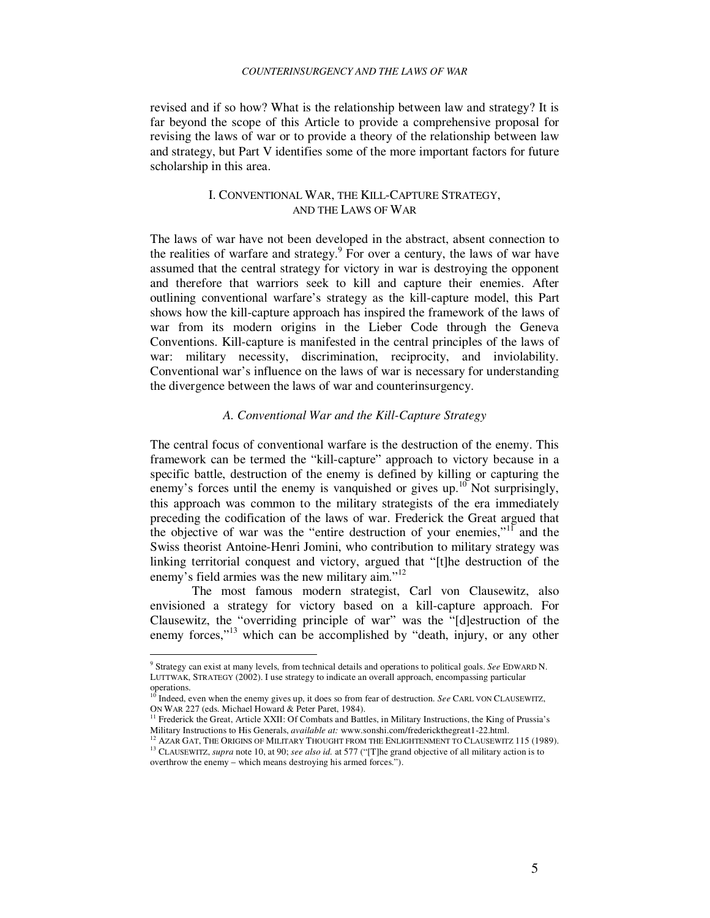#### *COUNTERINSURGENCY AND THE LAWS OF WAR*

revised and if so how? What is the relationship between law and strategy? It is far beyond the scope of this Article to provide a comprehensive proposal for revising the laws of war or to provide a theory of the relationship between law and strategy, but Part V identifies some of the more important factors for future scholarship in this area.

## I. CONVENTIONAL WAR, THE KILL-CAPTURE STRATEGY, AND THE LAWS OF WAR

The laws of war have not been developed in the abstract, absent connection to the realities of warfare and strategy. $9$  For over a century, the laws of war have assumed that the central strategy for victory in war is destroying the opponent and therefore that warriors seek to kill and capture their enemies. After outlining conventional warfare's strategy as the kill-capture model, this Part shows how the kill-capture approach has inspired the framework of the laws of war from its modern origins in the Lieber Code through the Geneva Conventions. Kill-capture is manifested in the central principles of the laws of war: military necessity, discrimination, reciprocity, and inviolability. Conventional war's influence on the laws of war is necessary for understanding the divergence between the laws of war and counterinsurgency.

## *A. Conventional War and the Kill-Capture Strategy*

The central focus of conventional warfare is the destruction of the enemy. This framework can be termed the "kill-capture" approach to victory because in a specific battle, destruction of the enemy is defined by killing or capturing the enemy's forces until the enemy is vanquished or gives up.<sup>10</sup> Not surprisingly, this approach was common to the military strategists of the era immediately preceding the codification of the laws of war. Frederick the Great argued that the objective of war was the "entire destruction of your enemies,"<sup>11</sup> and the Swiss theorist Antoine-Henri Jomini, who contribution to military strategy was linking territorial conquest and victory, argued that "[t]he destruction of the enemy's field armies was the new military aim."<sup>12</sup>

The most famous modern strategist, Carl von Clausewitz, also envisioned a strategy for victory based on a kill-capture approach. For Clausewitz, the "overriding principle of war" was the "[d]estruction of the enemy forces,"<sup>13</sup> which can be accomplished by "death, injury, or any other

<sup>9</sup> Strategy can exist at many levels, from technical details and operations to political goals. *See* EDWARD N. LUTTWAK, STRATEGY (2002). I use strategy to indicate an overall approach, encompassing particular operations.

<sup>10</sup> Indeed, even when the enemy gives up, it does so from fear of destruction. *See* CARL VON CLAUSEWITZ, ON WAR 227 (eds. Michael Howard & Peter Paret, 1984).

 $11$  Frederick the Great, Article XXII: Of Combats and Battles, in Military Instructions, the King of Prussia's Military Instructions to His Generals, *available at:* www.sonshi.com/frederickthegreat1-22.html.

<sup>12</sup> AZAR GAT, THE ORIGINS OF MILITARY THOUGHT FROM THE ENLIGHTENMENT TO CLAUSEWITZ 115 (1989). <sup>13</sup> CLAUSEWITZ, *supra* note 10, at 90; *see also id.* at 577 ("[T]he grand objective of all military action is to overthrow the enemy – which means destroying his armed forces.").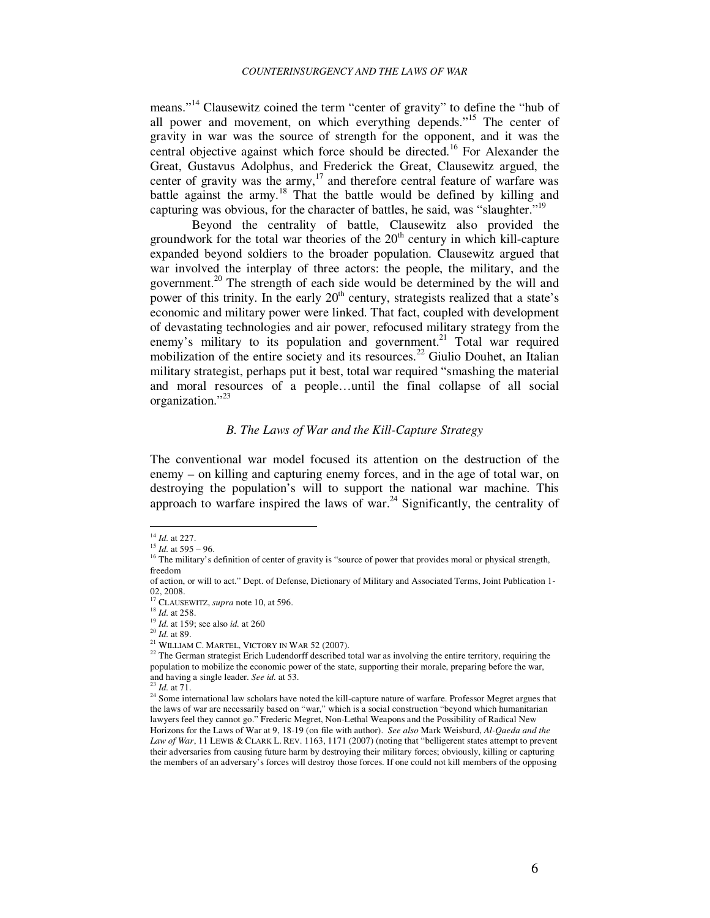means."<sup>14</sup> Clausewitz coined the term "center of gravity" to define the "hub of all power and movement, on which everything depends."<sup>15</sup> The center of gravity in war was the source of strength for the opponent, and it was the central objective against which force should be directed. <sup>16</sup> For Alexander the Great, Gustavus Adolphus, and Frederick the Great, Clausewitz argued, the center of gravity was the army, $17$  and therefore central feature of warfare was battle against the army.<sup>18</sup> That the battle would be defined by killing and capturing was obvious, for the character of battles, he said, was "slaughter."<sup>19</sup>

Beyond the centrality of battle, Clausewitz also provided the groundwork for the total war theories of the  $20<sup>th</sup>$  century in which kill-capture expanded beyond soldiers to the broader population. Clausewitz argued that war involved the interplay of three actors: the people, the military, and the government.<sup>20</sup> The strength of each side would be determined by the will and power of this trinity. In the early  $20<sup>th</sup>$  century, strategists realized that a state's economic and military power were linked. That fact, coupled with development of devastating technologies and air power, refocused military strategy from the enemy's military to its population and government.<sup>21</sup> Total war required mobilization of the entire society and its resources.<sup>22</sup> Giulio Douhet, an Italian military strategist, perhaps put it best, total war required "smashing the material and moral resources of a people…until the final collapse of all social organization."<sup>23</sup>

## *B. The Laws of War and the Kill-Capture Strategy*

The conventional war model focused its attention on the destruction of the enemy – on killing and capturing enemy forces, and in the age of total war, on destroying the population's will to support the national war machine. This approach to warfare inspired the laws of war.<sup>24</sup> Significantly, the centrality of

<sup>14</sup> *Id.* at 227.

 $\frac{15 \text{ }\mu\text{m}}{1d. \text{ at } 595 - 96.}$ 

<sup>&</sup>lt;sup>16</sup> The military's definition of center of gravity is "source of power that provides moral or physical strength, freedom

of action, or will to act." Dept. of Defense, Dictionary of Military and Associated Terms, Joint Publication 1- 02, 2008.

<sup>17</sup> CLAUSEWITZ, *supra* note 10, at 596.

<sup>18</sup> *Id.* at 258.

<sup>19</sup> *Id.* at 159; see also *id.* at 260 <sup>20</sup> *Id.* at 89.

<sup>21</sup> WILLIAM C. MARTEL, VICTORY IN WAR 52 (2007).

<sup>&</sup>lt;sup>22</sup> The German strategist Erich Ludendorff described total war as involving the entire territory, requiring the population to mobilize the economic power of the state, supporting their morale, preparing before the war, and having a single leader. *See id.* at 53.

<sup>23</sup> *Id.* at 71.

<sup>&</sup>lt;sup>24</sup> Some international law scholars have noted the kill-capture nature of warfare. Professor Megret argues that the laws of war are necessarily based on "war," which is a social construction "beyond which humanitarian lawyers feel they cannot go." Frederic Megret, Non-Lethal Weapons and the Possibility of Radical New Horizons for the Laws of War at 9, 18-19 (on file with author). *See also* Mark Weisburd, *Al-Qaeda and the Law of War*, 11 LEWIS & CLARK L. REV. 1163, 1171 (2007) (noting that "belligerent states attempt to prevent their adversaries from causing future harm by destroying their military forces; obviously, killing or capturing the members of an adversary's forces will destroy those forces. If one could not kill members of the opposing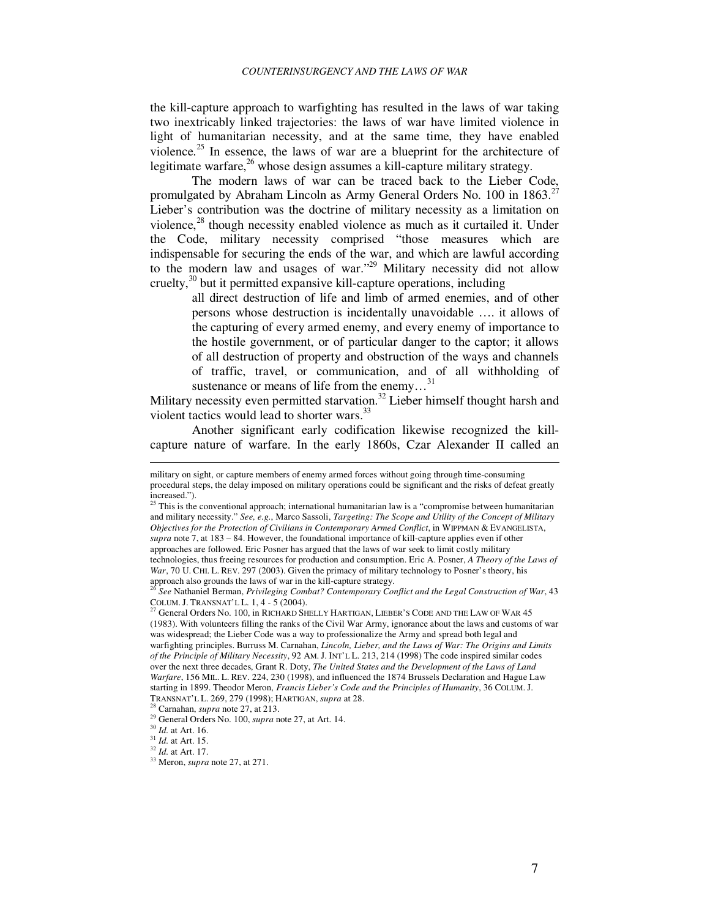the kill-capture approach to warfighting has resulted in the laws of war taking two inextricably linked trajectories: the laws of war have limited violence in light of humanitarian necessity, and at the same time, they have enabled violence.<sup>25</sup> In essence, the laws of war are a blueprint for the architecture of legitimate warfare, $^{26}$  whose design assumes a kill-capture military strategy.

The modern laws of war can be traced back to the Lieber Code, promulgated by Abraham Lincoln as Army General Orders No. 100 in  $1863$ <sup>27</sup> Lieber's contribution was the doctrine of military necessity as a limitation on violence, $^{28}$  though necessity enabled violence as much as it curtailed it. Under the Code, military necessity comprised "those measures which are indispensable for securing the ends of the war, and which are lawful according to the modern law and usages of war."<sup>29</sup> Military necessity did not allow cruelty, $30$  but it permitted expansive kill-capture operations, including

> all direct destruction of life and limb of armed enemies, and of other persons whose destruction is incidentally unavoidable …. it allows of the capturing of every armed enemy, and every enemy of importance to the hostile government, or of particular danger to the captor; it allows of all destruction of property and obstruction of the ways and channels of traffic, travel, or communication, and of all withholding of sustenance or means of life from the enemy... $^{31}$

Military necessity even permitted starvation.<sup>32</sup> Lieber himself thought harsh and violent tactics would lead to shorter wars.<sup>33</sup>

Another significant early codification likewise recognized the killcapture nature of warfare. In the early 1860s, Czar Alexander II called an

 $\overline{a}$ 

military on sight, or capture members of enemy armed forces without going through time-consuming procedural steps, the delay imposed on military operations could be significant and the risks of defeat greatly increased.").

<sup>&</sup>lt;sup>25</sup> This is the conventional approach; international humanitarian law is a "compromise between humanitarian and military necessity." *See, e.g.*, Marco Sassoli, *Targeting: The Scope and Utility of the Concept of Military Objectives for the Protection of Civilians in Contemporary Armed Conflict*, in WIPPMAN & EVANGELISTA, *supra* note 7, at 183 – 84. However, the foundational importance of kill-capture applies even if other approaches are followed. Eric Posner has argued that the laws of war seek to limit costly military technologies, thus freeing resources for production and consumption. Eric A. Posner, *A Theory of the Laws of War*, 70 U. CHI. L. REV. 297 (2003). Given the primacy of military technology to Posner's theory, his approach also grounds the laws of war in the kill-capture strategy.

<sup>26</sup> *See* Nathaniel Berman, *Privileging Combat? Contemporary Conflict and the Legal Construction of War*, 43 COLUM. J. TRANSNAT'L L. 1, 4 - 5 (2004).

<sup>27</sup> General Orders No. 100, in RICHARD SHELLY HARTIGAN, LIEBER'S CODE AND THE LAW OF WAR 45 (1983). With volunteers filling the ranks of the Civil War Army, ignorance about the laws and customs of war was widespread; the Lieber Code was a way to professionalize the Army and spread both legal and warfighting principles. Burruss M. Carnahan, *Lincoln, Lieber, and the Laws of War: The Origins and Limits of the Principle of Military Necessity*, 92 AM. J. INT'L L. 213, 214 (1998) The code inspired similar codes over the next three decades, Grant R. Doty, *The United States and the Development of the Laws of Land Warfare*, 156 MIL. L. REV. 224, 230 (1998), and influenced the 1874 Brussels Declaration and Hague Law starting in 1899. Theodor Meron, *Francis Lieber's Code and the Principles of Humanity*, 36 COLUM. J. TRANSNAT'L L. 269, 279 (1998); HARTIGAN, *supra* at 28.

<sup>&</sup>lt;sup>8</sup> Carnahan, *supra* note 27, at 213.

<sup>29</sup> General Orders No. 100, *supra* note 27, at Art. 14.

<sup>30</sup> *Id.* at Art. 16.

 $^{31}$  *Id.* at Art. 15.

<sup>32</sup> *Id.* at Art. 17.

<sup>33</sup> Meron, *supra* note 27, at 271.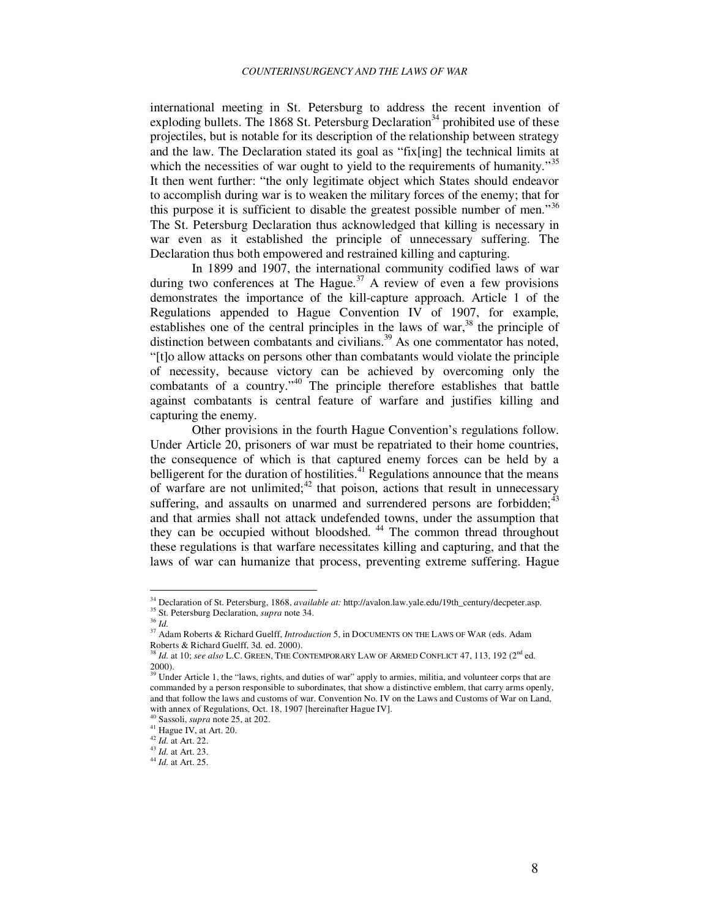international meeting in St. Petersburg to address the recent invention of exploding bullets. The 1868 St. Petersburg Declaration<sup>34</sup> prohibited use of these projectiles, but is notable for its description of the relationship between strategy and the law. The Declaration stated its goal as "fix[ing] the technical limits at which the necessities of war ought to yield to the requirements of humanity."<sup>35</sup> It then went further: "the only legitimate object which States should endeavor to accomplish during war is to weaken the military forces of the enemy; that for this purpose it is sufficient to disable the greatest possible number of men." $36$ The St. Petersburg Declaration thus acknowledged that killing is necessary in war even as it established the principle of unnecessary suffering. The Declaration thus both empowered and restrained killing and capturing.

In 1899 and 1907, the international community codified laws of war during two conferences at The Hague.<sup>37</sup> A review of even a few provisions demonstrates the importance of the kill-capture approach. Article 1 of the Regulations appended to Hague Convention IV of 1907, for example, establishes one of the central principles in the laws of war, $38$  the principle of distinction between combatants and civilians.<sup>39</sup> As one commentator has noted, "[t]o allow attacks on persons other than combatants would violate the principle of necessity, because victory can be achieved by overcoming only the combatants of a country."<sup>40</sup> The principle therefore establishes that battle against combatants is central feature of warfare and justifies killing and capturing the enemy.

Other provisions in the fourth Hague Convention's regulations follow. Under Article 20, prisoners of war must be repatriated to their home countries, the consequence of which is that captured enemy forces can be held by a belligerent for the duration of hostilities. $41$  Regulations announce that the means of warfare are not unlimited; $42$  that poison, actions that result in unnecessary suffering, and assaults on unarmed and surrendered persons are forbidden;<sup>4</sup> and that armies shall not attack undefended towns, under the assumption that they can be occupied without bloodshed.<sup>44</sup> The common thread throughout these regulations is that warfare necessitates killing and capturing, and that the laws of war can humanize that process, preventing extreme suffering. Hague

<sup>34</sup> Declaration of St. Petersburg, 1868, *available at:* http://avalon.law.yale.edu/19th\_century/decpeter.asp.

<sup>35</sup> St. Petersburg Declaration, *supra* note 34.

<sup>36</sup> *Id.*

<sup>37</sup> Adam Roberts & Richard Guelff, *Introduction* 5, in DOCUMENTS ON THE LAWS OF WAR (eds. Adam Roberts & Richard Guelff, 3d. ed. 2000).

<sup>38</sup> *Id.* at 10; *see also* L.C. GREEN, THE CONTEMPORARY LAW OF ARMED CONFLICT 47, 113, 192 (2nd ed. 2000).

<sup>&</sup>lt;sup>39</sup> Under Article 1, the "laws, rights, and duties of war" apply to armies, militia, and volunteer corps that are commanded by a person responsible to subordinates, that show a distinctive emblem, that carry arms openly, and that follow the laws and customs of war. Convention No. IV on the Laws and Customs of War on Land, with annex of Regulations, Oct. 18, 1907 [hereinafter Hague IV].

<sup>40</sup> Sassoli, *supra* note 25, at 202.

<sup>41</sup> Hague IV, at Art. 20.

<sup>42</sup> *Id.* at Art. 22.

<sup>43</sup> *Id.* at Art. 23.

<sup>44</sup> *Id.* at Art. 25.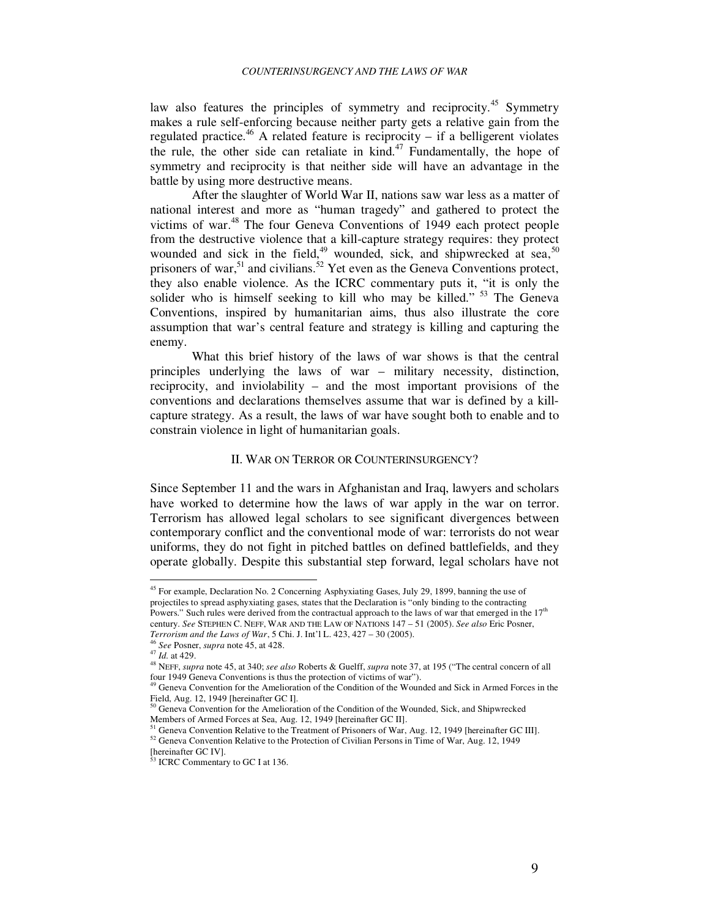law also features the principles of symmetry and reciprocity.<sup>45</sup> Symmetry makes a rule self-enforcing because neither party gets a relative gain from the regulated practice.<sup>46</sup> A related feature is reciprocity – if a belligerent violates the rule, the other side can retaliate in kind. $47$  Fundamentally, the hope of symmetry and reciprocity is that neither side will have an advantage in the battle by using more destructive means.

After the slaughter of World War II, nations saw war less as a matter of national interest and more as "human tragedy" and gathered to protect the victims of war.<sup>48</sup> The four Geneva Conventions of 1949 each protect people from the destructive violence that a kill-capture strategy requires: they protect wounded and sick in the field,<sup>49</sup> wounded, sick, and shipwrecked at sea.<sup>50</sup> prisoners of war,<sup>51</sup> and civilians.<sup>52</sup> Yet even as the Geneva Conventions protect, they also enable violence. As the ICRC commentary puts it, "it is only the solider who is himself seeking to kill who may be killed."  $53$  The Geneva Conventions, inspired by humanitarian aims, thus also illustrate the core assumption that war's central feature and strategy is killing and capturing the enemy.

What this brief history of the laws of war shows is that the central principles underlying the laws of war – military necessity, distinction, reciprocity, and inviolability – and the most important provisions of the conventions and declarations themselves assume that war is defined by a killcapture strategy. As a result, the laws of war have sought both to enable and to constrain violence in light of humanitarian goals.

#### II. WAR ON TERROR OR COUNTERINSURGENCY?

Since September 11 and the wars in Afghanistan and Iraq, lawyers and scholars have worked to determine how the laws of war apply in the war on terror. Terrorism has allowed legal scholars to see significant divergences between contemporary conflict and the conventional mode of war: terrorists do not wear uniforms, they do not fight in pitched battles on defined battlefields, and they operate globally. Despite this substantial step forward, legal scholars have not

<sup>&</sup>lt;sup>45</sup> For example, Declaration No. 2 Concerning Asphyxiating Gases, July 29, 1899, banning the use of projectiles to spread asphyxiating gases, states that the Declaration is "only binding to the contracting Powers." Such rules were derived from the contractual approach to the laws of war that emerged in the 17<sup>th</sup> century. *See* STEPHEN C. NEFF, WAR AND THE LAW OF NATIONS 147 – 51 (2005). *See also* Eric Posner, *Terrorism and the Laws of War*, 5 Chi. J. Int'l L. 423, 427 – 30 (2005).

<sup>46</sup> *See* Posner, *supra* note 45, at 428.

<sup>47</sup> *Id.* at 429.

<sup>48</sup> NEFF, *supra* note 45, at 340; *see also* Roberts & Guelff, *supra* note 37, at 195 ("The central concern of all four 1949 Geneva Conventions is thus the protection of victims of war").

<sup>&</sup>lt;sup>49</sup> Geneva Convention for the Amelioration of the Condition of the Wounded and Sick in Armed Forces in the Field, Aug. 12, 1949 [hereinafter GC I].

<sup>50</sup> Geneva Convention for the Amelioration of the Condition of the Wounded, Sick, and Shipwrecked Members of Armed Forces at Sea, Aug. 12, 1949 [hereinafter GC II].

<sup>&</sup>lt;sup>1</sup> Geneva Convention Relative to the Treatment of Prisoners of War, Aug. 12, 1949 [hereinafter GC III].

 $52$  Geneva Convention Relative to the Protection of Civilian Persons in Time of War, Aug. 12, 1949 [hereinafter GC IV].

<sup>53</sup> ICRC Commentary to GC I at 136.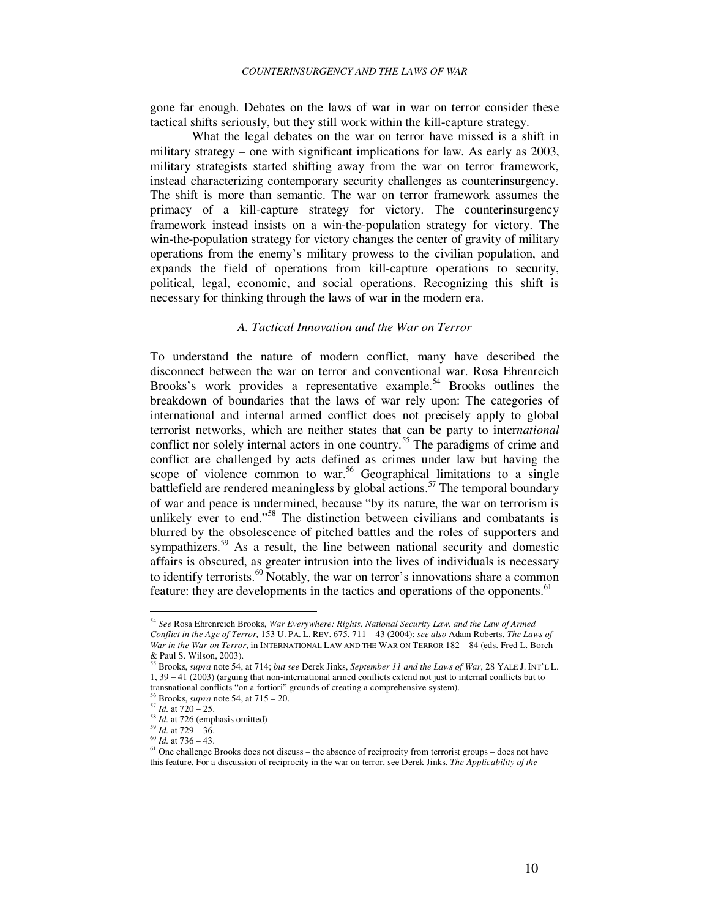gone far enough. Debates on the laws of war in war on terror consider these tactical shifts seriously, but they still work within the kill-capture strategy.

What the legal debates on the war on terror have missed is a shift in military strategy – one with significant implications for law. As early as 2003, military strategists started shifting away from the war on terror framework, instead characterizing contemporary security challenges as counterinsurgency. The shift is more than semantic. The war on terror framework assumes the primacy of a kill-capture strategy for victory. The counterinsurgency framework instead insists on a win-the-population strategy for victory. The win-the-population strategy for victory changes the center of gravity of military operations from the enemy's military prowess to the civilian population, and expands the field of operations from kill-capture operations to security, political, legal, economic, and social operations. Recognizing this shift is necessary for thinking through the laws of war in the modern era.

### *A. Tactical Innovation and the War on Terror*

To understand the nature of modern conflict, many have described the disconnect between the war on terror and conventional war. Rosa Ehrenreich Brooks's work provides a representative example.<sup>54</sup> Brooks outlines the breakdown of boundaries that the laws of war rely upon: The categories of international and internal armed conflict does not precisely apply to global terrorist networks, which are neither states that can be party to inter*national* conflict nor solely internal actors in one country.<sup>55</sup> The paradigms of crime and conflict are challenged by acts defined as crimes under law but having the scope of violence common to war.<sup>56</sup> Geographical limitations to a single battlefield are rendered meaningless by global actions.<sup>57</sup> The temporal boundary of war and peace is undermined, because "by its nature, the war on terrorism is unlikely ever to end."<sup>58</sup> The distinction between civilians and combatants is blurred by the obsolescence of pitched battles and the roles of supporters and sympathizers.<sup>59</sup> As a result, the line between national security and domestic affairs is obscured, as greater intrusion into the lives of individuals is necessary to identify terrorists.<sup>60</sup> Notably, the war on terror's innovations share a common feature: they are developments in the tactics and operations of the opponents.<sup>61</sup>

<sup>54</sup> *See* Rosa Ehrenreich Brooks, *War Everywhere: Rights, National Security Law, and the Law of Armed Conflict in the Age of Terror,* 153 U. PA. L. REV. 675, 711 – 43 (2004); *see also* Adam Roberts, *The Laws of War in the War on Terror*, in INTERNATIONAL LAW AND THE WAR ON TERROR 182 – 84 (eds. Fred L. Borch

<sup>&</sup>amp; Paul S. Wilson, 2003). <sup>55</sup> Brooks, *supra* note 54, at 714; *but see* Derek Jinks, *September 11 and the Laws of War*, 28 YALE J. INT'L L. 1, 39 – 41 (2003) (arguing that non-international armed conflicts extend not just to internal conflicts but to transnational conflicts "on a fortiori" grounds of creating a comprehensive system).

<sup>56</sup> Brooks, *supra* note 54, at 715 – 20.

 $\frac{157 \text{ Jd}}{1 \text{ d}}$ . at 720 – 25.

<sup>58</sup> *Id.* at 726 (emphasis omitted)

<sup>59</sup> *Id.* at 729 – 36.

<sup>60</sup> *Id.* at 736 – 43.

<sup>61</sup> One challenge Brooks does not discuss – the absence of reciprocity from terrorist groups – does not have this feature. For a discussion of reciprocity in the war on terror, see Derek Jinks, *The Applicability of the*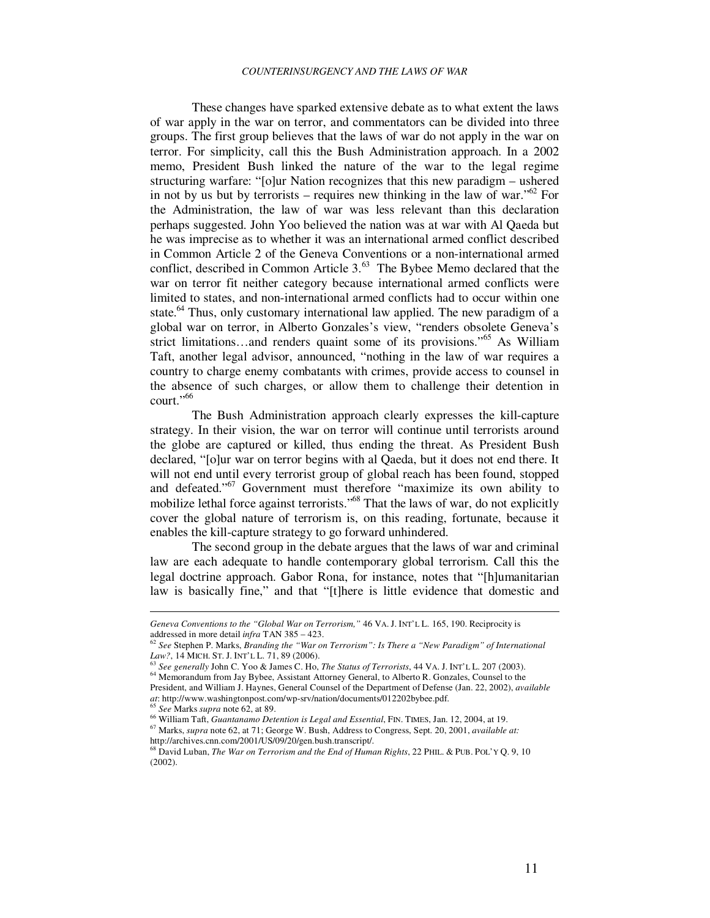### *COUNTERINSURGENCY AND THE LAWS OF WAR*

These changes have sparked extensive debate as to what extent the laws of war apply in the war on terror, and commentators can be divided into three groups. The first group believes that the laws of war do not apply in the war on terror. For simplicity, call this the Bush Administration approach. In a 2002 memo, President Bush linked the nature of the war to the legal regime structuring warfare: "[o]ur Nation recognizes that this new paradigm – ushered in not by us but by terrorists – requires new thinking in the law of war.<sup> $52$ </sup> For the Administration, the law of war was less relevant than this declaration perhaps suggested. John Yoo believed the nation was at war with Al Qaeda but he was imprecise as to whether it was an international armed conflict described in Common Article 2 of the Geneva Conventions or a non-international armed conflict, described in Common Article  $3<sup>63</sup>$ . The Bybee Memo declared that the war on terror fit neither category because international armed conflicts were limited to states, and non-international armed conflicts had to occur within one state.<sup>64</sup> Thus, only customary international law applied. The new paradigm of a global war on terror, in Alberto Gonzales's view, "renders obsolete Geneva's strict limitations…and renders quaint some of its provisions."<sup>65</sup> As William Taft, another legal advisor, announced, "nothing in the law of war requires a country to charge enemy combatants with crimes, provide access to counsel in the absence of such charges, or allow them to challenge their detention in court."<sup>66</sup>

The Bush Administration approach clearly expresses the kill-capture strategy. In their vision, the war on terror will continue until terrorists around the globe are captured or killed, thus ending the threat. As President Bush declared, "[o]ur war on terror begins with al Qaeda, but it does not end there. It will not end until every terrorist group of global reach has been found, stopped and defeated."<sup>67</sup> Government must therefore "maximize its own ability to mobilize lethal force against terrorists."<sup>68</sup> That the laws of war, do not explicitly cover the global nature of terrorism is, on this reading, fortunate, because it enables the kill-capture strategy to go forward unhindered.

The second group in the debate argues that the laws of war and criminal law are each adequate to handle contemporary global terrorism. Call this the legal doctrine approach. Gabor Rona, for instance, notes that "[h]umanitarian law is basically fine," and that "[t]here is little evidence that domestic and

 $\overline{a}$ 

*Geneva Conventions to the "Global War on Terrorism,"* 46 VA. J. INT'L L. 165, 190. Reciprocity is addressed in more detail *infra* TAN 385 – 423.

<sup>62</sup> *See* Stephen P. Marks, *Branding the "War on Terrorism": Is There a "New Paradigm" of International Law?*, 14 MICH. ST. J. INT'L L. 71, 89 (2006). <sup>63</sup> *See generally* John C. Yoo & James C. Ho, *The Status of Terrorists*, 44 VA. J. INT'L L. 207 (2003).

<sup>&</sup>lt;sup>64</sup> Memorandum from Jay Bybee, Assistant Attorney General, to Alberto R. Gonzales, Counsel to the President, and William J. Haynes, General Counsel of the Department of Defense (Jan. 22, 2002), *available* 

*at*: http://www.washingtonpost.com/wp-srv/nation/documents/012202bybee.pdf. <sup>65</sup> *See* Marks *supra* note 62, at 89.

<sup>66</sup> William Taft, *Guantanamo Detention is Legal and Essential*, FIN. TIMES, Jan. 12, 2004, at 19.

<sup>67</sup> Marks, *supra* note 62, at 71; George W. Bush, Address to Congress, Sept. 20, 2001, *available at:* http://archives.cnn.com/2001/US/09/20/gen.bush.transcript/.

<sup>68</sup> David Luban, *The War on Terrorism and the End of Human Rights*, 22 PHIL. & PUB. POL'Y Q. 9, 10 (2002).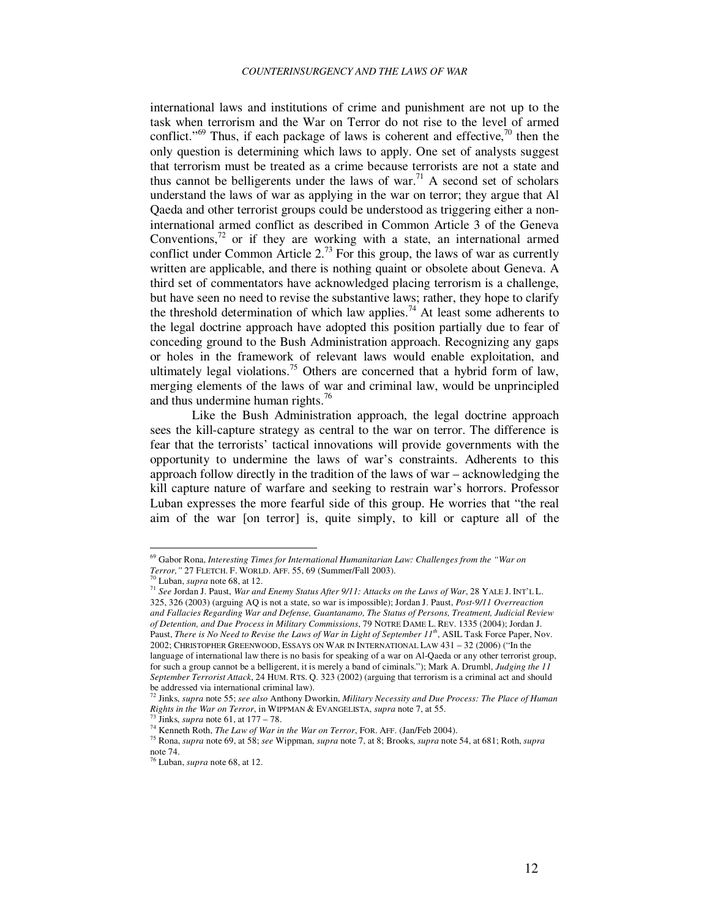international laws and institutions of crime and punishment are not up to the task when terrorism and the War on Terror do not rise to the level of armed conflict."<sup>69</sup> Thus, if each package of laws is coherent and effective,<sup>70</sup> then the only question is determining which laws to apply. One set of analysts suggest that terrorism must be treated as a crime because terrorists are not a state and thus cannot be belligerents under the laws of war.<sup>71</sup> A second set of scholars understand the laws of war as applying in the war on terror; they argue that Al Qaeda and other terrorist groups could be understood as triggering either a noninternational armed conflict as described in Common Article 3 of the Geneva Conventions, $72$  or if they are working with a state, an international armed conflict under Common Article  $2<sup>73</sup>$  For this group, the laws of war as currently written are applicable, and there is nothing quaint or obsolete about Geneva. A third set of commentators have acknowledged placing terrorism is a challenge, but have seen no need to revise the substantive laws; rather, they hope to clarify the threshold determination of which law applies.<sup>74</sup> At least some adherents to the legal doctrine approach have adopted this position partially due to fear of conceding ground to the Bush Administration approach. Recognizing any gaps or holes in the framework of relevant laws would enable exploitation, and ultimately legal violations.<sup>75</sup> Others are concerned that a hybrid form of law, merging elements of the laws of war and criminal law, would be unprincipled and thus undermine human rights.<sup>76</sup>

Like the Bush Administration approach, the legal doctrine approach sees the kill-capture strategy as central to the war on terror. The difference is fear that the terrorists' tactical innovations will provide governments with the opportunity to undermine the laws of war's constraints. Adherents to this approach follow directly in the tradition of the laws of war – acknowledging the kill capture nature of warfare and seeking to restrain war's horrors. Professor Luban expresses the more fearful side of this group. He worries that "the real aim of the war [on terror] is, quite simply, to kill or capture all of the

<sup>&</sup>lt;sup>69</sup> Gabor Rona, *Interesting Times for International Humanitarian Law: Challenges from the "War on Terror,"* 27 FLETCH. F. WORLD. AFF. 55, 69 (Summer/Fall 2003).

Luban, *supra* note 68, at 12.

<sup>71</sup> *See* Jordan J. Paust, *War and Enemy Status After 9/11: Attacks on the Laws of War*, 28 YALE J. INT'L L. 325, 326 (2003) (arguing AQ is not a state, so war is impossible); Jordan J. Paust, *Post-9/11 Overreaction and Fallacies Regarding War and Defense, Guantanamo, The Status of Persons, Treatment, Judicial Review of Detention, and Due Process in Military Commissions*, 79 NOTRE DAME L. REV. 1335 (2004); Jordan J. Paust, *There is No Need to Revise the Laws of War in Light of September 11th*, ASIL Task Force Paper, Nov. 2002; CHRISTOPHER GREENWOOD, ESSAYS ON WAR IN INTERNATIONAL LAW 431 – 32 (2006) ("In the language of international law there is no basis for speaking of a war on Al-Qaeda or any other terrorist group, for such a group cannot be a belligerent, it is merely a band of ciminals."); Mark A. Drumbl, *Judging the 11 September Terrorist Attack*, 24 HUM. RTS. Q. 323 (2002) (arguing that terrorism is a criminal act and should be addressed via international criminal law).

<sup>72</sup> Jinks, *supra* note 55; *see also* Anthony Dworkin, *Military Necessity and Due Process: The Place of Human Rights in the War on Terror*, in WIPPMAN & EVANGELISTA, *supra* note 7, at 55.

<sup>73</sup> Jinks, *supra* note 61, at 177 – 78.

<sup>74</sup> Kenneth Roth, *The Law of War in the War on Terror*, FOR. AFF. (Jan/Feb 2004).

<sup>75</sup> Rona, *supra* note 69, at 58; *see* Wippman, *supra* note 7, at 8; Brooks, *supra* note 54, at 681; Roth, *supra* note 74.

<sup>76</sup> Luban, *supra* note 68, at 12.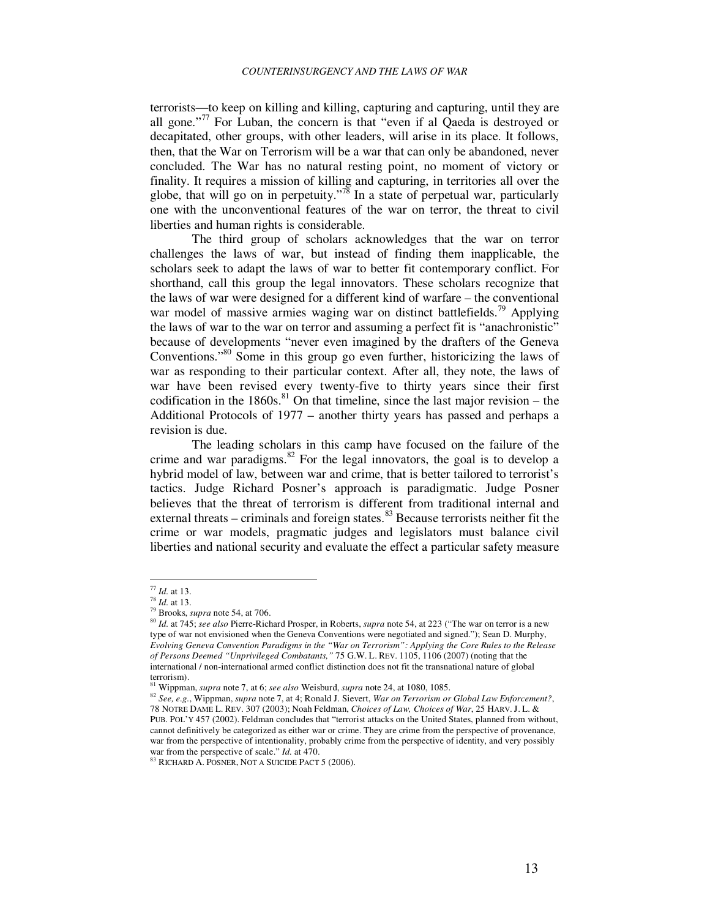terrorists—to keep on killing and killing, capturing and capturing, until they are all gone."<sup>77</sup> For Luban, the concern is that "even if al Qaeda is destroyed or decapitated, other groups, with other leaders, will arise in its place. It follows, then, that the War on Terrorism will be a war that can only be abandoned, never concluded. The War has no natural resting point, no moment of victory or finality. It requires a mission of killing and capturing, in territories all over the globe, that will go on in perpetuity.<sup> $\frac{7}{8}$ </sup> In a state of perpetual war, particularly one with the unconventional features of the war on terror, the threat to civil liberties and human rights is considerable.

The third group of scholars acknowledges that the war on terror challenges the laws of war, but instead of finding them inapplicable, the scholars seek to adapt the laws of war to better fit contemporary conflict. For shorthand, call this group the legal innovators. These scholars recognize that the laws of war were designed for a different kind of warfare – the conventional war model of massive armies waging war on distinct battlefields.<sup>79</sup> Applying the laws of war to the war on terror and assuming a perfect fit is "anachronistic" because of developments "never even imagined by the drafters of the Geneva Conventions."<sup>80</sup> Some in this group go even further, historicizing the laws of war as responding to their particular context. After all, they note, the laws of war have been revised every twenty-five to thirty years since their first codification in the  $1860s$ .<sup>81</sup> On that timeline, since the last major revision – the Additional Protocols of 1977 – another thirty years has passed and perhaps a revision is due.

The leading scholars in this camp have focused on the failure of the crime and war paradigms. $82$  For the legal innovators, the goal is to develop a hybrid model of law, between war and crime, that is better tailored to terrorist's tactics. Judge Richard Posner's approach is paradigmatic. Judge Posner believes that the threat of terrorism is different from traditional internal and external threats – criminals and foreign states.<sup>83</sup> Because terrorists neither fit the crime or war models, pragmatic judges and legislators must balance civil liberties and national security and evaluate the effect a particular safety measure

<sup>&</sup>lt;u>.</u> <sup>77</sup> *Id.* at 13.

<sup>78</sup> *Id.* at 13.

<sup>79</sup> Brooks, *supra* note 54, at 706.

<sup>80</sup> *Id.* at 745; *see also* Pierre-Richard Prosper, in Roberts, *supra* note 54, at 223 ("The war on terror is a new type of war not envisioned when the Geneva Conventions were negotiated and signed."); Sean D. Murphy, *Evolving Geneva Convention Paradigms in the "War on Terrorism": Applying the Core Rules to the Release of Persons Deemed "Unprivileged Combatants,"* 75 G.W. L. REV. 1105, 1106 (2007) (noting that the international / non-international armed conflict distinction does not fit the transnational nature of global terrorism).

<sup>81</sup> Wippman, *supra* note 7, at 6; *see also* Weisburd, *supra* note 24, at 1080, 1085.

<sup>82</sup> *See, e.g.*, Wippman, *supra* note 7, at 4; Ronald J. Sievert, *War on Terrorism or Global Law Enforcement?*, 78 NOTRE DAME L. REV. 307 (2003); Noah Feldman, *Choices of Law, Choices of War*, 25 HARV. J. L. & PUB. POL'Y 457 (2002). Feldman concludes that "terrorist attacks on the United States, planned from without, cannot definitively be categorized as either war or crime. They are crime from the perspective of provenance, war from the perspective of intentionality, probably crime from the perspective of identity, and very possibly war from the perspective of scale." *Id.* at 470.

<sup>83</sup> RICHARD A. POSNER, NOT A SUICIDE PACT 5 (2006).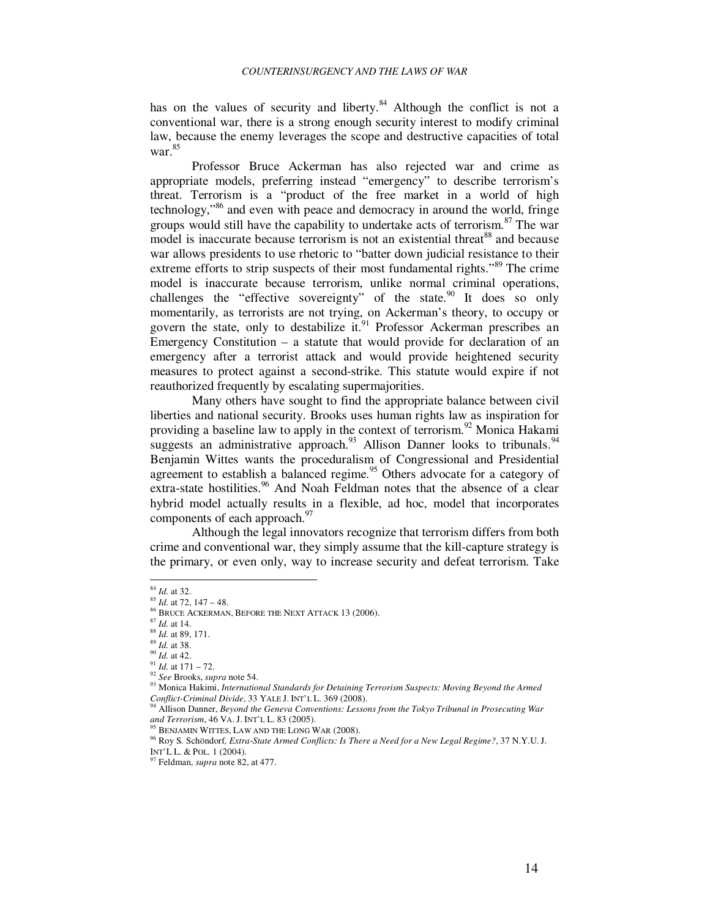has on the values of security and liberty. $84$  Although the conflict is not a conventional war, there is a strong enough security interest to modify criminal law, because the enemy leverages the scope and destructive capacities of total war.<sup>85</sup>

Professor Bruce Ackerman has also rejected war and crime as appropriate models, preferring instead "emergency" to describe terrorism's threat. Terrorism is a "product of the free market in a world of high technology,"<sup>86</sup> and even with peace and democracy in around the world, fringe groups would still have the capability to undertake acts of terrorism.<sup>87</sup> The war model is inaccurate because terrorism is not an existential threat<sup>88</sup> and because war allows presidents to use rhetoric to "batter down judicial resistance to their extreme efforts to strip suspects of their most fundamental rights."<sup>89</sup> The crime model is inaccurate because terrorism, unlike normal criminal operations, challenges the "effective sovereignty" of the state.<sup>90</sup> It does so only momentarily, as terrorists are not trying, on Ackerman's theory, to occupy or govern the state, only to destabilize it.<sup>91</sup> Professor Ackerman prescribes an Emergency Constitution – a statute that would provide for declaration of an emergency after a terrorist attack and would provide heightened security measures to protect against a second-strike. This statute would expire if not reauthorized frequently by escalating supermajorities.

Many others have sought to find the appropriate balance between civil liberties and national security. Brooks uses human rights law as inspiration for providing a baseline law to apply in the context of terrorism.<sup>92</sup> Monica Hakami suggests an administrative approach.<sup>93</sup> Allison Danner looks to tribunals.<sup>94</sup> Benjamin Wittes wants the proceduralism of Congressional and Presidential agreement to establish a balanced regime.<sup>95</sup> Others advocate for a category of extra-state hostilities.<sup>96</sup> And Noah Feldman notes that the absence of a clear hybrid model actually results in a flexible, ad hoc, model that incorporates components of each approach.<sup>97</sup>

Although the legal innovators recognize that terrorism differs from both crime and conventional war, they simply assume that the kill-capture strategy is the primary, or even only, way to increase security and defeat terrorism. Take

<sup>84</sup> *Id.* at 32.

<sup>85</sup> *Id.* at 72, 147 – 48.

<sup>86</sup> BRUCE ACKERMAN, BEFORE THE NEXT ATTACK 13 (2006).

 $87 \overline{Id}$ . at 14.

<sup>88</sup> *Id.* at 89, 171.

<sup>89</sup> *Id.* at 38. <sup>90</sup> *Id.* at 42.

 $^{91}$  *Id.* at 171 – 72. <sup>92</sup> *See* Brooks, *supra* note 54.

<sup>93</sup> Monica Hakimi, *International Standards for Detaining Terrorism Suspects: Moving Beyond the Armed Conflict-Criminal Divide*, 33 YALE J. INT'L L. 369 (2008).

<sup>94</sup> Allison Danner, *Beyond the Geneva Conventions: Lessons from the Tokyo Tribunal in Prosecuting War and Terrorism*, 46 VA. J. INT'L L. 83 (2005).

 $<sup>5</sup>$  BENJAMIN WITTES, LAW AND THE LONG WAR (2008).</sup>

<sup>96</sup> Roy S*.* Schöndorf*, Extra*-*State Armed Conflicts: Is There a Need for a New Legal Regime?*, 37 N.Y.U. J. INT'L L. & POL*.* 1 (2004).

<sup>97</sup> Feldman, *supra* note 82, at 477.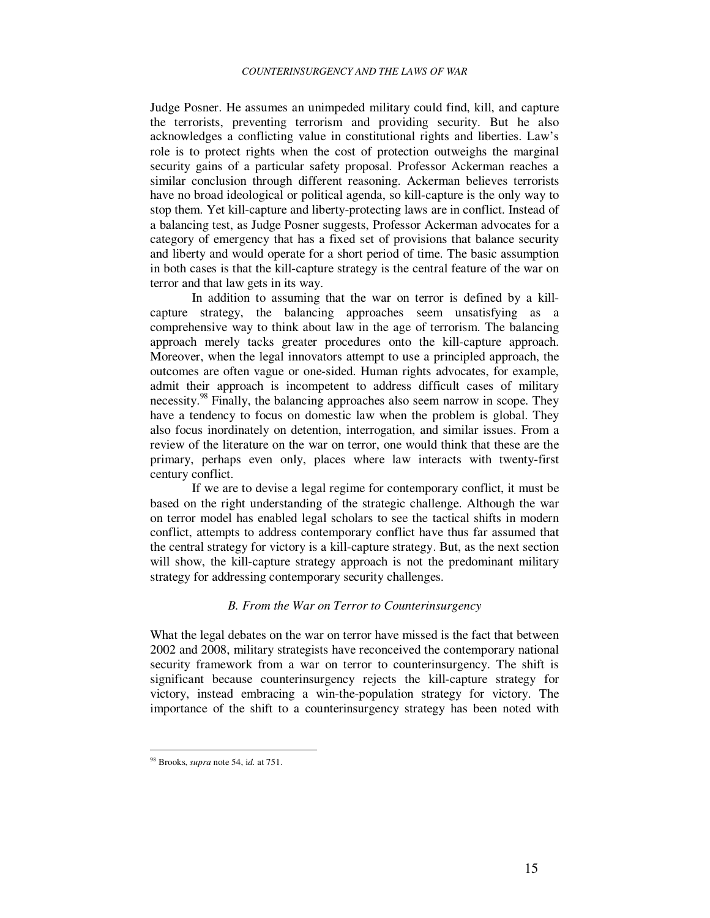Judge Posner. He assumes an unimpeded military could find, kill, and capture the terrorists, preventing terrorism and providing security. But he also acknowledges a conflicting value in constitutional rights and liberties. Law's role is to protect rights when the cost of protection outweighs the marginal security gains of a particular safety proposal. Professor Ackerman reaches a similar conclusion through different reasoning. Ackerman believes terrorists have no broad ideological or political agenda, so kill-capture is the only way to stop them. Yet kill-capture and liberty-protecting laws are in conflict. Instead of a balancing test, as Judge Posner suggests, Professor Ackerman advocates for a category of emergency that has a fixed set of provisions that balance security and liberty and would operate for a short period of time. The basic assumption in both cases is that the kill-capture strategy is the central feature of the war on terror and that law gets in its way.

In addition to assuming that the war on terror is defined by a killcapture strategy, the balancing approaches seem unsatisfying as a comprehensive way to think about law in the age of terrorism. The balancing approach merely tacks greater procedures onto the kill-capture approach. Moreover, when the legal innovators attempt to use a principled approach, the outcomes are often vague or one-sided. Human rights advocates, for example, admit their approach is incompetent to address difficult cases of military necessity.<sup>98</sup> Finally, the balancing approaches also seem narrow in scope. They have a tendency to focus on domestic law when the problem is global. They also focus inordinately on detention, interrogation, and similar issues. From a review of the literature on the war on terror, one would think that these are the primary, perhaps even only, places where law interacts with twenty-first century conflict.

If we are to devise a legal regime for contemporary conflict, it must be based on the right understanding of the strategic challenge. Although the war on terror model has enabled legal scholars to see the tactical shifts in modern conflict, attempts to address contemporary conflict have thus far assumed that the central strategy for victory is a kill-capture strategy. But, as the next section will show, the kill-capture strategy approach is not the predominant military strategy for addressing contemporary security challenges.

## *B. From the War on Terror to Counterinsurgency*

What the legal debates on the war on terror have missed is the fact that between 2002 and 2008, military strategists have reconceived the contemporary national security framework from a war on terror to counterinsurgency. The shift is significant because counterinsurgency rejects the kill-capture strategy for victory, instead embracing a win-the-population strategy for victory. The importance of the shift to a counterinsurgency strategy has been noted with

<sup>98</sup> Brooks, *supra* note 54, i*d.* at 751.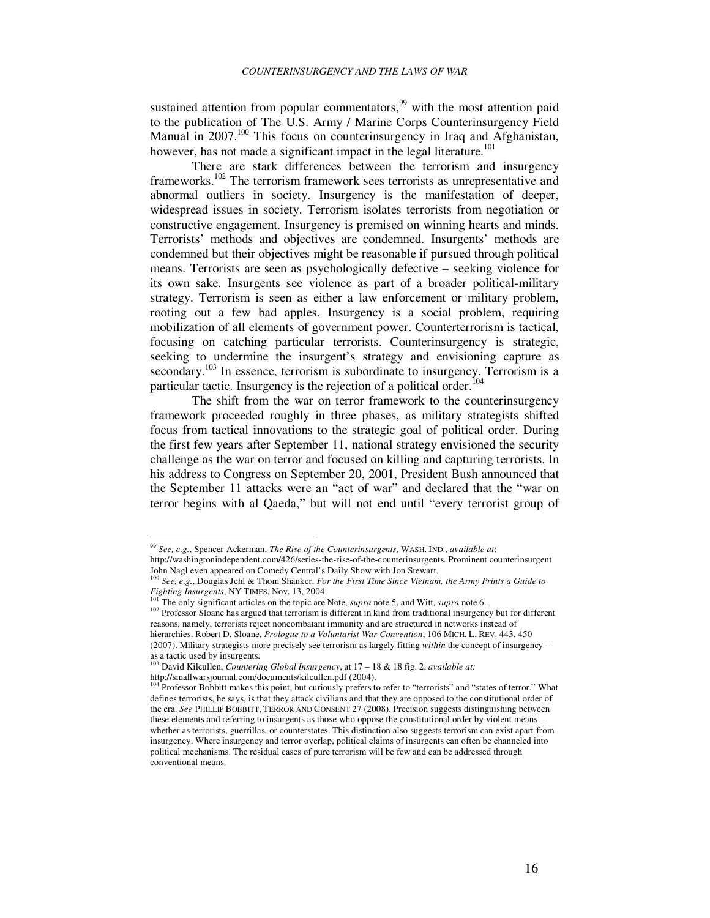sustained attention from popular commentators, $99$  with the most attention paid to the publication of The U.S. Army / Marine Corps Counterinsurgency Field Manual in 2007.<sup>100</sup> This focus on counterinsurgency in Iraq and Afghanistan, however, has not made a significant impact in the legal literature.<sup>101</sup>

There are stark differences between the terrorism and insurgency frameworks.<sup>102</sup> The terrorism framework sees terrorists as unrepresentative and abnormal outliers in society. Insurgency is the manifestation of deeper, widespread issues in society. Terrorism isolates terrorists from negotiation or constructive engagement. Insurgency is premised on winning hearts and minds. Terrorists' methods and objectives are condemned. Insurgents' methods are condemned but their objectives might be reasonable if pursued through political means. Terrorists are seen as psychologically defective – seeking violence for its own sake. Insurgents see violence as part of a broader political-military strategy. Terrorism is seen as either a law enforcement or military problem, rooting out a few bad apples. Insurgency is a social problem, requiring mobilization of all elements of government power. Counterterrorism is tactical, focusing on catching particular terrorists. Counterinsurgency is strategic, seeking to undermine the insurgent's strategy and envisioning capture as secondary.<sup>103</sup> In essence, terrorism is subordinate to insurgency. Terrorism is a particular tactic. Insurgency is the rejection of a political order.<sup>104</sup>

The shift from the war on terror framework to the counterinsurgency framework proceeded roughly in three phases, as military strategists shifted focus from tactical innovations to the strategic goal of political order. During the first few years after September 11, national strategy envisioned the security challenge as the war on terror and focused on killing and capturing terrorists. In his address to Congress on September 20, 2001, President Bush announced that the September 11 attacks were an "act of war" and declared that the "war on terror begins with al Qaeda," but will not end until "every terrorist group of

<sup>99</sup> *See, e.g.*, Spencer Ackerman, *The Rise of the Counterinsurgents*, WASH. IND., *available at*:

http://washingtonindependent.com/426/series-the-rise-of-the-counterinsurgents. Prominent counterinsurgent

John Nagl even appeared on Comedy Central's Daily Show with Jon Stewart. <sup>100</sup> *See, e.g.*, Douglas Jehl & Thom Shanker, *For the First Time Since Vietnam, the Army Prints a Guide to Fighting Insurgents*, NY TIMES, Nov. 13, 2004.

<sup>101</sup> The only significant articles on the topic are Note, *supra* note 5, and Witt, *supra* note 6.

<sup>&</sup>lt;sup>102</sup> Professor Sloane has argued that terrorism is different in kind from traditional insurgency but for different reasons, namely, terrorists reject noncombatant immunity and are structured in networks instead of hierarchies. Robert D. Sloane, *Prologue to a Voluntarist War Convention*, 106 MICH. L. REV. 443, 450 (2007). Military strategists more precisely see terrorism as largely fitting *within* the concept of insurgency –

as a tactic used by insurgents. <sup>103</sup> David Kilcullen, *Countering Global Insurgency*, at 17 – 18 & 18 fig. 2, *available at:*

http://smallwarsjournal.com/documents/kilcullen.pdf (2004).

<sup>&</sup>lt;sup>104</sup> Professor Bobbitt makes this point, but curiously prefers to refer to "terrorists" and "states of terror." What defines terrorists, he says, is that they attack civilians and that they are opposed to the constitutional order of the era. *See* PHILLIP BOBBITT, TERROR AND CONSENT 27 (2008). Precision suggests distinguishing between these elements and referring to insurgents as those who oppose the constitutional order by violent means – whether as terrorists, guerrillas, or counterstates. This distinction also suggests terrorism can exist apart from insurgency. Where insurgency and terror overlap, political claims of insurgents can often be channeled into political mechanisms. The residual cases of pure terrorism will be few and can be addressed through conventional means.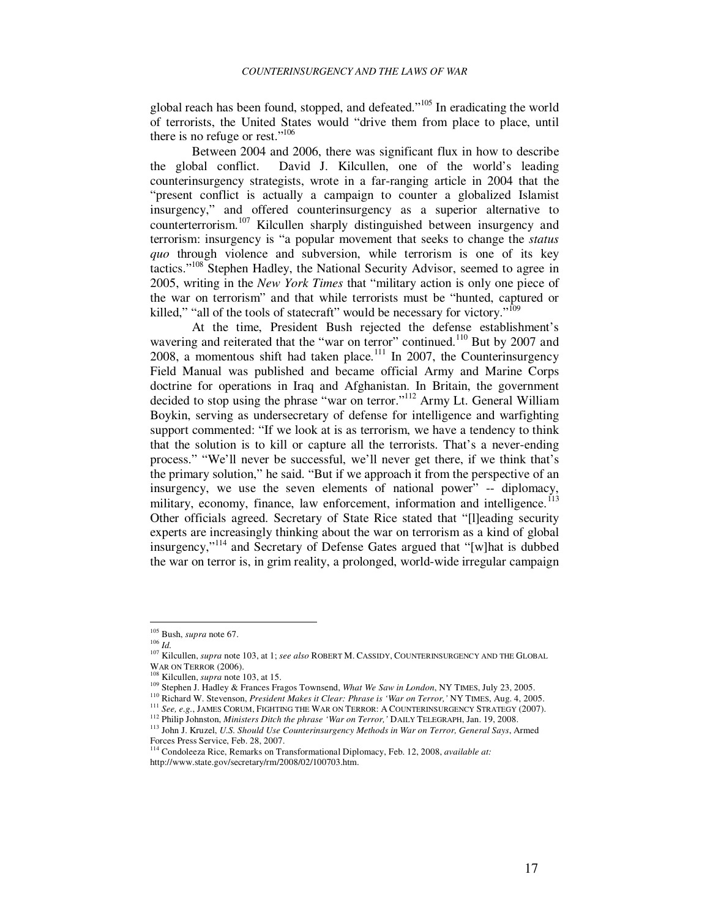global reach has been found, stopped, and defeated."<sup>105</sup> In eradicating the world of terrorists, the United States would "drive them from place to place, until there is no refuge or rest." $106$ 

Between 2004 and 2006, there was significant flux in how to describe the global conflict. David J. Kilcullen, one of the world's leading counterinsurgency strategists, wrote in a far-ranging article in 2004 that the "present conflict is actually a campaign to counter a globalized Islamist insurgency," and offered counterinsurgency as a superior alternative to counterterrorism.<sup>107</sup> Kilcullen sharply distinguished between insurgency and terrorism: insurgency is "a popular movement that seeks to change the *status quo* through violence and subversion, while terrorism is one of its key tactics."<sup>108</sup> Stephen Hadley, the National Security Advisor, seemed to agree in 2005, writing in the *New York Times* that "military action is only one piece of the war on terrorism" and that while terrorists must be "hunted, captured or killed," "all of the tools of statecraft" would be necessary for victory."<sup>109</sup>

At the time, President Bush rejected the defense establishment's wavering and reiterated that the "war on terror" continued.<sup>110</sup> But by 2007 and 2008, a momentous shift had taken place.<sup>111</sup> In 2007, the Counterinsurgency Field Manual was published and became official Army and Marine Corps doctrine for operations in Iraq and Afghanistan. In Britain, the government decided to stop using the phrase "war on terror."<sup>112</sup> Army Lt. General William Boykin, serving as undersecretary of defense for intelligence and warfighting support commented: "If we look at is as terrorism, we have a tendency to think that the solution is to kill or capture all the terrorists. That's a never-ending process." "We'll never be successful, we'll never get there, if we think that's the primary solution," he said. "But if we approach it from the perspective of an insurgency, we use the seven elements of national power" -- diplomacy, military, economy, finance, law enforcement, information and intelligence.<sup>1</sup> Other officials agreed. Secretary of State Rice stated that "[l]eading security experts are increasingly thinking about the war on terrorism as a kind of global insurgency,"<sup>114</sup> and Secretary of Defense Gates argued that "[w]hat is dubbed the war on terror is, in grim reality, a prolonged, world-wide irregular campaign

<sup>105</sup> Bush, *supra* note 67.

<sup>106</sup> *Id.*

<sup>107</sup> Kilcullen, *supra* note 103, at 1; *see also* ROBERT M. CASSIDY, COUNTERINSURGENCY AND THE GLOBAL WAR ON TERROR (2006).

<sup>108</sup> Kilcullen, *supra* note 103, at 15.

<sup>109</sup> Stephen J. Hadley & Frances Fragos Townsend, *What We Saw in London*, NY TIMES, July 23, 2005.

<sup>110</sup> Richard W. Stevenson, *President Makes it Clear: Phrase is 'War on Terror,'* NY TIMES, Aug. 4, 2005.

<sup>111</sup> *See, e.g.*, JAMES CORUM, FIGHTING THE WAR ON TERROR: A COUNTERINSURGENCY STRATEGY (2007).

<sup>112</sup> Philip Johnston, *Ministers Ditch the phrase 'War on Terror,'* DAILY TELEGRAPH, Jan. 19, 2008.

<sup>113</sup> John J. Kruzel, *U.S. Should Use Counterinsurgency Methods in War on Terror, General Says*, Armed Forces Press Service, Feb. 28, 2007.

<sup>114</sup> Condoleeza Rice, Remarks on Transformational Diplomacy, Feb. 12, 2008, *available at:*  http://www.state.gov/secretary/rm/2008/02/100703.htm.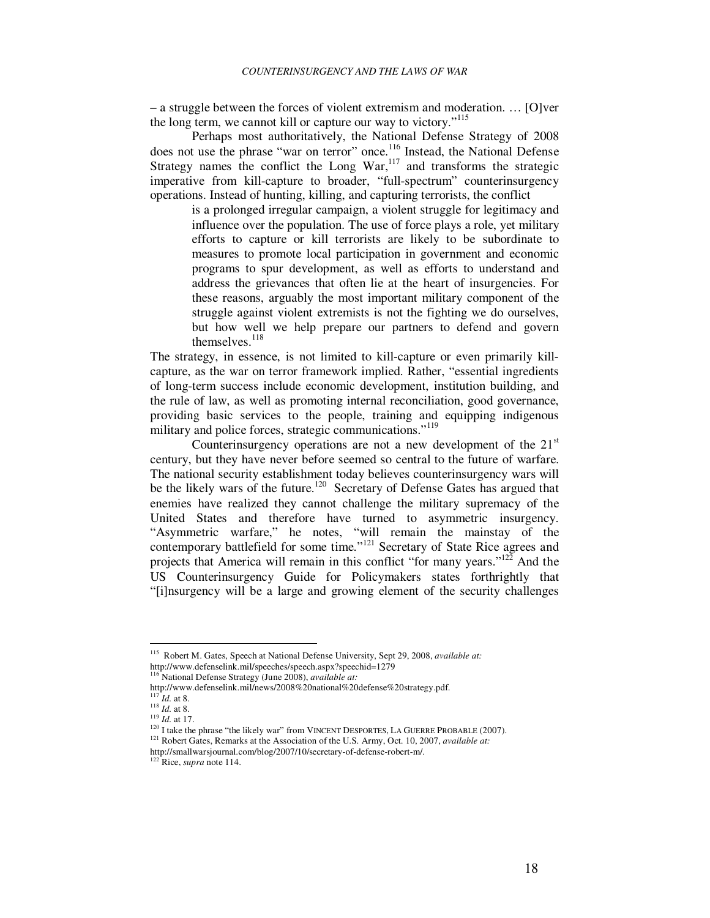– a struggle between the forces of violent extremism and moderation. … [O]ver the long term, we cannot kill or capture our way to victory."<sup>115</sup>

Perhaps most authoritatively, the National Defense Strategy of 2008 does not use the phrase "war on terror" once.<sup>116</sup> Instead, the National Defense Strategy names the conflict the Long  $War<sub>117</sub>$  and transforms the strategic imperative from kill-capture to broader, "full-spectrum" counterinsurgency operations. Instead of hunting, killing, and capturing terrorists, the conflict

> is a prolonged irregular campaign, a violent struggle for legitimacy and influence over the population. The use of force plays a role, yet military efforts to capture or kill terrorists are likely to be subordinate to measures to promote local participation in government and economic programs to spur development, as well as efforts to understand and address the grievances that often lie at the heart of insurgencies. For these reasons, arguably the most important military component of the struggle against violent extremists is not the fighting we do ourselves, but how well we help prepare our partners to defend and govern themselves. $118$

The strategy, in essence, is not limited to kill-capture or even primarily killcapture, as the war on terror framework implied. Rather, "essential ingredients of long-term success include economic development, institution building, and the rule of law, as well as promoting internal reconciliation, good governance, providing basic services to the people, training and equipping indigenous military and police forces, strategic communications."<sup>119</sup>

Counterinsurgency operations are not a new development of the 21<sup>st</sup> century, but they have never before seemed so central to the future of warfare. The national security establishment today believes counterinsurgency wars will be the likely wars of the future.<sup>120</sup> Secretary of Defense Gates has argued that enemies have realized they cannot challenge the military supremacy of the United States and therefore have turned to asymmetric insurgency. "Asymmetric warfare," he notes, "will remain the mainstay of the contemporary battlefield for some time."<sup>121</sup> Secretary of State Rice agrees and projects that America will remain in this conflict "for many years."<sup>122</sup> And the US Counterinsurgency Guide for Policymakers states forthrightly that "[i]nsurgency will be a large and growing element of the security challenges

<sup>115</sup> Robert M. Gates, Speech at National Defense University, Sept 29, 2008, *available at:*  http://www.defenselink.mil/speeches/speech.aspx?speechid=1279

<sup>116</sup> National Defense Strategy (June 2008), *available at:* 

http://www.defenselink.mil/news/2008%20national%20defense%20strategy.pdf.

*Id.* at 8.

 $\frac{118}{10}$  *Id.* at 8.

<sup>119</sup> *Id.* at 17.

<sup>&</sup>lt;sup>120</sup> I take the phrase "the likely war" from VINCENT DESPORTES, LA GUERRE PROBABLE (2007).

<sup>121</sup> Robert Gates, Remarks at the Association of the U.S. Army, Oct. 10, 2007, *available at:*

http://smallwarsjournal.com/blog/2007/10/secretary-of-defense-robert-m/.

<sup>122</sup> Rice, *supra* note 114.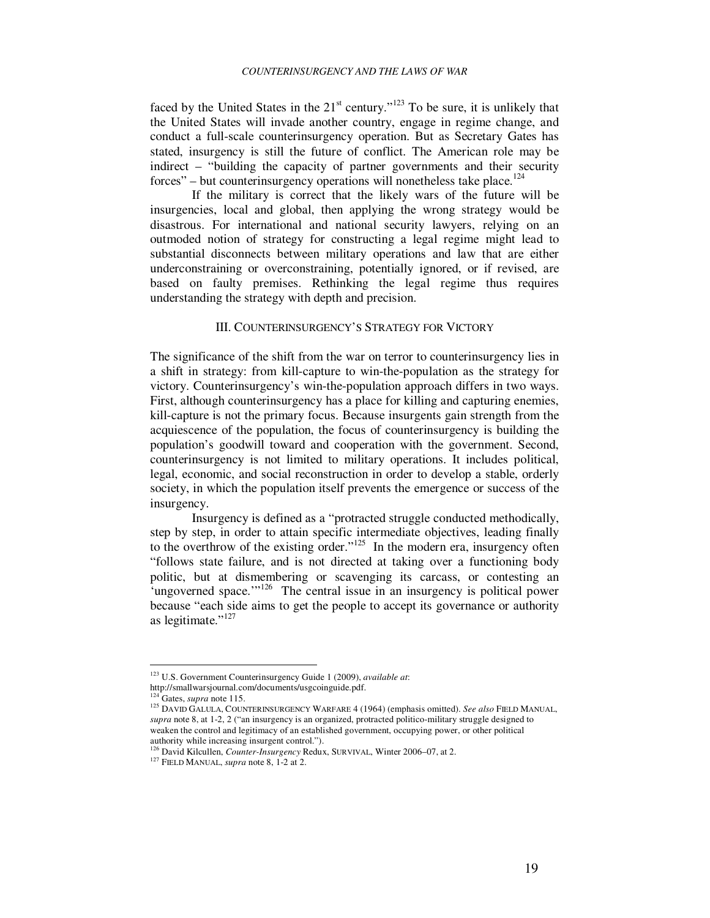faced by the United States in the  $21<sup>st</sup>$  century.<sup>"123</sup> To be sure, it is unlikely that the United States will invade another country, engage in regime change, and conduct a full-scale counterinsurgency operation. But as Secretary Gates has stated, insurgency is still the future of conflict. The American role may be indirect – "building the capacity of partner governments and their security forces" – but counterinsurgency operations will nonetheless take place.<sup>124</sup>

If the military is correct that the likely wars of the future will be insurgencies, local and global, then applying the wrong strategy would be disastrous. For international and national security lawyers, relying on an outmoded notion of strategy for constructing a legal regime might lead to substantial disconnects between military operations and law that are either underconstraining or overconstraining, potentially ignored, or if revised, are based on faulty premises. Rethinking the legal regime thus requires understanding the strategy with depth and precision.

### III. COUNTERINSURGENCY'S STRATEGY FOR VICTORY

The significance of the shift from the war on terror to counterinsurgency lies in a shift in strategy: from kill-capture to win-the-population as the strategy for victory. Counterinsurgency's win-the-population approach differs in two ways. First, although counterinsurgency has a place for killing and capturing enemies, kill-capture is not the primary focus. Because insurgents gain strength from the acquiescence of the population, the focus of counterinsurgency is building the population's goodwill toward and cooperation with the government. Second, counterinsurgency is not limited to military operations. It includes political, legal, economic, and social reconstruction in order to develop a stable, orderly society, in which the population itself prevents the emergence or success of the insurgency.

Insurgency is defined as a "protracted struggle conducted methodically, step by step, in order to attain specific intermediate objectives, leading finally to the overthrow of the existing order."<sup>125</sup> In the modern era, insurgency often "follows state failure, and is not directed at taking over a functioning body politic, but at dismembering or scavenging its carcass, or contesting an 'ungoverned space.'"<sup>126</sup> The central issue in an insurgency is political power because "each side aims to get the people to accept its governance or authority as legitimate."<sup>127</sup>

<sup>123</sup> U.S. Government Counterinsurgency Guide 1 (2009), *available at*:

http://smallwarsjournal.com/documents/usgcoinguide.pdf.

Gates, *supra* note 115.

<sup>125</sup> DAVID GALULA, COUNTERINSURGENCY WARFARE 4 (1964) (emphasis omitted). *See also* FIELD MANUAL, *supra* note 8, at 1-2, 2 ("an insurgency is an organized, protracted politico-military struggle designed to weaken the control and legitimacy of an established government, occupying power, or other political authority while increasing insurgent control.").

<sup>126</sup> David Kilcullen, *Counter-Insurgency* Redux, SURVIVAL, Winter 2006–07, at 2.

<sup>127</sup> FIELD MANUAL, *supra* note 8, 1-2 at 2.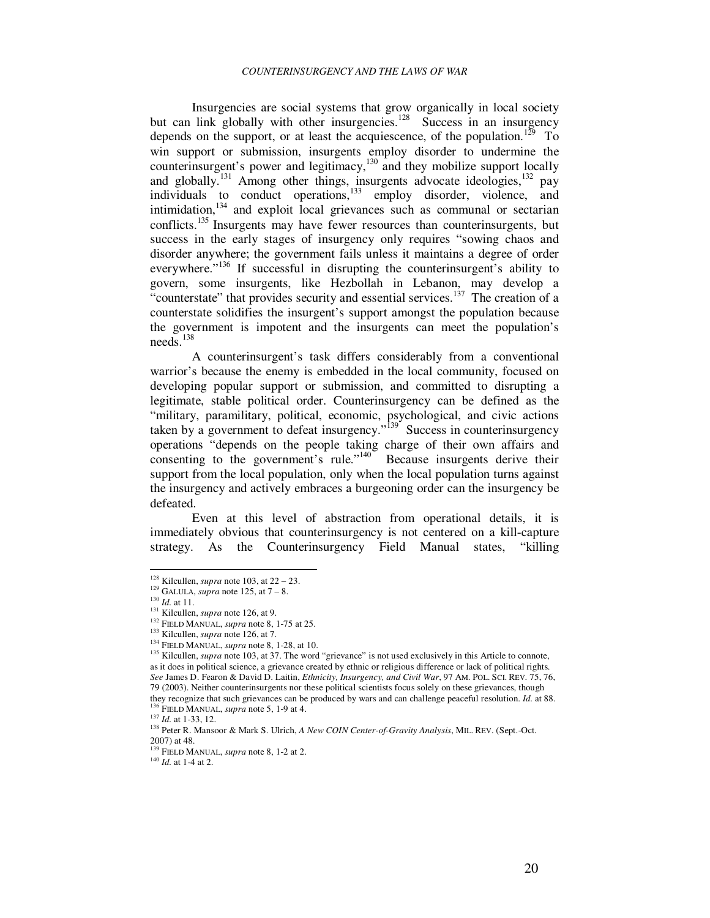Insurgencies are social systems that grow organically in local society but can link globally with other insurgencies.<sup>128</sup> Success in an insurgency depends on the support, or at least the acquiescence, of the population.<sup>129</sup> To win support or submission, insurgents employ disorder to undermine the counterinsurgent's power and legitimacy, $130 \text{ rad}$  they mobilize support locally and globally.<sup>131</sup> Among other things, insurgents advocate ideologies,<sup>132</sup> pay individuals to conduct operations,<sup>133</sup> employ disorder, violence, and intimidation, $134$  and exploit local grievances such as communal or sectarian conflicts.<sup>135</sup> Insurgents may have fewer resources than counterinsurgents, but success in the early stages of insurgency only requires "sowing chaos and disorder anywhere; the government fails unless it maintains a degree of order everywhere."<sup>136</sup> If successful in disrupting the counterinsurgent's ability to govern, some insurgents, like Hezbollah in Lebanon, may develop a "counterstate" that provides security and essential services.<sup>137</sup> The creation of a counterstate solidifies the insurgent's support amongst the population because the government is impotent and the insurgents can meet the population's needs.<sup>138</sup>

A counterinsurgent's task differs considerably from a conventional warrior's because the enemy is embedded in the local community, focused on developing popular support or submission, and committed to disrupting a legitimate, stable political order. Counterinsurgency can be defined as the "military, paramilitary, political, economic, psychological, and civic actions taken by a government to defeat insurgency."<sup>139</sup> Success in counterinsurgency operations "depends on the people taking charge of their own affairs and consenting to the government's rule."<sup>140</sup> Because insurgents derive their support from the local population, only when the local population turns against the insurgency and actively embraces a burgeoning order can the insurgency be defeated.

Even at this level of abstraction from operational details, it is immediately obvious that counterinsurgency is not centered on a kill-capture strategy. As the Counterinsurgency Field Manual states, "killing

<sup>128</sup> Kilcullen, *supra* note 103, at 22 – 23.

<sup>&</sup>lt;sup>129</sup> GALULA, *supra* note 125, at  $7 - 8$ .

<sup>130</sup> *Id.* at 11.

<sup>131</sup> Kilcullen, *supra* note 126, at 9.

<sup>&</sup>lt;sup>132</sup> FIELD MANUAL, *supra* note 8, 1-75 at 25.

<sup>133</sup> Kilcullen, *supra* note 126, at 7.

<sup>134</sup> FIELD MANUAL, *supra* note 8, 1-28, at 10.

<sup>&</sup>lt;sup>135</sup> Kilcullen, *supra* note 103, at 37. The word "grievance" is not used exclusively in this Article to connote, as it does in political science, a grievance created by ethnic or religious difference or lack of political rights. *See* James D. Fearon & David D. Laitin, *Ethnicity, Insurgency, and Civil War*, 97 AM. POL. SCI. REV. 75, 76, 79 (2003). Neither counterinsurgents nor these political scientists focus solely on these grievances, though they recognize that such grievances can be produced by wars and can challenge peaceful resolution. *Id.* at 88. <sup>136</sup> FIELD MANUAL, *supra* note 5, 1-9 at 4.

<sup>&</sup>lt;sup>137</sup> *Id.* at 1-33, 12.

<sup>138</sup> Peter R. Mansoor & Mark S. Ulrich, *A New COIN Center-of-Gravity Analysis*, MIL. REV. (Sept.-Oct. 2007) at 48.

<sup>139</sup> FIELD MANUAL, *supra* note 8, 1-2 at 2.

<sup>140</sup> *Id.* at 1-4 at 2.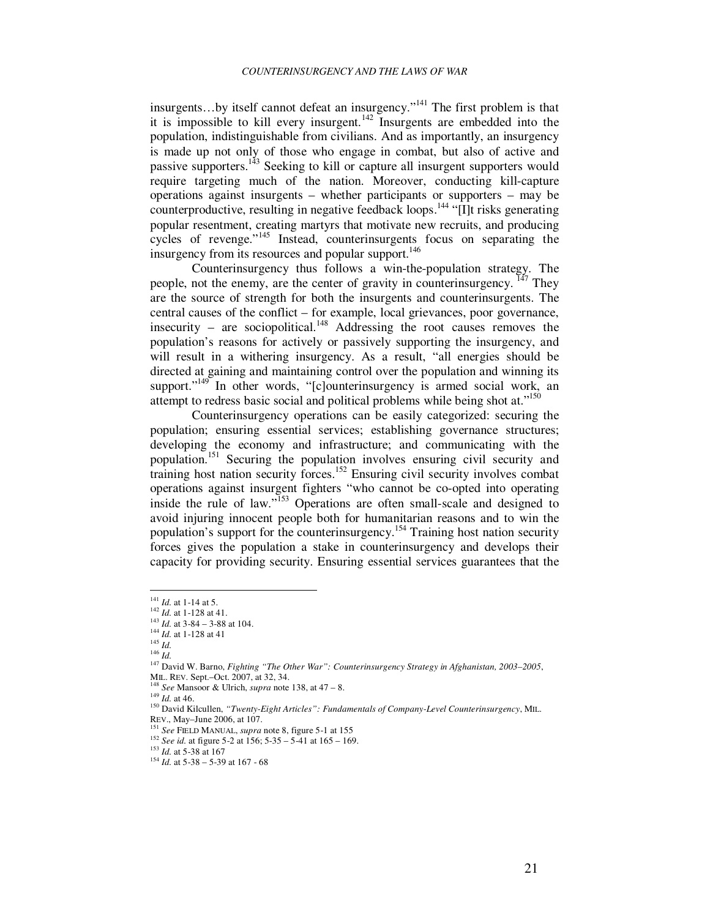insurgents...by itself cannot defeat an insurgency."<sup>141</sup> The first problem is that it is impossible to kill every insurgent.<sup>142</sup> Insurgents are embedded into the population, indistinguishable from civilians. And as importantly, an insurgency is made up not only of those who engage in combat, but also of active and passive supporters.<sup>143</sup> Seeking to kill or capture all insurgent supporters would require targeting much of the nation. Moreover, conducting kill-capture operations against insurgents – whether participants or supporters – may be counterproductive, resulting in negative feedback loops.<sup>144</sup> "[I]t risks generating popular resentment, creating martyrs that motivate new recruits, and producing cycles of revenge."<sup>145</sup> Instead, counterinsurgents focus on separating the insurgency from its resources and popular support.<sup>146</sup>

Counterinsurgency thus follows a win-the-population strategy. The people, not the enemy, are the center of gravity in counterinsurgency.<sup> $147$ </sup> They are the source of strength for both the insurgents and counterinsurgents. The central causes of the conflict – for example, local grievances, poor governance, insecurity – are sociopolitical.<sup>148</sup> Addressing the root causes removes the population's reasons for actively or passively supporting the insurgency, and will result in a withering insurgency. As a result, "all energies should be directed at gaining and maintaining control over the population and winning its support."<sup>149</sup> In other words, "[c]ounterinsurgency is armed social work, an attempt to redress basic social and political problems while being shot at."<sup>150</sup>

Counterinsurgency operations can be easily categorized: securing the population; ensuring essential services; establishing governance structures; developing the economy and infrastructure; and communicating with the population.<sup>151</sup> Securing the population involves ensuring civil security and training host nation security forces.<sup>152</sup> Ensuring civil security involves combat operations against insurgent fighters "who cannot be co-opted into operating inside the rule of law."<sup>153</sup> Operations are often small-scale and designed to avoid injuring innocent people both for humanitarian reasons and to win the population's support for the counterinsurgency.<sup>154</sup> Training host nation security forces gives the population a stake in counterinsurgency and develops their capacity for providing security. Ensuring essential services guarantees that the

-

<sup>149</sup> *Id.* at 46.

<sup>141</sup> *Id.* at 1-14 at 5.

<sup>142</sup> *Id.* at 1-128 at 41.

<sup>&</sup>lt;sup>143</sup> *Id.* at  $3-84-3-88$  at 104.

<sup>144</sup> *Id.* at 1-128 at 41

<sup>145</sup> *Id.* <sup>146</sup> *Id.*

<sup>147</sup> David W. Barno, *Fighting "The Other War": Counterinsurgency Strategy in Afghanistan, 2003–2005*, MIL. REV. Sept.–Oct. 2007, at 32, 34.

<sup>148</sup> *See* Mansoor & Ulrich, *supra* note 138, at 47 – 8.

<sup>150</sup> David Kilcullen, *"Twenty-Eight Articles": Fundamentals of Company-Level Counterinsurgency*, MIL. REV., May–June 2006, at 107.

<sup>&</sup>lt;sup>151</sup> See FIELD MANUAL, *supra* note 8, figure 5-1 at 155

<sup>152</sup> *See id.* at figure 5-2 at 156; 5-35 – 5-41 at 165 – 169.

<sup>153</sup> *Id.* at 5-38 at 167

 $^{154}$   $Id.\;$  at 5-38 – 5-39 at 167 - 68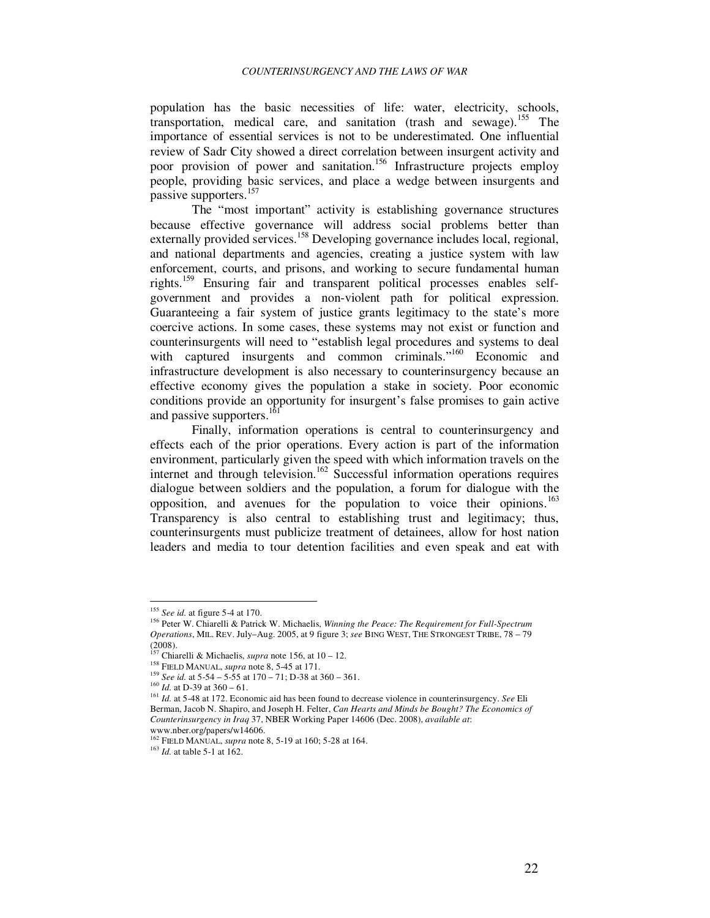population has the basic necessities of life: water, electricity, schools, transportation, medical care, and sanitation (trash and sewage).<sup>155</sup> The importance of essential services is not to be underestimated. One influential review of Sadr City showed a direct correlation between insurgent activity and poor provision of power and sanitation.<sup>156</sup> Infrastructure projects employ people, providing basic services, and place a wedge between insurgents and passive supporters.<sup>157</sup>

The "most important" activity is establishing governance structures because effective governance will address social problems better than externally provided services.<sup>158</sup> Developing governance includes local, regional, and national departments and agencies, creating a justice system with law enforcement, courts, and prisons, and working to secure fundamental human rights.<sup>159</sup> Ensuring fair and transparent political processes enables selfgovernment and provides a non-violent path for political expression. Guaranteeing a fair system of justice grants legitimacy to the state's more coercive actions. In some cases, these systems may not exist or function and counterinsurgents will need to "establish legal procedures and systems to deal with captured insurgents and common criminals."<sup>160</sup> Economic and infrastructure development is also necessary to counterinsurgency because an effective economy gives the population a stake in society. Poor economic conditions provide an opportunity for insurgent's false promises to gain active and passive supporters.<sup>16</sup>

Finally, information operations is central to counterinsurgency and effects each of the prior operations. Every action is part of the information environment, particularly given the speed with which information travels on the internet and through television.<sup>162</sup> Successful information operations requires dialogue between soldiers and the population, a forum for dialogue with the opposition, and avenues for the population to voice their opinions.<sup>163</sup> Transparency is also central to establishing trust and legitimacy; thus, counterinsurgents must publicize treatment of detainees, allow for host nation leaders and media to tour detention facilities and even speak and eat with

<sup>155</sup> *See id.* at figure 5-4 at 170.

<sup>156</sup> Peter W. Chiarelli & Patrick W. Michaelis, *Winning the Peace: The Requirement for Full-Spectrum Operations*, MIL. REV. July–Aug. 2005, at 9 figure 3; *see* BING WEST, THE STRONGEST TRIBE, 78 – 79  $(2008).$ 

<sup>157</sup> Chiarelli & Michaelis, *supra* note 156, at 10 – 12.

<sup>158</sup> FIELD MANUAL, *supra* note 8, 5-45 at 171.

<sup>159</sup> *See id.* at 5-54 – 5-55 at 170 – 71; D-38 at 360 – 361.

<sup>160</sup> *Id.* at D-39 at 360 – 61.

<sup>161</sup> *Id.* at 5-48 at 172. Economic aid has been found to decrease violence in counterinsurgency. *See* Eli Berman, Jacob N. Shapiro, and Joseph H. Felter, *Can Hearts and Minds be Bought? The Economics of Counterinsurgency in Iraq* 37, NBER Working Paper 14606 (Dec. 2008), *available at*:

www.nber.org/papers/w14606. <sup>162</sup> FIELD MANUAL, *supra* note 8, 5-19 at 160; 5-28 at 164.

<sup>163</sup> *Id.* at table 5-1 at 162.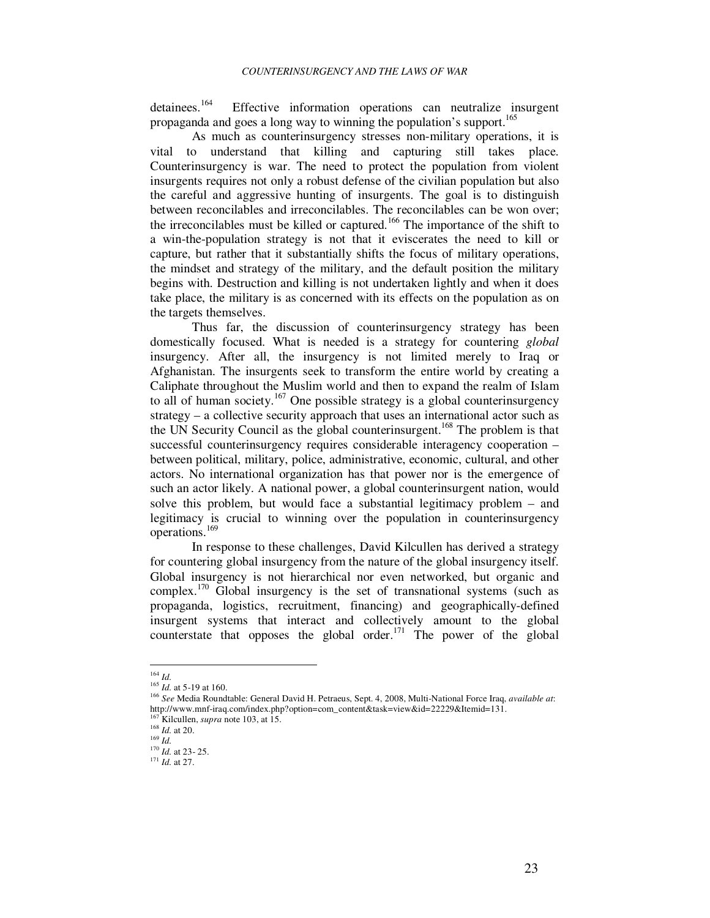detainees.<sup>164</sup> Effective information operations can neutralize insurgent propaganda and goes a long way to winning the population's support.<sup>165</sup>

As much as counterinsurgency stresses non-military operations, it is vital to understand that killing and capturing still takes place. Counterinsurgency is war. The need to protect the population from violent insurgents requires not only a robust defense of the civilian population but also the careful and aggressive hunting of insurgents. The goal is to distinguish between reconcilables and irreconcilables. The reconcilables can be won over; the irreconcilables must be killed or captured.<sup>166</sup> The importance of the shift to a win-the-population strategy is not that it eviscerates the need to kill or capture, but rather that it substantially shifts the focus of military operations, the mindset and strategy of the military, and the default position the military begins with. Destruction and killing is not undertaken lightly and when it does take place, the military is as concerned with its effects on the population as on the targets themselves.

Thus far, the discussion of counterinsurgency strategy has been domestically focused. What is needed is a strategy for countering *global* insurgency. After all, the insurgency is not limited merely to Iraq or Afghanistan. The insurgents seek to transform the entire world by creating a Caliphate throughout the Muslim world and then to expand the realm of Islam to all of human society.<sup>167</sup> One possible strategy is a global counterinsurgency strategy – a collective security approach that uses an international actor such as the UN Security Council as the global counterinsurgent.<sup>168</sup> The problem is that successful counterinsurgency requires considerable interagency cooperation – between political, military, police, administrative, economic, cultural, and other actors. No international organization has that power nor is the emergence of such an actor likely. A national power, a global counterinsurgent nation, would solve this problem, but would face a substantial legitimacy problem – and legitimacy is crucial to winning over the population in counterinsurgency operations.<sup>169</sup>

In response to these challenges, David Kilcullen has derived a strategy for countering global insurgency from the nature of the global insurgency itself. Global insurgency is not hierarchical nor even networked, but organic and complex.<sup>170</sup> Global insurgency is the set of transnational systems (such as propaganda, logistics, recruitment, financing) and geographically-defined insurgent systems that interact and collectively amount to the global counterstate that opposes the global order.<sup>171</sup> The power of the global

-

 $^{169}$  *Id.* 

<sup>164</sup> *Id.*

<sup>165</sup> *Id.* at 5-19 at 160.

<sup>166</sup> *See* Media Roundtable: General David H. Petraeus, Sept. 4, 2008, Multi-National Force Iraq, *available at*: http://www.mnf-iraq.com/index.php?option=com\_content&task=view&id=22229&Itemid=131. <sup>167</sup> Kilcullen, *supra* note 103, at 15.

<sup>168</sup> *Id.* at 20.

 $\frac{170}{1}$  *Id.* at 23- 25.

<sup>171</sup> *Id.* at 27.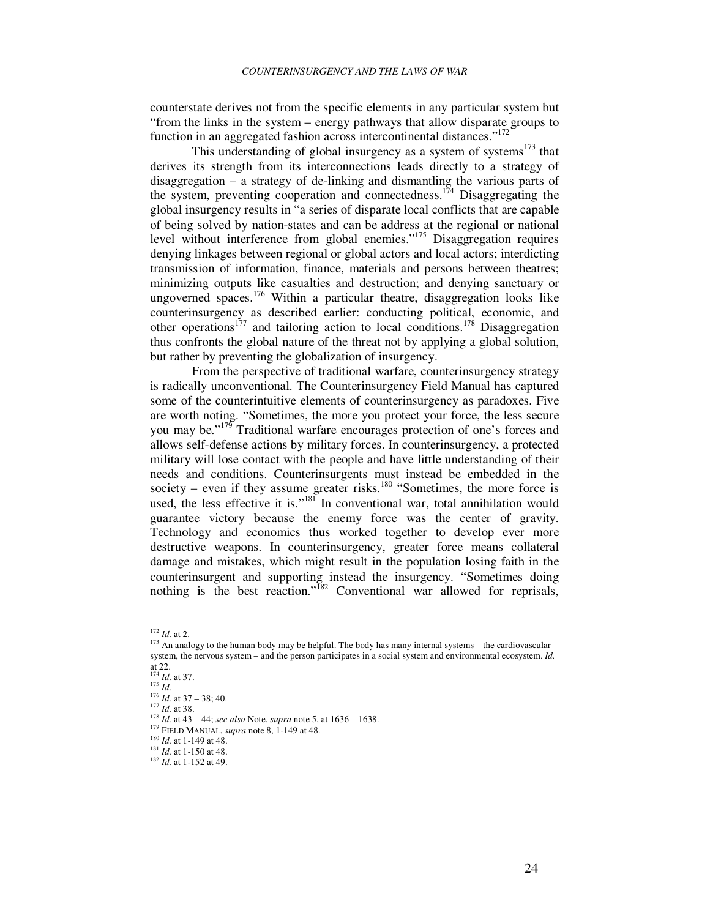counterstate derives not from the specific elements in any particular system but "from the links in the system – energy pathways that allow disparate groups to function in an aggregated fashion across intercontinental distances."<sup>172</sup>

This understanding of global insurgency as a system of systems<sup>173</sup> that derives its strength from its interconnections leads directly to a strategy of disaggregation – a strategy of de-linking and dismantling the various parts of the system, preventing cooperation and connectedness.<sup>174</sup> Disaggregating the global insurgency results in "a series of disparate local conflicts that are capable of being solved by nation-states and can be address at the regional or national level without interference from global enemies."<sup>175</sup> Disaggregation requires denying linkages between regional or global actors and local actors; interdicting transmission of information, finance, materials and persons between theatres; minimizing outputs like casualties and destruction; and denying sanctuary or ungoverned spaces.<sup>176</sup> Within a particular theatre, disaggregation looks like counterinsurgency as described earlier: conducting political, economic, and other operations<sup>177</sup> and tailoring action to local conditions.<sup>178</sup> Disaggregation thus confronts the global nature of the threat not by applying a global solution, but rather by preventing the globalization of insurgency.

From the perspective of traditional warfare, counterinsurgency strategy is radically unconventional. The Counterinsurgency Field Manual has captured some of the counterintuitive elements of counterinsurgency as paradoxes. Five are worth noting. "Sometimes, the more you protect your force, the less secure you may be."<sup>179</sup> Traditional warfare encourages protection of one's forces and allows self-defense actions by military forces. In counterinsurgency, a protected military will lose contact with the people and have little understanding of their needs and conditions. Counterinsurgents must instead be embedded in the society – even if they assume greater risks.<sup>180</sup> "Sometimes, the more force is used, the less effective it is."<sup>181</sup> In conventional war, total annihilation would guarantee victory because the enemy force was the center of gravity. Technology and economics thus worked together to develop ever more destructive weapons. In counterinsurgency, greater force means collateral damage and mistakes, which might result in the population losing faith in the counterinsurgent and supporting instead the insurgency. "Sometimes doing nothing is the best reaction."<sup>182</sup> Conventional war allowed for reprisals,

<sup>172</sup> *Id.* at 2.

<sup>&</sup>lt;sup>173</sup> An analogy to the human body may be helpful. The body has many internal systems – the cardiovascular system, the nervous system – and the person participates in a social system and environmental ecosystem. *Id.* at 22.

<sup>174</sup> *Id.* at 37.

<sup>175</sup> *Id.*

 $176$  *Id.* at 37 – 38; 40.

<sup>177</sup> *Id.* at 38.

<sup>178</sup> *Id.* at 43 – 44; *see also* Note, *supra* note 5, at 1636 – 1638.

<sup>179</sup> FIELD MANUAL, *supra* note 8, 1-149 at 48.

<sup>180</sup> *Id.* at 1-149 at 48.

<sup>&</sup>lt;sup>181</sup> *Id.* at 1-150 at 48.

<sup>182</sup> *Id.* at 1-152 at 49.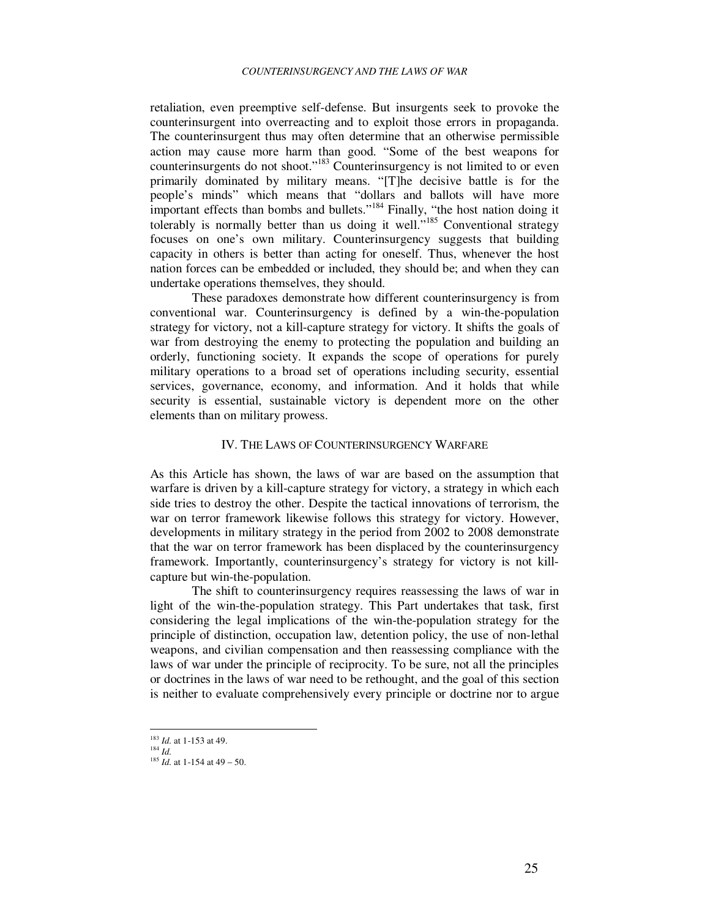retaliation, even preemptive self-defense. But insurgents seek to provoke the counterinsurgent into overreacting and to exploit those errors in propaganda. The counterinsurgent thus may often determine that an otherwise permissible action may cause more harm than good. "Some of the best weapons for counterinsurgents do not shoot."<sup>183</sup> Counterinsurgency is not limited to or even primarily dominated by military means. "[T]he decisive battle is for the people's minds" which means that "dollars and ballots will have more important effects than bombs and bullets."<sup>184</sup> Finally, "the host nation doing it tolerably is normally better than us doing it well.<sup> $185$ </sup> Conventional strategy focuses on one's own military. Counterinsurgency suggests that building capacity in others is better than acting for oneself. Thus, whenever the host nation forces can be embedded or included, they should be; and when they can undertake operations themselves, they should.

These paradoxes demonstrate how different counterinsurgency is from conventional war. Counterinsurgency is defined by a win-the-population strategy for victory, not a kill-capture strategy for victory. It shifts the goals of war from destroying the enemy to protecting the population and building an orderly, functioning society. It expands the scope of operations for purely military operations to a broad set of operations including security, essential services, governance, economy, and information. And it holds that while security is essential, sustainable victory is dependent more on the other elements than on military prowess.

## IV. THE LAWS OF COUNTERINSURGENCY WARFARE

As this Article has shown, the laws of war are based on the assumption that warfare is driven by a kill-capture strategy for victory, a strategy in which each side tries to destroy the other. Despite the tactical innovations of terrorism, the war on terror framework likewise follows this strategy for victory. However, developments in military strategy in the period from 2002 to 2008 demonstrate that the war on terror framework has been displaced by the counterinsurgency framework. Importantly, counterinsurgency's strategy for victory is not killcapture but win-the-population.

The shift to counterinsurgency requires reassessing the laws of war in light of the win-the-population strategy. This Part undertakes that task, first considering the legal implications of the win-the-population strategy for the principle of distinction, occupation law, detention policy, the use of non-lethal weapons, and civilian compensation and then reassessing compliance with the laws of war under the principle of reciprocity. To be sure, not all the principles or doctrines in the laws of war need to be rethought, and the goal of this section is neither to evaluate comprehensively every principle or doctrine nor to argue

<sup>-</sup><sup>183</sup> *Id.* at 1-153 at 49.

<sup>184</sup> *Id.*

<sup>185</sup> *Id.* at 1-154 at 49 – 50.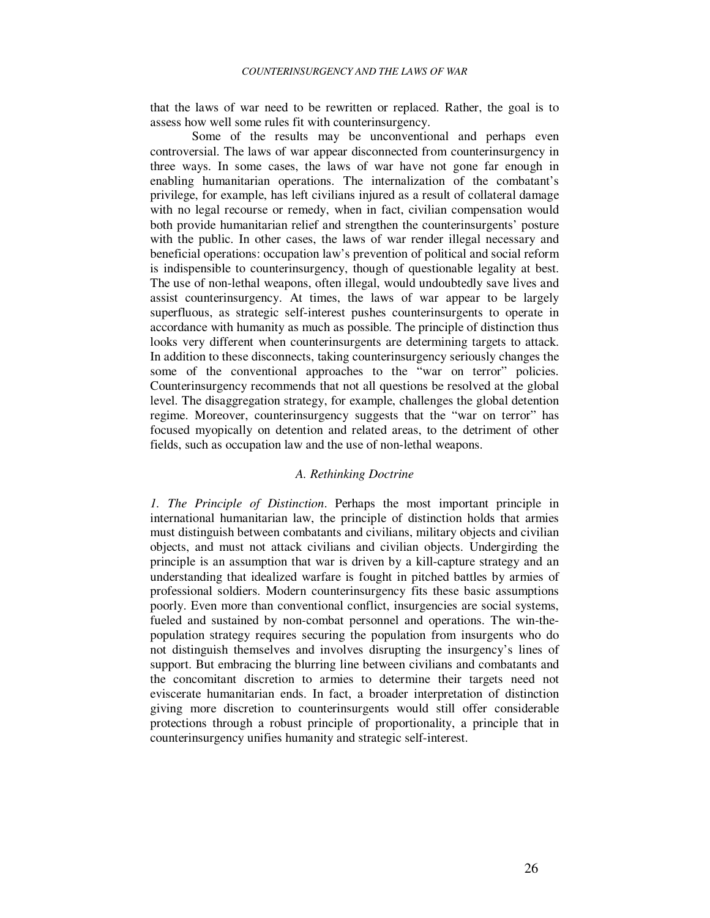that the laws of war need to be rewritten or replaced. Rather, the goal is to assess how well some rules fit with counterinsurgency.

Some of the results may be unconventional and perhaps even controversial. The laws of war appear disconnected from counterinsurgency in three ways. In some cases, the laws of war have not gone far enough in enabling humanitarian operations. The internalization of the combatant's privilege, for example, has left civilians injured as a result of collateral damage with no legal recourse or remedy, when in fact, civilian compensation would both provide humanitarian relief and strengthen the counterinsurgents' posture with the public. In other cases, the laws of war render illegal necessary and beneficial operations: occupation law's prevention of political and social reform is indispensible to counterinsurgency, though of questionable legality at best. The use of non-lethal weapons, often illegal, would undoubtedly save lives and assist counterinsurgency. At times, the laws of war appear to be largely superfluous, as strategic self-interest pushes counterinsurgents to operate in accordance with humanity as much as possible. The principle of distinction thus looks very different when counterinsurgents are determining targets to attack. In addition to these disconnects, taking counterinsurgency seriously changes the some of the conventional approaches to the "war on terror" policies. Counterinsurgency recommends that not all questions be resolved at the global level. The disaggregation strategy, for example, challenges the global detention regime. Moreover, counterinsurgency suggests that the "war on terror" has focused myopically on detention and related areas, to the detriment of other fields, such as occupation law and the use of non-lethal weapons.

### *A. Rethinking Doctrine*

*1. The Principle of Distinction*. Perhaps the most important principle in international humanitarian law, the principle of distinction holds that armies must distinguish between combatants and civilians, military objects and civilian objects, and must not attack civilians and civilian objects. Undergirding the principle is an assumption that war is driven by a kill-capture strategy and an understanding that idealized warfare is fought in pitched battles by armies of professional soldiers. Modern counterinsurgency fits these basic assumptions poorly. Even more than conventional conflict, insurgencies are social systems, fueled and sustained by non-combat personnel and operations. The win-thepopulation strategy requires securing the population from insurgents who do not distinguish themselves and involves disrupting the insurgency's lines of support. But embracing the blurring line between civilians and combatants and the concomitant discretion to armies to determine their targets need not eviscerate humanitarian ends. In fact, a broader interpretation of distinction giving more discretion to counterinsurgents would still offer considerable protections through a robust principle of proportionality, a principle that in counterinsurgency unifies humanity and strategic self-interest.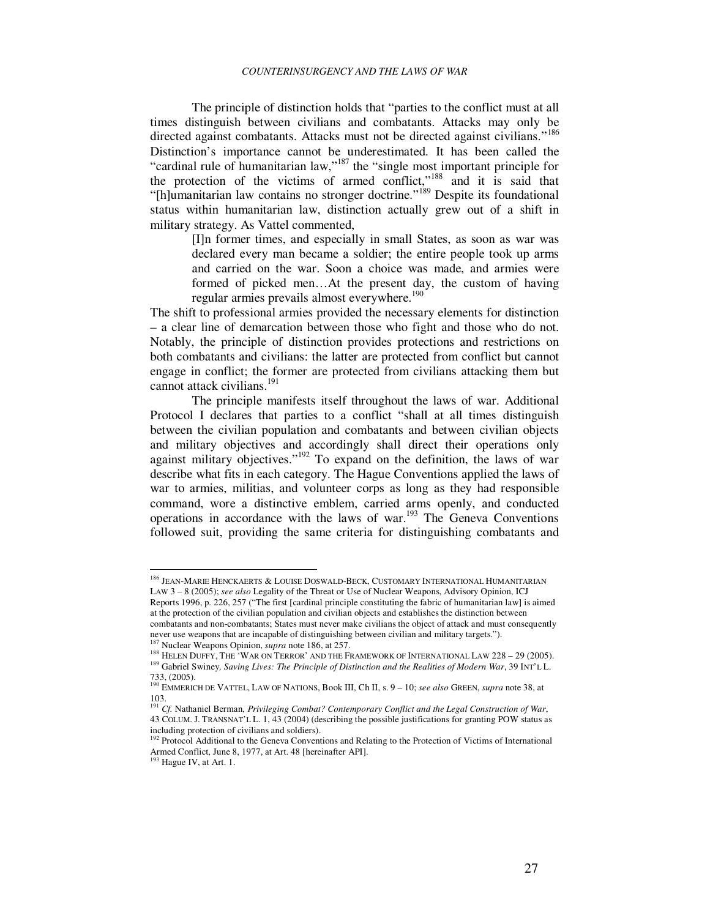The principle of distinction holds that "parties to the conflict must at all times distinguish between civilians and combatants. Attacks may only be directed against combatants. Attacks must not be directed against civilians."<sup>186</sup> Distinction's importance cannot be underestimated. It has been called the "cardinal rule of humanitarian law,"<sup>187</sup> the "single most important principle for the protection of the victims of armed conflict,"<sup>188</sup> and it is said that "[h]umanitarian law contains no stronger doctrine."<sup>189</sup> Despite its foundational status within humanitarian law, distinction actually grew out of a shift in military strategy. As Vattel commented,

> [I]n former times, and especially in small States, as soon as war was declared every man became a soldier; the entire people took up arms and carried on the war. Soon a choice was made, and armies were formed of picked men…At the present day, the custom of having regular armies prevails almost everywhere.<sup>190</sup>

The shift to professional armies provided the necessary elements for distinction – a clear line of demarcation between those who fight and those who do not. Notably, the principle of distinction provides protections and restrictions on both combatants and civilians: the latter are protected from conflict but cannot engage in conflict; the former are protected from civilians attacking them but cannot attack civilians.<sup>191</sup>

The principle manifests itself throughout the laws of war. Additional Protocol I declares that parties to a conflict "shall at all times distinguish between the civilian population and combatants and between civilian objects and military objectives and accordingly shall direct their operations only against military objectives."<sup>192</sup> To expand on the definition, the laws of war describe what fits in each category. The Hague Conventions applied the laws of war to armies, militias, and volunteer corps as long as they had responsible command, wore a distinctive emblem, carried arms openly, and conducted operations in accordance with the laws of war.<sup>193</sup> The Geneva Conventions followed suit, providing the same criteria for distinguishing combatants and

<sup>186</sup> JEAN-MARIE HENCKAERTS & LOUISE DOSWALD-BECK, CUSTOMARY INTERNATIONAL HUMANITARIAN LAW 3 – 8 (2005); *see also* Legality of the Threat or Use of Nuclear Weapons, Advisory Opinion, ICJ

Reports 1996, p. 226, 257 ("The first [cardinal principle constituting the fabric of humanitarian law] is aimed at the protection of the civilian population and civilian objects and establishes the distinction between combatants and non-combatants; States must never make civilians the object of attack and must consequently never use weapons that are incapable of distinguishing between civilian and military targets.").

<sup>187</sup> Nuclear Weapons Opinion, *supra* note 186, at 257.

 $^{188}$  HELEN DUFFY, THE 'WAR ON TERROR' AND THE FRAMEWORK OF INTERNATIONAL LAW 228 – 29 (2005). <sup>189</sup> Gabriel Swiney*, Saving Lives: The Principle of Distinction and the Realities of Modern War*, 39 INT'L L. 733, (2005).

<sup>190</sup> EMMERICH DE VATTEL, LAW OF NATIONS, Book III, Ch II, s. 9 – 10; *see also* GREEN, *supra* note 38, at 103.

<sup>191</sup> *Cf.* Nathaniel Berman, *Privileging Combat? Contemporary Conflict and the Legal Construction of War*, 43 COLUM. J. TRANSNAT'L L. 1, 43 (2004) (describing the possible justifications for granting POW status as including protection of civilians and soldiers).<br><sup>192</sup> Protocol Additional to the Geneva Conventions and Relating to the Protection of Victims of International

Armed Conflict, June 8, 1977, at Art. 48 [hereinafter API].

<sup>193</sup> Hague IV, at Art. 1.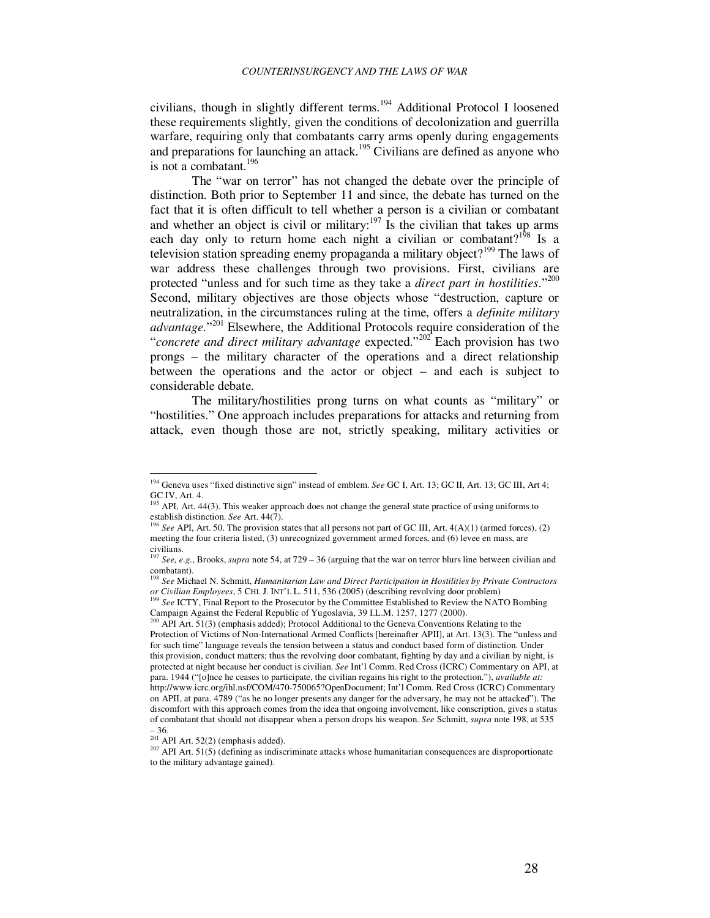civilians, though in slightly different terms.<sup>194</sup> Additional Protocol I loosened these requirements slightly, given the conditions of decolonization and guerrilla warfare, requiring only that combatants carry arms openly during engagements and preparations for launching an attack.<sup>195</sup> Civilians are defined as anyone who is not a combatant. $^{196}$ 

The "war on terror" has not changed the debate over the principle of distinction. Both prior to September 11 and since, the debate has turned on the fact that it is often difficult to tell whether a person is a civilian or combatant and whether an object is civil or military: $197 \text{ Is the civilian that takes up arms}$ each day only to return home each night a civilian or combatant?<sup>198</sup> Is a television station spreading enemy propaganda a military object?<sup>199</sup> The laws of war address these challenges through two provisions. First, civilians are protected "unless and for such time as they take a *direct part in hostilities*."<sup>200</sup> Second, military objectives are those objects whose "destruction, capture or neutralization, in the circumstances ruling at the time, offers a *definite military advantage.*" <sup>201</sup> Elsewhere, the Additional Protocols require consideration of the "*concrete and direct military advantage* expected."<sup>202</sup> Each provision has two prongs – the military character of the operations and a direct relationship between the operations and the actor or object – and each is subject to considerable debate.

The military/hostilities prong turns on what counts as "military" or "hostilities." One approach includes preparations for attacks and returning from attack, even though those are not, strictly speaking, military activities or

<sup>194</sup> Geneva uses "fixed distinctive sign" instead of emblem. *See* GC I, Art. 13; GC II, Art. 13; GC III, Art 4; GC IV, Art. 4.

<sup>&</sup>lt;sup>195</sup> API, Art. 44(3). This weaker approach does not change the general state practice of using uniforms to establish distinction. *See* Art. 44(7).

<sup>196</sup> *See* API, Art. 50. The provision states that all persons not part of GC III, Art. 4(A)(1) (armed forces), (2) meeting the four criteria listed, (3) unrecognized government armed forces, and (6) levee en mass, are civilians.

<sup>197</sup> *See, e.g.*, Brooks, *supra* note 54, at 729 – 36 (arguing that the war on terror blurs line between civilian and

combatant).<br><sup>198</sup> *See* Michael N. Schmitt, *Humanitarian Law and Direct Participation in Hostilities by Private Contractors or Civilian Employees*, 5 CHI. J. INT'L L. 511, 536 (2005) (describing revolving door problem)

<sup>&</sup>lt;sup>199</sup> See ICTY, Final Report to the Prosecutor by the Committee Established to Review the NATO Bombing Campaign Against the Federal Republic of Yugoslavia, 39 I.L.M. 1257, 1277 (2000).<br><sup>200</sup> API Art. 51(3) (emphasis added); Protocol Additional to the Geneva Conventions Relating to the

Protection of Victims of Non-International Armed Conflicts [hereinafter APII], at Art. 13(3). The "unless and for such time" language reveals the tension between a status and conduct based form of distinction. Under this provision, conduct matters; thus the revolving door combatant, fighting by day and a civilian by night, is protected at night because her conduct is civilian. *See* Int'l Comm. Red Cross (ICRC) Commentary on API, at para. 1944 ("[o]nce he ceases to participate, the civilian regains his right to the protection."), *available at:*  http://www.icrc.org/ihl.nsf/COM/470-750065?OpenDocument; Int'l Comm. Red Cross (ICRC) Commentary on APII, at para. 4789 ("as he no longer presents any danger for the adversary, he may not be attacked"). The discomfort with this approach comes from the idea that ongoing involvement, like conscription, gives a status of combatant that should not disappear when a person drops his weapon. *See* Schmitt, *supra* note 198, at 535

<sup>– 36.&</sup>lt;br><sup>201</sup> API Art. 52(2) (emphasis added).

<sup>&</sup>lt;sup>202</sup> API Art. 51(5) (defining as indiscriminate attacks whose humanitarian consequences are disproportionate to the military advantage gained).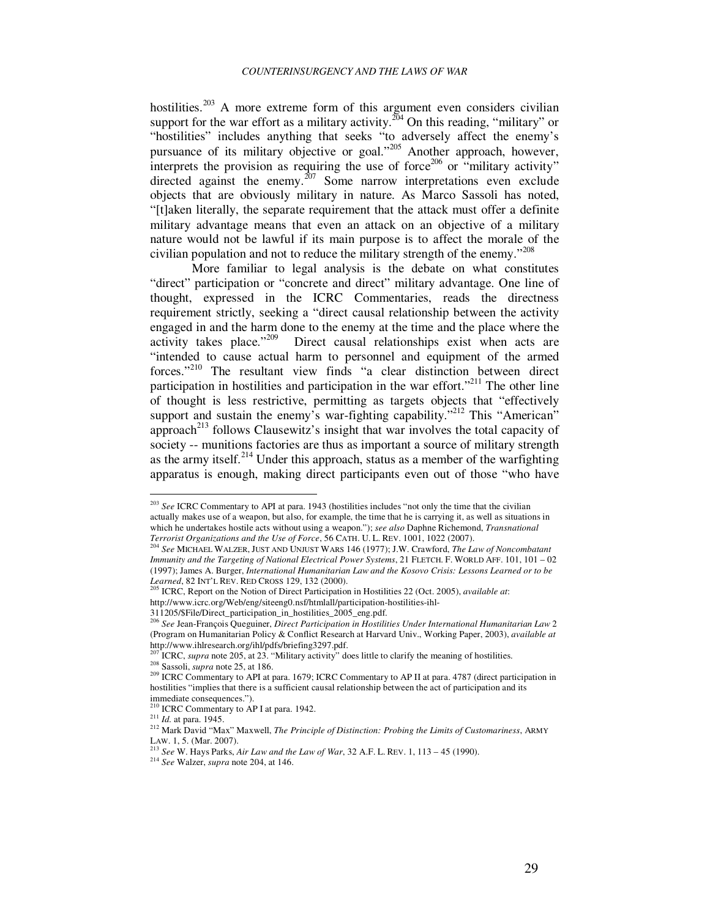hostilities.<sup>203</sup> A more extreme form of this argument even considers civilian support for the war effort as a military activity.<sup>204</sup> On this reading, "military" or "hostilities" includes anything that seeks "to adversely affect the enemy's pursuance of its military objective or goal."<sup>205</sup> Another approach, however, interprets the provision as requiring the use of force<sup>206</sup> or "military activity" directed against the enemy.<sup>207</sup> Some narrow interpretations even exclude objects that are obviously military in nature. As Marco Sassoli has noted, "[t]aken literally, the separate requirement that the attack must offer a definite military advantage means that even an attack on an objective of a military nature would not be lawful if its main purpose is to affect the morale of the civilian population and not to reduce the military strength of the enemy."<sup>208</sup>

More familiar to legal analysis is the debate on what constitutes "direct" participation or "concrete and direct" military advantage. One line of thought, expressed in the ICRC Commentaries, reads the directness requirement strictly, seeking a "direct causal relationship between the activity engaged in and the harm done to the enemy at the time and the place where the activity takes place."<sup>209</sup> Direct causal relationships exist when acts are "intended to cause actual harm to personnel and equipment of the armed forces."<sup>210</sup> The resultant view finds "a clear distinction between direct participation in hostilities and participation in the war effort."<sup>211</sup> The other line of thought is less restrictive, permitting as targets objects that "effectively support and sustain the enemy's war-fighting capability."<sup>212</sup> This "American" approach<sup>213</sup> follows Clausewitz's insight that war involves the total capacity of society -- munitions factories are thus as important a source of military strength as the army itself. $2^{14}$  Under this approach, status as a member of the warfighting apparatus is enough, making direct participants even out of those "who have

<sup>203</sup> *See* ICRC Commentary to API at para. 1943 (hostilities includes "not only the time that the civilian actually makes use of a weapon, but also, for example, the time that he is carrying it, as well as situations in which he undertakes hostile acts without using a weapon."); *see also* Daphne Richemond, *Transnational Terrorist Organizations and the Use of Force*, 56 CATH. U. L. REV. 1001, 1022 (2007).

<sup>204</sup> *See* MICHAEL WALZER, JUST AND UNJUST WARS 146 (1977); J.W. Crawford, *The Law of Noncombatant Immunity and the Targeting of National Electrical Power Systems*, 21 FLETCH. F. WORLD AFF. 101, 101 – 02 (1997); James A. Burger, *International Humanitarian Law and the Kosovo Crisis: Lessons Learned or to be Learned*, 82 INT'L REV. RED CROSS 129, 132 (2000).

<sup>205</sup> ICRC, Report on the Notion of Direct Participation in Hostilities 22 (Oct. 2005), *available at*: http://www.icrc.org/Web/eng/siteeng0.nsf/htmlall/participation-hostilities-ihl-

<sup>311205/\$</sup>File/Direct\_participation\_in\_hostilities\_2005\_eng.pdf.

<sup>&</sup>lt;sup>6</sup> See Jean-François Queguiner, *Direct Participation in Hostilities Under International Humanitarian Law* 2 (Program on Humanitarian Policy & Conflict Research at Harvard Univ., Working Paper, 2003), *available at* http://www.ihlresearch.org/ihl/pdfs/briefing3297.pdf.

<sup>207</sup> ICRC, *supra* note 205, at 23. "Military activity" does little to clarify the meaning of hostilities.

<sup>208</sup> Sassoli, *supra* note 25, at 186.

<sup>&</sup>lt;sup>209</sup> ICRC Commentary to API at para. 1679; ICRC Commentary to AP II at para. 4787 (direct participation in hostilities "implies that there is a sufficient causal relationship between the act of participation and its immediate consequences.").

<sup>&</sup>lt;sup>210</sup> ICRC Commentary to AP I at para. 1942.

<sup>211</sup> *Id.* at para. 1945.

<sup>212</sup> Mark David "Max" Maxwell, *The Principle of Distinction: Probing the Limits of Customariness*, ARMY LAW. 1, 5. (Mar. 2007). <sup>213</sup> *See* W. Hays Parks, *Air Law and the Law of War*, 32 A.F. L. REV. 1, 113 – 45 (1990).

<sup>214</sup> *See* Walzer, *supra* note 204, at 146.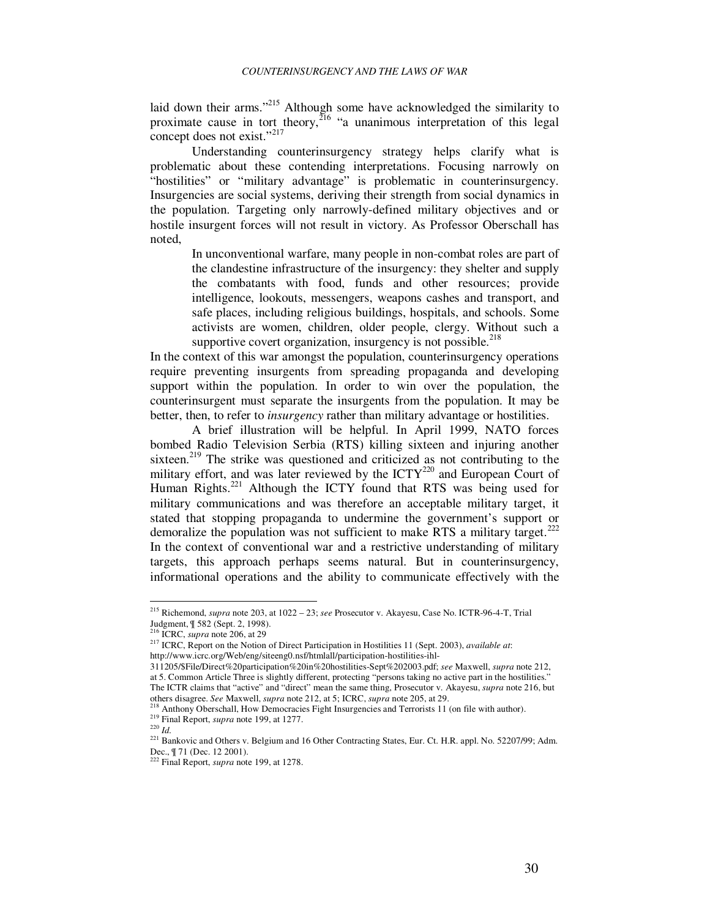laid down their arms."<sup>215</sup> Although some have acknowledged the similarity to proximate cause in tort theory,  $^{216}$  "a unanimous interpretation of this legal concept does not exist."<sup>217</sup>

Understanding counterinsurgency strategy helps clarify what is problematic about these contending interpretations. Focusing narrowly on "hostilities" or "military advantage" is problematic in counterinsurgency. Insurgencies are social systems, deriving their strength from social dynamics in the population. Targeting only narrowly-defined military objectives and or hostile insurgent forces will not result in victory. As Professor Oberschall has noted,

> In unconventional warfare, many people in non-combat roles are part of the clandestine infrastructure of the insurgency: they shelter and supply the combatants with food, funds and other resources; provide intelligence, lookouts, messengers, weapons cashes and transport, and safe places, including religious buildings, hospitals, and schools. Some activists are women, children, older people, clergy. Without such a supportive covert organization, insurgency is not possible. $218$

In the context of this war amongst the population, counterinsurgency operations require preventing insurgents from spreading propaganda and developing support within the population. In order to win over the population, the counterinsurgent must separate the insurgents from the population. It may be better, then, to refer to *insurgency* rather than military advantage or hostilities.

A brief illustration will be helpful. In April 1999, NATO forces bombed Radio Television Serbia (RTS) killing sixteen and injuring another sixteen.<sup>219</sup> The strike was questioned and criticized as not contributing to the military effort, and was later reviewed by the  $\text{ICTY}^{220}$  and European Court of Human Rights.<sup>221</sup> Although the ICTY found that RTS was being used for military communications and was therefore an acceptable military target, it stated that stopping propaganda to undermine the government's support or demoralize the population was not sufficient to make RTS a military target.<sup>222</sup> In the context of conventional war and a restrictive understanding of military targets, this approach perhaps seems natural. But in counterinsurgency, informational operations and the ability to communicate effectively with the

<sup>215</sup> Richemond, *supra* note 203, at 1022 – 23; *see* Prosecutor v. Akayesu, Case No. ICTR-96-4-T, Trial Judgment, ¶ 582 (Sept. 2, 1998).

<sup>216</sup> ICRC, *supra* note 206, at 29

<sup>217</sup> ICRC, Report on the Notion of Direct Participation in Hostilities 11 (Sept. 2003), *available at*: http://www.icrc.org/Web/eng/siteeng0.nsf/htmlall/participation-hostilities-ihl-

<sup>311205/\$</sup>File/Direct%20participation%20in%20hostilities-Sept%202003.pdf; *see* Maxwell, *supra* note 212, at 5. Common Article Three is slightly different, protecting "persons taking no active part in the hostilities." The ICTR claims that "active" and "direct" mean the same thing, Prosecutor v. Akayesu, *supra* note 216, but

others disagree. *See* Maxwell, *supra* note 212, at 5; ICRC, *supra* note 205, at 29.<br><sup>218</sup> Anthony Oberschall, How Democracies Fight Insurgencies and Terrorists 11 (on file with author). <sup>219</sup> Final Report, *supra* note 199, at 1277.

<sup>220</sup> *Id.*

<sup>&</sup>lt;sup>221</sup> Bankovic and Others v. Belgium and 16 Other Contracting States, Eur. Ct. H.R. appl. No. 52207/99; Adm. Dec., ¶ 71 (Dec. 12 2001).

<sup>222</sup> Final Report, *supra* note 199, at 1278.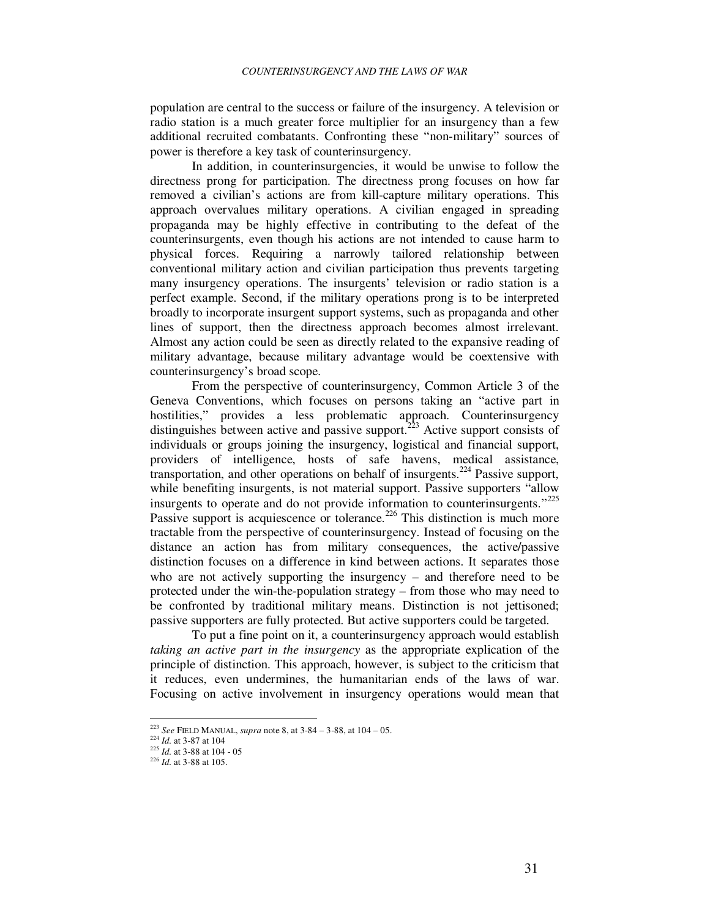population are central to the success or failure of the insurgency. A television or radio station is a much greater force multiplier for an insurgency than a few additional recruited combatants. Confronting these "non-military" sources of power is therefore a key task of counterinsurgency.

In addition, in counterinsurgencies, it would be unwise to follow the directness prong for participation. The directness prong focuses on how far removed a civilian's actions are from kill-capture military operations. This approach overvalues military operations. A civilian engaged in spreading propaganda may be highly effective in contributing to the defeat of the counterinsurgents, even though his actions are not intended to cause harm to physical forces. Requiring a narrowly tailored relationship between conventional military action and civilian participation thus prevents targeting many insurgency operations. The insurgents' television or radio station is a perfect example. Second, if the military operations prong is to be interpreted broadly to incorporate insurgent support systems, such as propaganda and other lines of support, then the directness approach becomes almost irrelevant. Almost any action could be seen as directly related to the expansive reading of military advantage, because military advantage would be coextensive with counterinsurgency's broad scope.

From the perspective of counterinsurgency, Common Article 3 of the Geneva Conventions, which focuses on persons taking an "active part in hostilities," provides a less problematic approach. Counterinsurgency distinguishes between active and passive support.<sup>223</sup> Active support consists of individuals or groups joining the insurgency, logistical and financial support, providers of intelligence, hosts of safe havens, medical assistance, transportation, and other operations on behalf of insurgents.<sup>224</sup> Passive support, while benefiting insurgents, is not material support. Passive supporters "allow insurgents to operate and do not provide information to counterinsurgents."<sup>225</sup> Passive support is acquiescence or tolerance.<sup>226</sup> This distinction is much more tractable from the perspective of counterinsurgency. Instead of focusing on the distance an action has from military consequences, the active/passive distinction focuses on a difference in kind between actions. It separates those who are not actively supporting the insurgency – and therefore need to be protected under the win-the-population strategy – from those who may need to be confronted by traditional military means. Distinction is not jettisoned; passive supporters are fully protected. But active supporters could be targeted.

To put a fine point on it, a counterinsurgency approach would establish *taking an active part in the insurgency* as the appropriate explication of the principle of distinction. This approach, however, is subject to the criticism that it reduces, even undermines, the humanitarian ends of the laws of war. Focusing on active involvement in insurgency operations would mean that

<sup>223</sup> *See* FIELD MANUAL, *supra* note 8, at 3-84 – 3-88, at 104 – 05.

<sup>224</sup> *Id.* at 3-87 at 104

<sup>225</sup> *Id.* at 3-88 at 104 - 05

<sup>226</sup> *Id.* at 3-88 at 105.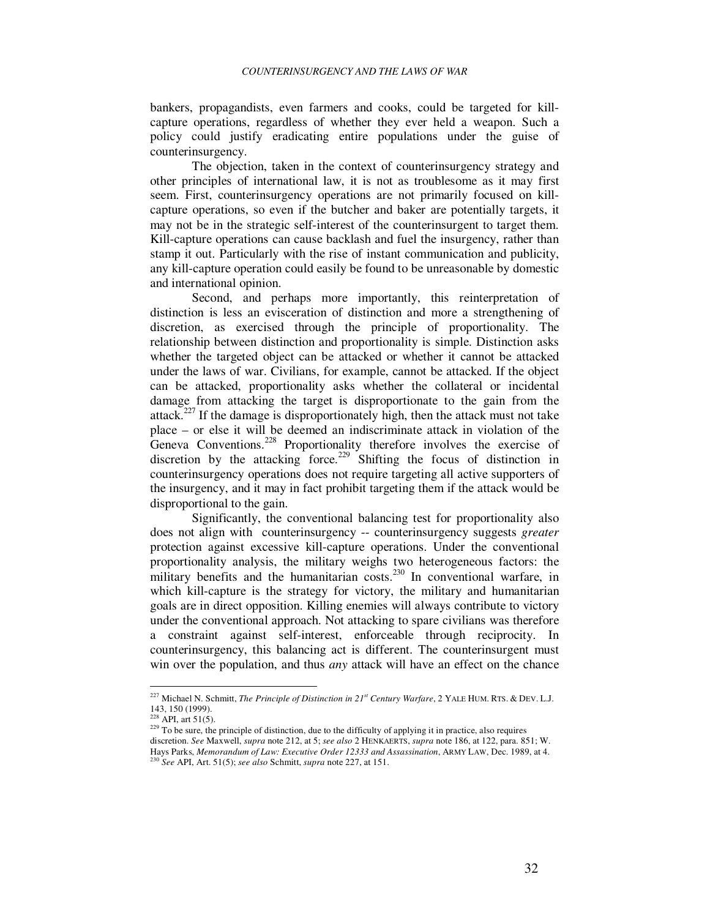bankers, propagandists, even farmers and cooks, could be targeted for killcapture operations, regardless of whether they ever held a weapon. Such a policy could justify eradicating entire populations under the guise of counterinsurgency.

The objection, taken in the context of counterinsurgency strategy and other principles of international law, it is not as troublesome as it may first seem. First, counterinsurgency operations are not primarily focused on killcapture operations, so even if the butcher and baker are potentially targets, it may not be in the strategic self-interest of the counterinsurgent to target them. Kill-capture operations can cause backlash and fuel the insurgency, rather than stamp it out. Particularly with the rise of instant communication and publicity, any kill-capture operation could easily be found to be unreasonable by domestic and international opinion.

Second, and perhaps more importantly, this reinterpretation of distinction is less an evisceration of distinction and more a strengthening of discretion, as exercised through the principle of proportionality. The relationship between distinction and proportionality is simple. Distinction asks whether the targeted object can be attacked or whether it cannot be attacked under the laws of war. Civilians, for example, cannot be attacked. If the object can be attacked, proportionality asks whether the collateral or incidental damage from attacking the target is disproportionate to the gain from the attack.<sup>227</sup> If the damage is disproportionately high, then the attack must not take place – or else it will be deemed an indiscriminate attack in violation of the Geneva Conventions.<sup>228</sup> Proportionality therefore involves the exercise of discretion by the attacking force.<sup>229</sup> Shifting the focus of distinction in counterinsurgency operations does not require targeting all active supporters of the insurgency, and it may in fact prohibit targeting them if the attack would be disproportional to the gain.

Significantly, the conventional balancing test for proportionality also does not align with counterinsurgency -- counterinsurgency suggests *greater* protection against excessive kill-capture operations. Under the conventional proportionality analysis, the military weighs two heterogeneous factors: the military benefits and the humanitarian costs.<sup>230</sup> In conventional warfare, in which kill-capture is the strategy for victory, the military and humanitarian goals are in direct opposition. Killing enemies will always contribute to victory under the conventional approach. Not attacking to spare civilians was therefore a constraint against self-interest, enforceable through reciprocity. In counterinsurgency, this balancing act is different. The counterinsurgent must win over the population, and thus *any* attack will have an effect on the chance

<sup>227</sup> Michael N. Schmitt, *The Principle of Distinction in 21st Century Warfare*, 2 YALE HUM. RTS. & DEV. L.J. 143, 150 (1999).

 $^{228}$  API, art 51(5).

<sup>&</sup>lt;sup>229</sup> To be sure, the principle of distinction, due to the difficulty of applying it in practice, also requires

discretion. *See* Maxwell, *supra* note 212, at 5; *see also* 2 HENKAERTS, *supra* note 186, at 122, para. 851; W. Hays Parks, *Memorandum of Law: Executive Order 12333 and Assassination*, ARMY LAW, Dec. 1989, at 4. <sup>230</sup> *See* API, Art. 51(5); *see also* Schmitt, *supra* note 227, at 151.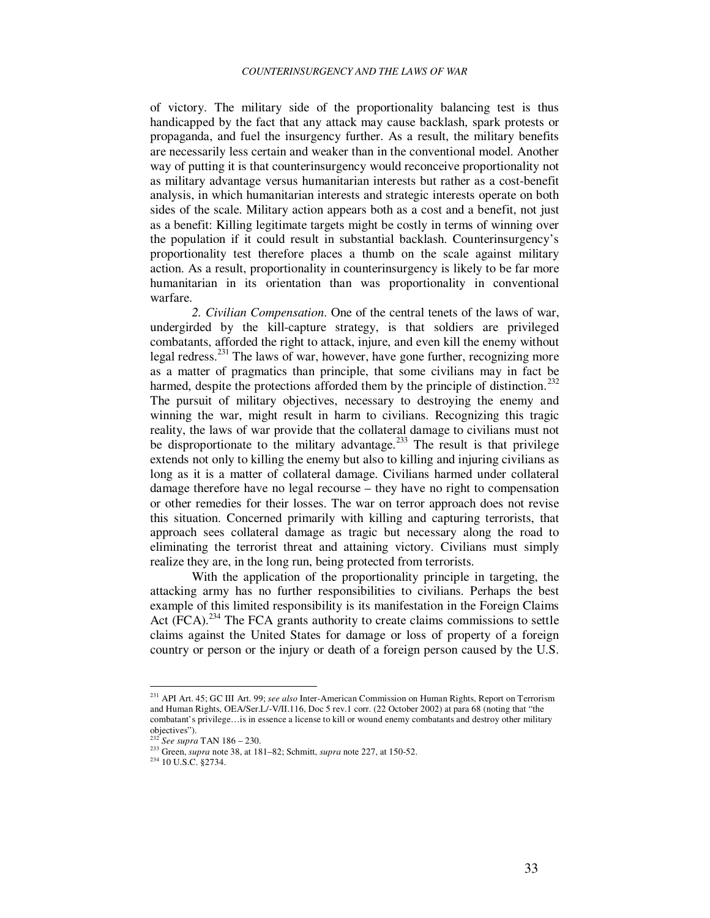of victory. The military side of the proportionality balancing test is thus handicapped by the fact that any attack may cause backlash, spark protests or propaganda, and fuel the insurgency further. As a result, the military benefits are necessarily less certain and weaker than in the conventional model. Another way of putting it is that counterinsurgency would reconceive proportionality not as military advantage versus humanitarian interests but rather as a cost-benefit analysis, in which humanitarian interests and strategic interests operate on both sides of the scale. Military action appears both as a cost and a benefit, not just as a benefit: Killing legitimate targets might be costly in terms of winning over the population if it could result in substantial backlash. Counterinsurgency's proportionality test therefore places a thumb on the scale against military action. As a result, proportionality in counterinsurgency is likely to be far more humanitarian in its orientation than was proportionality in conventional warfare.

*2. Civilian Compensation*. One of the central tenets of the laws of war, undergirded by the kill-capture strategy, is that soldiers are privileged combatants, afforded the right to attack, injure, and even kill the enemy without legal redress.<sup>231</sup> The laws of war, however, have gone further, recognizing more as a matter of pragmatics than principle, that some civilians may in fact be harmed, despite the protections afforded them by the principle of distinction.<sup>232</sup> The pursuit of military objectives, necessary to destroying the enemy and winning the war, might result in harm to civilians. Recognizing this tragic reality, the laws of war provide that the collateral damage to civilians must not be disproportionate to the military advantage.<sup>233</sup> The result is that privilege extends not only to killing the enemy but also to killing and injuring civilians as long as it is a matter of collateral damage. Civilians harmed under collateral damage therefore have no legal recourse – they have no right to compensation or other remedies for their losses. The war on terror approach does not revise this situation. Concerned primarily with killing and capturing terrorists, that approach sees collateral damage as tragic but necessary along the road to eliminating the terrorist threat and attaining victory. Civilians must simply realize they are, in the long run, being protected from terrorists.

With the application of the proportionality principle in targeting, the attacking army has no further responsibilities to civilians. Perhaps the best example of this limited responsibility is its manifestation in the Foreign Claims Act  $(FCA)$ .<sup>234</sup> The FCA grants authority to create claims commissions to settle claims against the United States for damage or loss of property of a foreign country or person or the injury or death of a foreign person caused by the U.S.

<sup>231</sup> API Art. 45; GC III Art. 99; *see also* Inter-American Commission on Human Rights, Report on Terrorism and Human Rights, OEA/Ser.L/-V/II.116, Doc 5 rev.1 corr. (22 October 2002) at para 68 (noting that "the combatant's privilege…is in essence a license to kill or wound enemy combatants and destroy other military objectives").

<sup>232</sup> *See supra* TAN 186 – 230.

<sup>233</sup> Green, *supra* note 38, at 181–82; Schmitt, *supra* note 227, at 150-52.

<sup>234</sup> 10 U.S.C. §2734.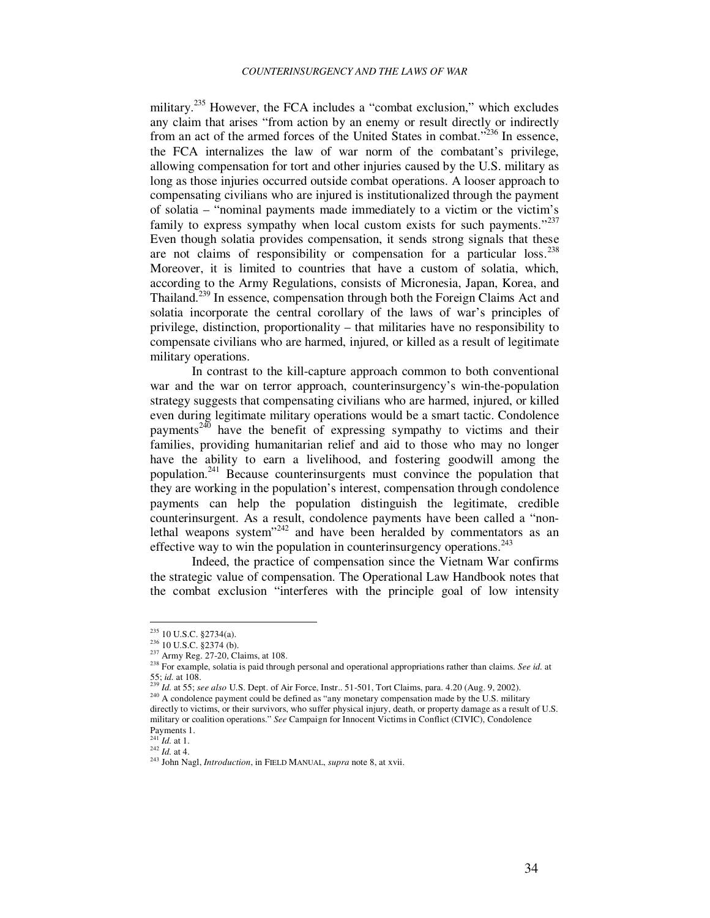military.<sup>235</sup> However, the FCA includes a "combat exclusion," which excludes any claim that arises "from action by an enemy or result directly or indirectly from an act of the armed forces of the United States in combat."<sup>236</sup> In essence, the FCA internalizes the law of war norm of the combatant's privilege, allowing compensation for tort and other injuries caused by the U.S. military as long as those injuries occurred outside combat operations. A looser approach to compensating civilians who are injured is institutionalized through the payment of solatia – "nominal payments made immediately to a victim or the victim's family to express sympathy when local custom exists for such payments. $1237$ Even though solatia provides compensation, it sends strong signals that these are not claims of responsibility or compensation for a particular  $loss.^{238}$ Moreover, it is limited to countries that have a custom of solatia, which, according to the Army Regulations, consists of Micronesia, Japan, Korea, and Thailand.<sup>239</sup> In essence, compensation through both the Foreign Claims Act and solatia incorporate the central corollary of the laws of war's principles of privilege, distinction, proportionality – that militaries have no responsibility to compensate civilians who are harmed, injured, or killed as a result of legitimate military operations.

In contrast to the kill-capture approach common to both conventional war and the war on terror approach, counterinsurgency's win-the-population strategy suggests that compensating civilians who are harmed, injured, or killed even during legitimate military operations would be a smart tactic. Condolence payments<sup> $240$ </sup> have the benefit of expressing sympathy to victims and their families, providing humanitarian relief and aid to those who may no longer have the ability to earn a livelihood, and fostering goodwill among the population.<sup>241</sup> Because counterinsurgents must convince the population that they are working in the population's interest, compensation through condolence payments can help the population distinguish the legitimate, credible counterinsurgent. As a result, condolence payments have been called a "nonlethal weapons system $^{242}$  and have been heralded by commentators as an effective way to win the population in counterinsurgency operations. $^{243}$ 

Indeed, the practice of compensation since the Vietnam War confirms the strategic value of compensation. The Operational Law Handbook notes that the combat exclusion "interferes with the principle goal of low intensity

 $235$  10 U.S.C. §2734(a).

<sup>236</sup> 10 U.S.C. §2374 (b).

<sup>&</sup>lt;sup>237</sup> Army Reg. 27-20, Claims, at 108.

<sup>238</sup> For example, solatia is paid through personal and operational appropriations rather than claims. *See id.* at 55; *id.* at 108.

<sup>239</sup> *Id.* at 55; *see also* U.S. Dept. of Air Force, Instr.. 51-501, Tort Claims, para. 4.20 (Aug. 9, 2002).

 $240$  A condolence payment could be defined as "any monetary compensation made by the U.S. military directly to victims, or their survivors, who suffer physical injury, death, or property damage as a result of U.S. military or coalition operations." *See* Campaign for Innocent Victims in Conflict (CIVIC), Condolence

Payments 1. <sup>241</sup> *Id.* at 1.

<sup>242</sup> *Id.* at 4.

<sup>243</sup> John Nagl, *Introduction*, in FIELD MANUAL, *supra* note 8, at xvii.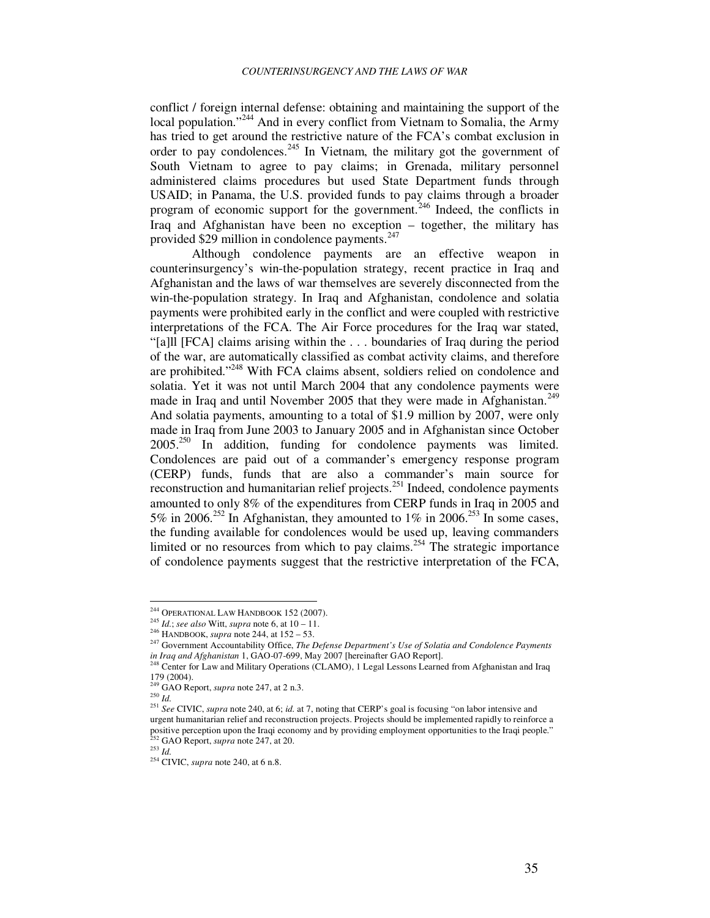conflict / foreign internal defense: obtaining and maintaining the support of the local population."<sup>244</sup> And in every conflict from Vietnam to Somalia, the Army has tried to get around the restrictive nature of the FCA's combat exclusion in order to pay condolences. $245$  In Vietnam, the military got the government of South Vietnam to agree to pay claims; in Grenada, military personnel administered claims procedures but used State Department funds through USAID; in Panama, the U.S. provided funds to pay claims through a broader program of economic support for the government.<sup>246</sup> Indeed, the conflicts in Iraq and Afghanistan have been no exception – together, the military has provided \$29 million in condolence payments. $247$ 

Although condolence payments are an effective weapon in counterinsurgency's win-the-population strategy, recent practice in Iraq and Afghanistan and the laws of war themselves are severely disconnected from the win-the-population strategy. In Iraq and Afghanistan, condolence and solatia payments were prohibited early in the conflict and were coupled with restrictive interpretations of the FCA. The Air Force procedures for the Iraq war stated, "[a]ll [FCA] claims arising within the . . . boundaries of Iraq during the period of the war, are automatically classified as combat activity claims, and therefore are prohibited."<sup>248</sup> With FCA claims absent, soldiers relied on condolence and solatia. Yet it was not until March 2004 that any condolence payments were made in Iraq and until November 2005 that they were made in Afghanistan.<sup>249</sup> And solatia payments, amounting to a total of \$1.9 million by 2007, were only made in Iraq from June 2003 to January 2005 and in Afghanistan since October 2005.<sup>250</sup> In addition, funding for condolence payments was limited. Condolences are paid out of a commander's emergency response program (CERP) funds, funds that are also a commander's main source for reconstruction and humanitarian relief projects.<sup>251</sup> Indeed, condolence payments amounted to only 8% of the expenditures from CERP funds in Iraq in 2005 and 5% in 2006.<sup>252</sup> In Afghanistan, they amounted to 1% in 2006.<sup>253</sup> In some cases, the funding available for condolences would be used up, leaving commanders limited or no resources from which to pay claims.<sup>254</sup> The strategic importance of condolence payments suggest that the restrictive interpretation of the FCA,

<sup>&</sup>lt;sup>244</sup> OPERATIONAL LAW HANDBOOK 152 (2007).

<sup>245</sup> *Id.*; *see also* Witt, *supra* note 6, at 10 – 11.

<sup>246</sup> HANDBOOK, *supra* note 244, at 152 – 53.

<sup>247</sup> Government Accountability Office, *The Defense Department's Use of Solatia and Condolence Payments in Iraq and Afghanistan* 1, GAO-07-699, May 2007 [hereinafter GAO Report].

<sup>248</sup> Center for Law and Military Operations (CLAMO), 1 Legal Lessons Learned from Afghanistan and Iraq 179 (2004).

<sup>249</sup> GAO Report, *supra* note 247, at 2 n.3.  $^{250}$  *Id.* 

<sup>251</sup> *See* CIVIC, *supra* note 240, at 6; *id.* at 7, noting that CERP's goal is focusing "on labor intensive and urgent humanitarian relief and reconstruction projects. Projects should be implemented rapidly to reinforce a positive perception upon the Iraqi economy and by providing employment opportunities to the Iraqi people." <sup>2</sup> GAO Report, *supra* note 247, at 20. <sup>253</sup> *Id.*

<sup>254</sup> CIVIC, *supra* note 240, at 6 n.8.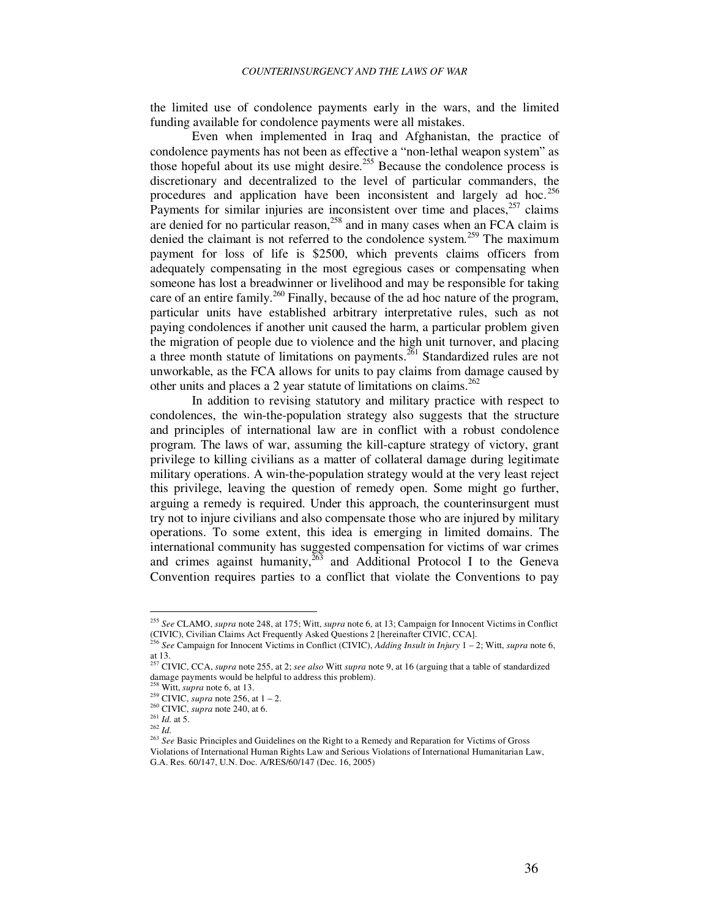the limited use of condolence payments early in the wars, and the limited funding available for condolence payments were all mistakes.

Even when implemented in Iraq and Afghanistan, the practice of condolence payments has not been as effective a "non-lethal weapon system" as those hopeful about its use might desire.<sup>255</sup> Because the condolence process is discretionary and decentralized to the level of particular commanders, the procedures and application have been inconsistent and largely ad hoc.<sup>256</sup> Payments for similar injuries are inconsistent over time and places,  $257$  claims are denied for no particular reason, $^{258}$  and in many cases when an FCA claim is denied the claimant is not referred to the condolence system.<sup>259</sup> The maximum payment for loss of life is \$2500, which prevents claims officers from adequately compensating in the most egregious cases or compensating when someone has lost a breadwinner or livelihood and may be responsible for taking care of an entire family.<sup>260</sup> Finally, because of the ad hoc nature of the program, particular units have established arbitrary interpretative rules, such as not paying condolences if another unit caused the harm, a particular problem given the migration of people due to violence and the high unit turnover, and placing a three month statute of limitations on payments.<sup>261</sup> Standardized rules are not unworkable, as the FCA allows for units to pay claims from damage caused by other units and places a 2 year statute of limitations on claims.<sup>262</sup>

In addition to revising statutory and military practice with respect to condolences, the win-the-population strategy also suggests that the structure and principles of international law are in conflict with a robust condolence program. The laws of war, assuming the kill-capture strategy of victory, grant privilege to killing civilians as a matter of collateral damage during legitimate military operations. A win-the-population strategy would at the very least reject this privilege, leaving the question of remedy open. Some might go further, arguing a remedy is required. Under this approach, the counterinsurgent must try not to injure civilians and also compensate those who are injured by military operations. To some extent, this idea is emerging in limited domains. The international community has suggested compensation for victims of war crimes and crimes against humanity,  $263$  and Additional Protocol I to the Geneva Convention requires parties to a conflict that violate the Conventions to pay

<sup>255</sup> *See* CLAMO, *supra* note 248, at 175; Witt, *supra* note 6, at 13; Campaign for Innocent Victims in Conflict (CIVIC), Civilian Claims Act Frequently Asked Questions 2 [hereinafter CIVIC, CCA].

<sup>256</sup> *See* Campaign for Innocent Victims in Conflict (CIVIC), *Adding Insult in Injury* 1 – 2; Witt, *supra* note 6, at 13. <sup>257</sup> CIVIC, CCA, *supra* note 255, at 2; *see also* Witt *supra* note 9, at 16 (arguing that a table of standardized

damage payments would be helpful to address this problem).

<sup>258</sup> Witt, *supra* note 6, at 13. <sup>259</sup> CIVIC, *supra* note 256, at  $1 - 2$ .

<sup>260</sup> CIVIC, *supra* note 240, at 6.

<sup>261</sup> *Id.* at 5.

<sup>262</sup> *Id.*

<sup>&</sup>lt;sup>263</sup> See Basic Principles and Guidelines on the Right to a Remedy and Reparation for Victims of Gross Violations of International Human Rights Law and Serious Violations of International Humanitarian Law, G.A. Res. 60/147, U.N. Doc. A/RES/60/147 (Dec. 16, 2005)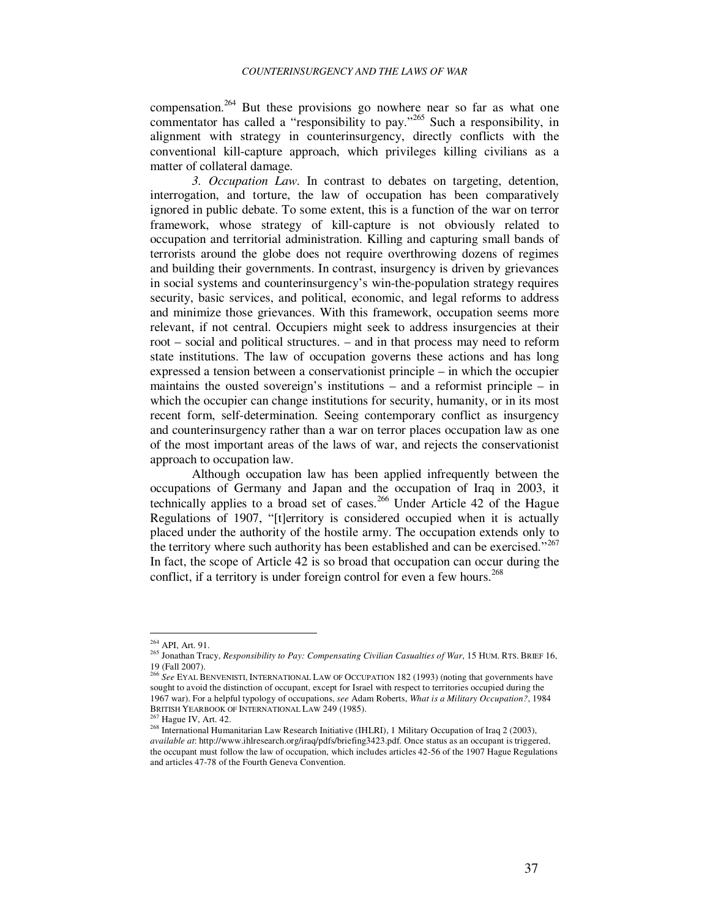compensation.<sup>264</sup> But these provisions go nowhere near so far as what one commentator has called a "responsibility to pay."<sup>265</sup> Such a responsibility, in alignment with strategy in counterinsurgency, directly conflicts with the conventional kill-capture approach, which privileges killing civilians as a matter of collateral damage.

*3. Occupation Law*. In contrast to debates on targeting, detention, interrogation, and torture, the law of occupation has been comparatively ignored in public debate. To some extent, this is a function of the war on terror framework, whose strategy of kill-capture is not obviously related to occupation and territorial administration. Killing and capturing small bands of terrorists around the globe does not require overthrowing dozens of regimes and building their governments. In contrast, insurgency is driven by grievances in social systems and counterinsurgency's win-the-population strategy requires security, basic services, and political, economic, and legal reforms to address and minimize those grievances. With this framework, occupation seems more relevant, if not central. Occupiers might seek to address insurgencies at their root – social and political structures. – and in that process may need to reform state institutions. The law of occupation governs these actions and has long expressed a tension between a conservationist principle – in which the occupier maintains the ousted sovereign's institutions – and a reformist principle – in which the occupier can change institutions for security, humanity, or in its most recent form, self-determination. Seeing contemporary conflict as insurgency and counterinsurgency rather than a war on terror places occupation law as one of the most important areas of the laws of war, and rejects the conservationist approach to occupation law.

Although occupation law has been applied infrequently between the occupations of Germany and Japan and the occupation of Iraq in 2003, it technically applies to a broad set of cases.<sup>266</sup> Under Article 42 of the Hague Regulations of 1907, "[t]erritory is considered occupied when it is actually placed under the authority of the hostile army. The occupation extends only to the territory where such authority has been established and can be exercised."<sup>267</sup> In fact, the scope of Article 42 is so broad that occupation can occur during the conflict, if a territory is under foreign control for even a few hours.<sup>268</sup>

<sup>264</sup> API, Art. 91.

<sup>265</sup> Jonathan Tracy, *Responsibility to Pay: Compensating Civilian Casualties of War*, 15 HUM. RTS. BRIEF 16, 19 (Fall 2007).

<sup>266</sup> *See* EYAL BENVENISTI, INTERNATIONAL LAW OF OCCUPATION 182 (1993) (noting that governments have sought to avoid the distinction of occupant, except for Israel with respect to territories occupied during the 1967 war). For a helpful typology of occupations, *see* Adam Roberts, *What is a Military Occupation?*, 1984 BRITISH YEARBOOK OF INTERNATIONAL LAW 249 (1985).

 $267$  Hague IV, Art. 42.

<sup>268</sup> International Humanitarian Law Research Initiative (IHLRI), 1 Military Occupation of Iraq 2 (2003), *available at*: http://www.ihlresearch.org/iraq/pdfs/briefing3423.pdf. Once status as an occupant is triggered, the occupant must follow the law of occupation, which includes articles 42-56 of the 1907 Hague Regulations and articles 47-78 of the Fourth Geneva Convention.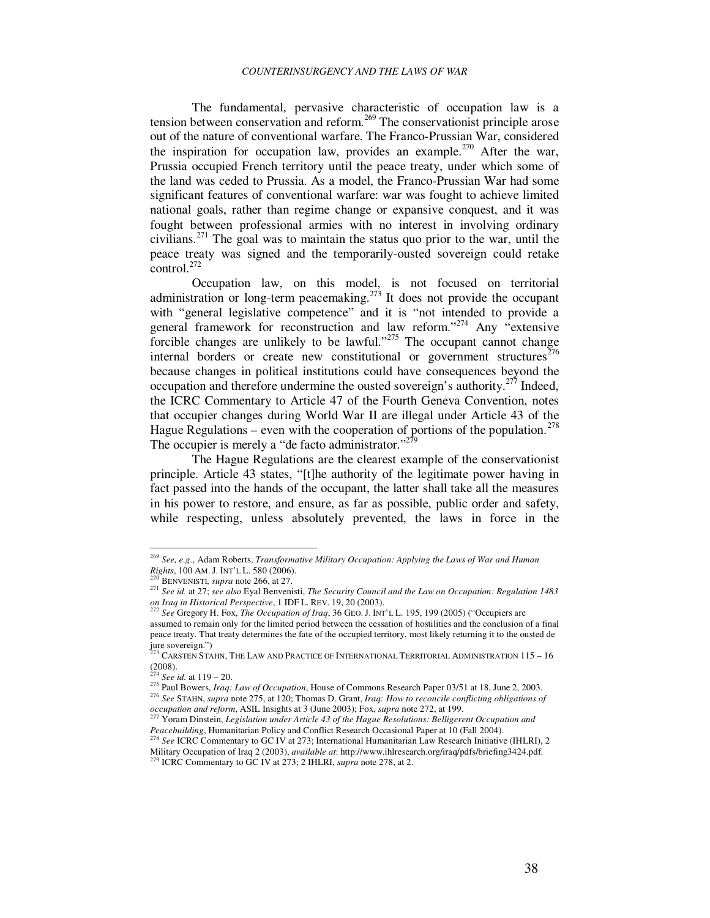The fundamental, pervasive characteristic of occupation law is a tension between conservation and reform.<sup>269</sup> The conservationist principle arose out of the nature of conventional warfare. The Franco-Prussian War, considered the inspiration for occupation law, provides an example.<sup>270</sup> After the war, Prussia occupied French territory until the peace treaty, under which some of the land was ceded to Prussia. As a model, the Franco-Prussian War had some significant features of conventional warfare: war was fought to achieve limited national goals, rather than regime change or expansive conquest, and it was fought between professional armies with no interest in involving ordinary civilians.<sup>271</sup> The goal was to maintain the status quo prior to the war, until the peace treaty was signed and the temporarily-ousted sovereign could retake  $control.<sup>272</sup>$ 

Occupation law, on this model, is not focused on territorial administration or long-term peacemaking.<sup>273</sup> It does not provide the occupant with "general legislative competence" and it is "not intended to provide a general framework for reconstruction and law reform."<sup>274</sup> Any "extensive forcible changes are unlikely to be lawful."<sup>275</sup> The occupant cannot change internal borders or create new constitutional or government structures $^{276}$ because changes in political institutions could have consequences beyond the occupation and therefore undermine the ousted sovereign's authority.<sup>277</sup> Indeed, the ICRC Commentary to Article 47 of the Fourth Geneva Convention, notes that occupier changes during World War II are illegal under Article 43 of the Hague Regulations – even with the cooperation of portions of the population.<sup>278</sup> The occupier is merely a "de facto administrator."<sup>279</sup>

The Hague Regulations are the clearest example of the conservationist principle. Article 43 states, "[t]he authority of the legitimate power having in fact passed into the hands of the occupant, the latter shall take all the measures in his power to restore, and ensure, as far as possible, public order and safety, while respecting, unless absolutely prevented, the laws in force in the

<sup>269</sup> *See, e.g.*, Adam Roberts, *Transformative Military Occupation: Applying the Laws of War and Human Rights*, 100 AM. J. INT'L L. 580 (2006).<br><sup>270</sup> Primerica

BENVENISTI, *supra* note 266, at 27.

<sup>271</sup> *See id.* at 27; *see also* Eyal Benvenisti, *The Security Council and the Law on Occupation: Regulation 1483 on Iraq in Historical Perspective*, 1 IDF L. REV. 19, 20 (2003).

<sup>272</sup> *See* Gregory H. Fox, *The Occupation of Iraq*, 36 GEO. J. INT'L L. 195, 199 (2005) ("Occupiers are assumed to remain only for the limited period between the cessation of hostilities and the conclusion of a final peace treaty. That treaty determines the fate of the occupied territory, most likely returning it to the ousted de

jure sovereign.")<br><sup>273</sup> Carsten Stahn, The Law and Practice of International Territorial Administration 115 – 16 (2008).

<sup>274</sup> *See id.* at 119 – 20.

<sup>275</sup> Paul Bowers, *Iraq: Law of Occupation*, House of Commons Research Paper 03/51 at 18, June 2, 2003.

<sup>276</sup> *See* STAHN, *supra* note 275, at 120; Thomas D. Grant, *Iraq: How to reconcile conflicting obligations of occupation and reform*, ASIL Insights at 3 (June 2003); Fox, *supra* note 272, at 199.

<sup>277</sup> Yoram Dinstein, *Legislation under Article 43 of the Hague Resolutions: Belligerent Occupation and Peacebuilding*, Humanitarian Policy and Conflict Research Occasional Paper at 10 (Fall 2004). <sup>278</sup> *See* ICRC Commentary to GC IV at 273; International Humanitarian Law Research Initiative (IHLRI), 2

Military Occupation of Iraq 2 (2003), *available at*: http://www.ihlresearch.org/iraq/pdfs/briefing3424.pdf. <sup>279</sup> ICRC Commentary to GC IV at 273; 2 IHLRI, *supra* note 278, at 2.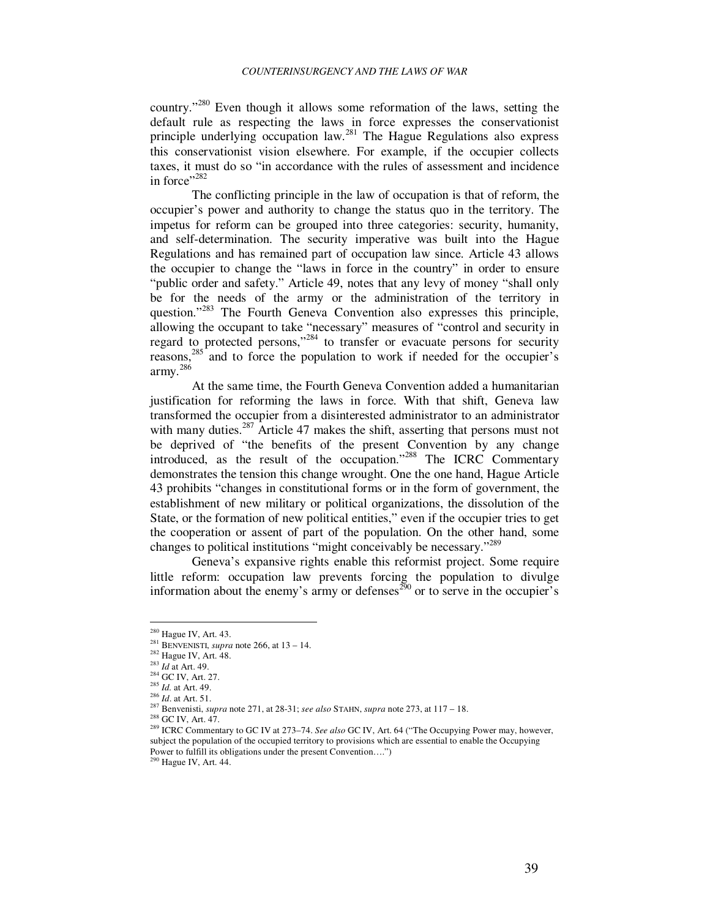country."<sup>280</sup> Even though it allows some reformation of the laws, setting the default rule as respecting the laws in force expresses the conservationist principle underlying occupation law.<sup>281</sup> The Hague Regulations also express this conservationist vision elsewhere. For example, if the occupier collects taxes, it must do so "in accordance with the rules of assessment and incidence in force" $282$ 

The conflicting principle in the law of occupation is that of reform, the occupier's power and authority to change the status quo in the territory. The impetus for reform can be grouped into three categories: security, humanity, and self-determination. The security imperative was built into the Hague Regulations and has remained part of occupation law since. Article 43 allows the occupier to change the "laws in force in the country" in order to ensure "public order and safety." Article 49, notes that any levy of money "shall only be for the needs of the army or the administration of the territory in question."<sup>283</sup> The Fourth Geneva Convention also expresses this principle, allowing the occupant to take "necessary" measures of "control and security in regard to protected persons,"<sup>284</sup> to transfer or evacuate persons for security reasons,<sup>285</sup> and to force the population to work if needed for the occupier's  $army.<sup>286</sup>$ 

At the same time, the Fourth Geneva Convention added a humanitarian justification for reforming the laws in force. With that shift, Geneva law transformed the occupier from a disinterested administrator to an administrator with many duties.<sup>287</sup> Article 47 makes the shift, asserting that persons must not be deprived of "the benefits of the present Convention by any change introduced, as the result of the occupation."<sup>288</sup> The ICRC Commentary demonstrates the tension this change wrought. One the one hand, Hague Article 43 prohibits "changes in constitutional forms or in the form of government, the establishment of new military or political organizations, the dissolution of the State, or the formation of new political entities," even if the occupier tries to get the cooperation or assent of part of the population. On the other hand, some changes to political institutions "might conceivably be necessary."<sup>289</sup>

Geneva's expansive rights enable this reformist project. Some require little reform: occupation law prevents forcing the population to divulge information about the enemy's army or defenses  $\frac{30}{20}$  or to serve in the occupier's

 $280$  Hague IV, Art. 43.

<sup>281</sup> BENVENISTI, *supra* note 266, at 13 – 14.

<sup>282</sup> Hague IV, Art. 48.

<sup>283</sup> *Id* at Art. 49.

<sup>284</sup> GC IV, Art. 27.

<sup>285</sup> *Id.* at Art. 49.

<sup>286</sup> *Id*. at Art. 51.

<sup>287</sup> Benvenisti, *supra* note 271, at 28-31; *see also* STAHN, *supra* note 273, at 117 – 18.

<sup>288</sup> GC IV, Art. 47.

<sup>289</sup> ICRC Commentary to GC IV at 273–74. *See also* GC IV, Art. 64 ("The Occupying Power may, however, subject the population of the occupied territory to provisions which are essential to enable the Occupying Power to fulfill its obligations under the present Convention….")

<sup>290</sup> Hague IV, Art. 44.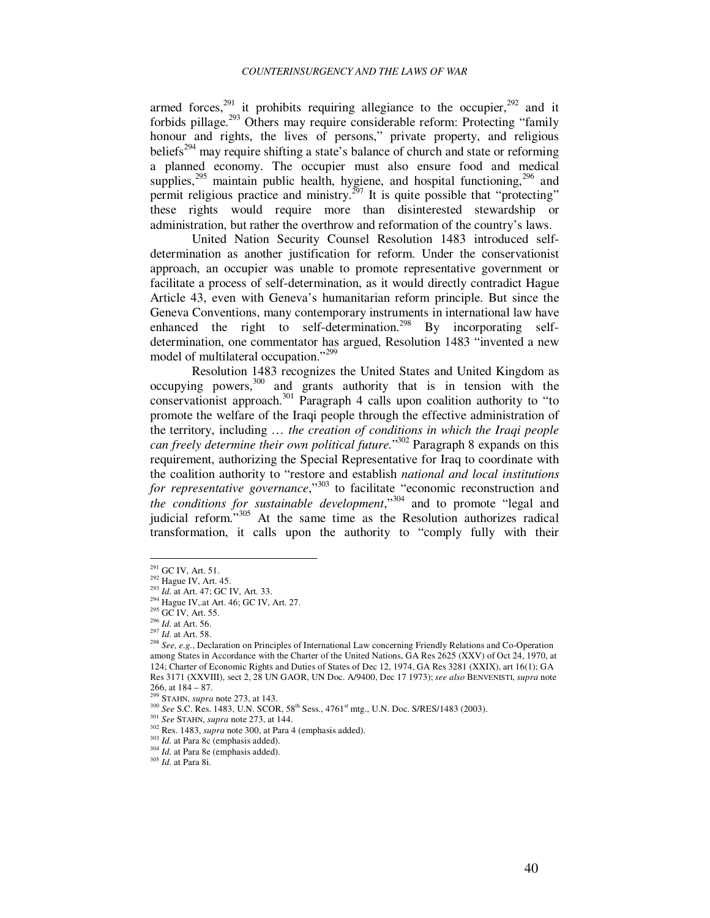armed forces,<sup>291</sup> it prohibits requiring allegiance to the occupier,<sup>292</sup> and it forbids pillage.<sup>293</sup> Others may require considerable reform: Protecting "family honour and rights, the lives of persons," private property, and religious beliefs<sup>294</sup> may require shifting a state's balance of church and state or reforming a planned economy. The occupier must also ensure food and medical supplies,<sup>295</sup> maintain public health, hygiene, and hospital functioning,<sup>296</sup> and permit religious practice and ministry.<sup>297</sup> It is quite possible that "protecting" these rights would require more than disinterested stewardship or administration, but rather the overthrow and reformation of the country's laws.

United Nation Security Counsel Resolution 1483 introduced selfdetermination as another justification for reform. Under the conservationist approach, an occupier was unable to promote representative government or facilitate a process of self-determination, as it would directly contradict Hague Article 43, even with Geneva's humanitarian reform principle. But since the Geneva Conventions, many contemporary instruments in international law have enhanced the right to self-determination.<sup>298</sup> By incorporating selfdetermination, one commentator has argued, Resolution 1483 "invented a new model of multilateral occupation."<sup>299</sup>

Resolution 1483 recognizes the United States and United Kingdom as occupying powers, $300$  and grants authority that is in tension with the conservationist approach.<sup>301</sup> Paragraph 4 calls upon coalition authority to "to promote the welfare of the Iraqi people through the effective administration of the territory, including … *the creation of conditions in which the Iraqi people can freely determine their own political future.*" <sup>302</sup> Paragraph 8 expands on this requirement, authorizing the Special Representative for Iraq to coordinate with the coalition authority to "restore and establish *national and local institutions for representative governance*,"<sup>303</sup> to facilitate "economic reconstruction and *the conditions for sustainable development*,"<sup>304</sup> and to promote "legal and judicial reform."<sup>305</sup> At the same time as the Resolution authorizes radical transformation, it calls upon the authority to "comply fully with their

 $291$  GC IV, Art. 51.

<sup>292</sup> Hague IV, Art. 45.

<sup>293</sup> *Id.* at Art. 47; GC IV, Art. 33.

<sup>294</sup> Hague IV,.at Art. 46; GC IV, Art. 27.

 $295$  GC IV, Art. 55.

<sup>296</sup> *Id.* at Art. 56.

<sup>297</sup> *Id.* at Art. 58.

<sup>298</sup> *See, e.g.*, Declaration on Principles of International Law concerning Friendly Relations and Co-Operation among States in Accordance with the Charter of the United Nations, GA Res 2625 (XXV) of Oct 24, 1970, at 124; Charter of Economic Rights and Duties of States of Dec 12, 1974, GA Res 3281 (XXIX), art 16(1); GA Res 3171 (XXVIII), sect 2, 28 UN GAOR, UN Doc. A/9400, Dec 17 1973); *see also* BENVENISTI, *supra* note 266, at 184 – 87.

<sup>299</sup> STAHN, *supra* note 273, at 143.

<sup>300</sup> *See* S.C. Res. 1483, U.N. SCOR, 58<sup>th</sup> Sess., 4761<sup>st</sup> mtg., U.N. Doc. S/RES/1483 (2003).

<sup>301</sup> *See* STAHN, *supra* note 273, at 144.

<sup>302</sup> Res. 1483, *supra* note 300, at Para 4 (emphasis added).

<sup>303</sup> *Id.* at Para 8c (emphasis added).

<sup>&</sup>lt;sup>304</sup> *Id.* at Para 8e (emphasis added).

<sup>305</sup> *Id.* at Para 8i.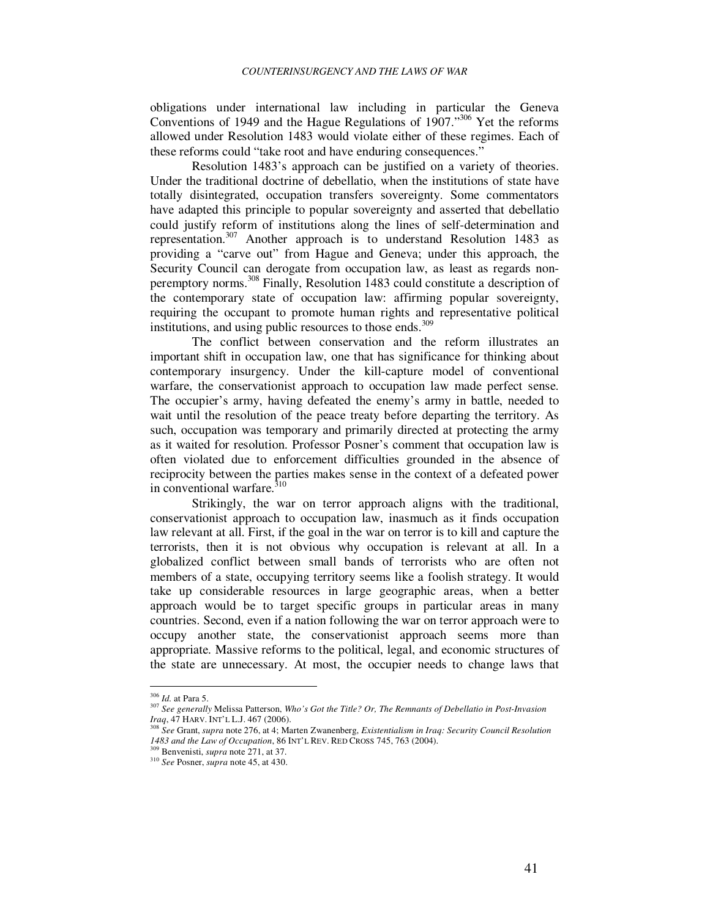obligations under international law including in particular the Geneva Conventions of 1949 and the Hague Regulations of  $1907$ ."<sup>306</sup> Yet the reforms allowed under Resolution 1483 would violate either of these regimes. Each of these reforms could "take root and have enduring consequences."

Resolution 1483's approach can be justified on a variety of theories. Under the traditional doctrine of debellatio, when the institutions of state have totally disintegrated, occupation transfers sovereignty. Some commentators have adapted this principle to popular sovereignty and asserted that debellatio could justify reform of institutions along the lines of self-determination and representation.<sup>307</sup> Another approach is to understand Resolution 1483 as providing a "carve out" from Hague and Geneva; under this approach, the Security Council can derogate from occupation law, as least as regards nonperemptory norms.<sup>308</sup> Finally, Resolution 1483 could constitute a description of the contemporary state of occupation law: affirming popular sovereignty, requiring the occupant to promote human rights and representative political institutions, and using public resources to those ends.<sup>309</sup>

The conflict between conservation and the reform illustrates an important shift in occupation law, one that has significance for thinking about contemporary insurgency. Under the kill-capture model of conventional warfare, the conservationist approach to occupation law made perfect sense. The occupier's army, having defeated the enemy's army in battle, needed to wait until the resolution of the peace treaty before departing the territory. As such, occupation was temporary and primarily directed at protecting the army as it waited for resolution. Professor Posner's comment that occupation law is often violated due to enforcement difficulties grounded in the absence of reciprocity between the parties makes sense in the context of a defeated power in conventional warfare.<sup>310</sup>

Strikingly, the war on terror approach aligns with the traditional, conservationist approach to occupation law, inasmuch as it finds occupation law relevant at all. First, if the goal in the war on terror is to kill and capture the terrorists, then it is not obvious why occupation is relevant at all. In a globalized conflict between small bands of terrorists who are often not members of a state, occupying territory seems like a foolish strategy. It would take up considerable resources in large geographic areas, when a better approach would be to target specific groups in particular areas in many countries. Second, even if a nation following the war on terror approach were to occupy another state, the conservationist approach seems more than appropriate. Massive reforms to the political, legal, and economic structures of the state are unnecessary. At most, the occupier needs to change laws that

<sup>306</sup> *Id.* at Para 5.

<sup>307</sup> *See generally* Melissa Patterson, *Who's Got the Title? Or, The Remnants of Debellatio in Post-Invasion Iraq*, 47 HARV. INT'L L.J. 467 (2006).

<sup>308</sup> *See* Grant, *supra* note 276, at 4; Marten Zwanenberg, *Existentialism in Iraq: Security Council Resolution 1483 and the Law of Occupation*, 86 INT'L REV. RED CROSS 745, 763 (2004). <sup>309</sup> Benvenisti, *supra* note 271, at 37.

<sup>310</sup> *See* Posner, *supra* note 45, at 430.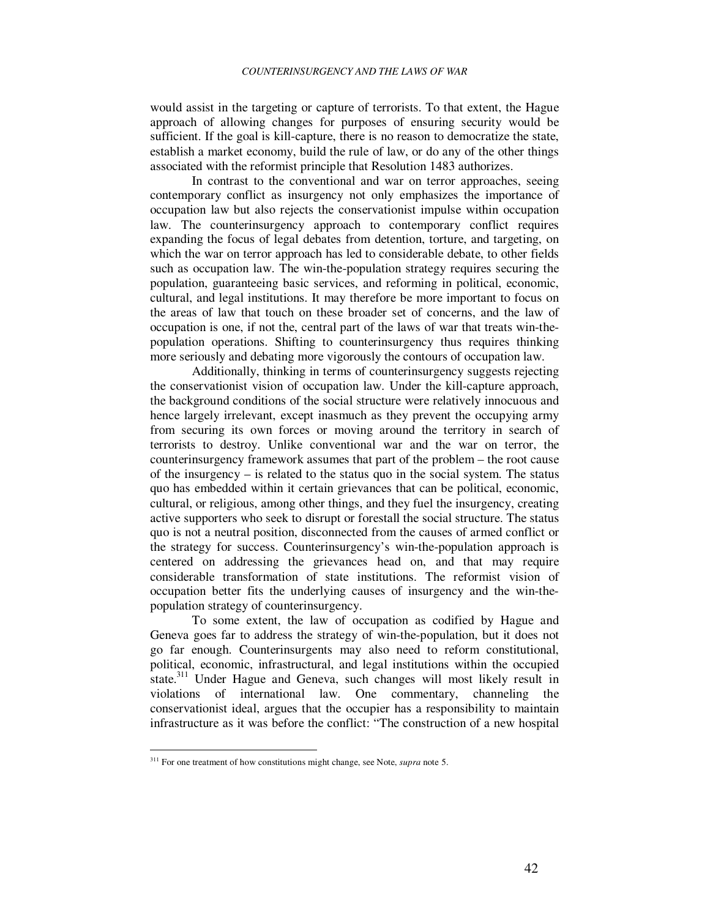would assist in the targeting or capture of terrorists. To that extent, the Hague approach of allowing changes for purposes of ensuring security would be sufficient. If the goal is kill-capture, there is no reason to democratize the state, establish a market economy, build the rule of law, or do any of the other things associated with the reformist principle that Resolution 1483 authorizes.

In contrast to the conventional and war on terror approaches, seeing contemporary conflict as insurgency not only emphasizes the importance of occupation law but also rejects the conservationist impulse within occupation law. The counterinsurgency approach to contemporary conflict requires expanding the focus of legal debates from detention, torture, and targeting, on which the war on terror approach has led to considerable debate, to other fields such as occupation law. The win-the-population strategy requires securing the population, guaranteeing basic services, and reforming in political, economic, cultural, and legal institutions. It may therefore be more important to focus on the areas of law that touch on these broader set of concerns, and the law of occupation is one, if not the, central part of the laws of war that treats win-thepopulation operations. Shifting to counterinsurgency thus requires thinking more seriously and debating more vigorously the contours of occupation law.

Additionally, thinking in terms of counterinsurgency suggests rejecting the conservationist vision of occupation law. Under the kill-capture approach, the background conditions of the social structure were relatively innocuous and hence largely irrelevant, except inasmuch as they prevent the occupying army from securing its own forces or moving around the territory in search of terrorists to destroy. Unlike conventional war and the war on terror, the counterinsurgency framework assumes that part of the problem – the root cause of the insurgency  $-$  is related to the status quo in the social system. The status quo has embedded within it certain grievances that can be political, economic, cultural, or religious, among other things, and they fuel the insurgency, creating active supporters who seek to disrupt or forestall the social structure. The status quo is not a neutral position, disconnected from the causes of armed conflict or the strategy for success. Counterinsurgency's win-the-population approach is centered on addressing the grievances head on, and that may require considerable transformation of state institutions. The reformist vision of occupation better fits the underlying causes of insurgency and the win-thepopulation strategy of counterinsurgency.

To some extent, the law of occupation as codified by Hague and Geneva goes far to address the strategy of win-the-population, but it does not go far enough. Counterinsurgents may also need to reform constitutional, political, economic, infrastructural, and legal institutions within the occupied state.<sup>311</sup> Under Hague and Geneva, such changes will most likely result in violations of international law. One commentary, channeling the conservationist ideal, argues that the occupier has a responsibility to maintain infrastructure as it was before the conflict: "The construction of a new hospital

<sup>311</sup> For one treatment of how constitutions might change, see Note, *supra* note 5.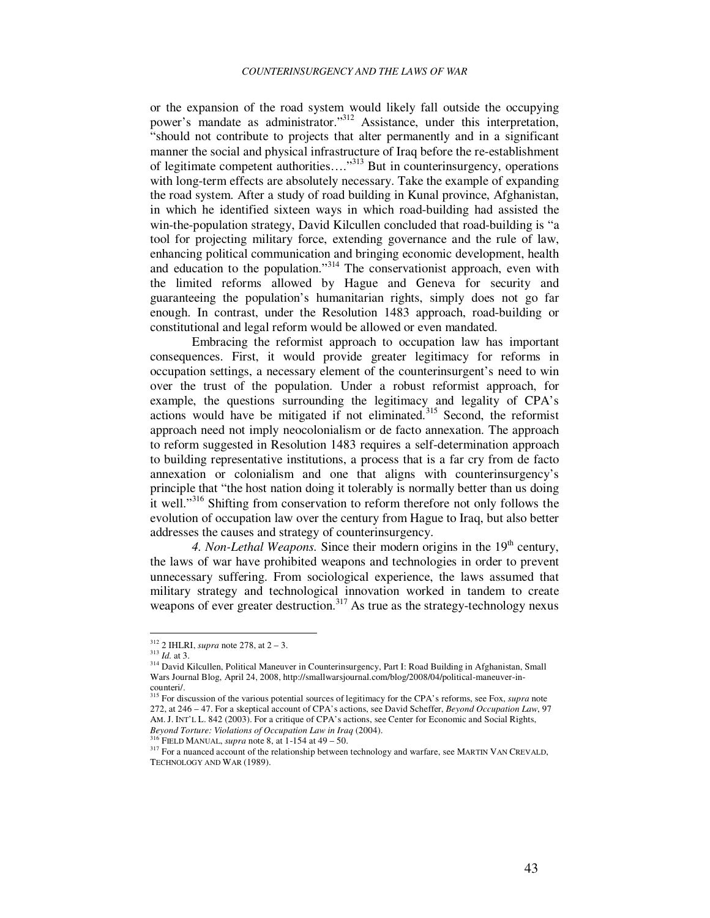or the expansion of the road system would likely fall outside the occupying power's mandate as administrator."<sup>312</sup> Assistance, under this interpretation, "should not contribute to projects that alter permanently and in a significant manner the social and physical infrastructure of Iraq before the re-establishment of legitimate competent authorities…."<sup>313</sup> But in counterinsurgency, operations with long-term effects are absolutely necessary. Take the example of expanding the road system. After a study of road building in Kunal province, Afghanistan, in which he identified sixteen ways in which road-building had assisted the win-the-population strategy, David Kilcullen concluded that road-building is "a tool for projecting military force, extending governance and the rule of law, enhancing political communication and bringing economic development, health and education to the population."<sup>314</sup> The conservationist approach, even with the limited reforms allowed by Hague and Geneva for security and guaranteeing the population's humanitarian rights, simply does not go far enough. In contrast, under the Resolution 1483 approach, road-building or constitutional and legal reform would be allowed or even mandated.

Embracing the reformist approach to occupation law has important consequences. First, it would provide greater legitimacy for reforms in occupation settings, a necessary element of the counterinsurgent's need to win over the trust of the population. Under a robust reformist approach, for example, the questions surrounding the legitimacy and legality of CPA's actions would have be mitigated if not eliminated.<sup>315</sup> Second, the reformist approach need not imply neocolonialism or de facto annexation. The approach to reform suggested in Resolution 1483 requires a self-determination approach to building representative institutions, a process that is a far cry from de facto annexation or colonialism and one that aligns with counterinsurgency's principle that "the host nation doing it tolerably is normally better than us doing it well."<sup>316</sup> Shifting from conservation to reform therefore not only follows the evolution of occupation law over the century from Hague to Iraq, but also better addresses the causes and strategy of counterinsurgency.

4. Non-Lethal Weapons. Since their modern origins in the 19<sup>th</sup> century, the laws of war have prohibited weapons and technologies in order to prevent unnecessary suffering. From sociological experience, the laws assumed that military strategy and technological innovation worked in tandem to create weapons of ever greater destruction. $317$  As true as the strategy-technology nexus

<sup>312</sup> 2 IHLRI, *supra* note 278, at 2 – 3.

<sup>313</sup> *Id.* at 3.

<sup>314</sup> David Kilcullen, Political Maneuver in Counterinsurgency, Part I: Road Building in Afghanistan, Small Wars Journal Blog, April 24, 2008, http://smallwarsjournal.com/blog/2008/04/political-maneuver-incounteri/.

<sup>&</sup>lt;sup>5</sup> For discussion of the various potential sources of legitimacy for the CPA's reforms, see Fox, *supra* note 272, at 246 – 47. For a skeptical account of CPA's actions, see David Scheffer, *Beyond Occupation Law*, 97 AM. J. INT'L L. 842 (2003). For a critique of CPA's actions, see Center for Economic and Social Rights, *Beyond Torture: Violations of Occupation Law in Iraq* (2004).

 $\overline{3}$  FIELD MANUAL, *supra* note 8, at 1-154 at 49 – 50.

<sup>&</sup>lt;sup>317</sup> For a nuanced account of the relationship between technology and warfare, see MARTIN VAN CREVALD, TECHNOLOGY AND WAR (1989).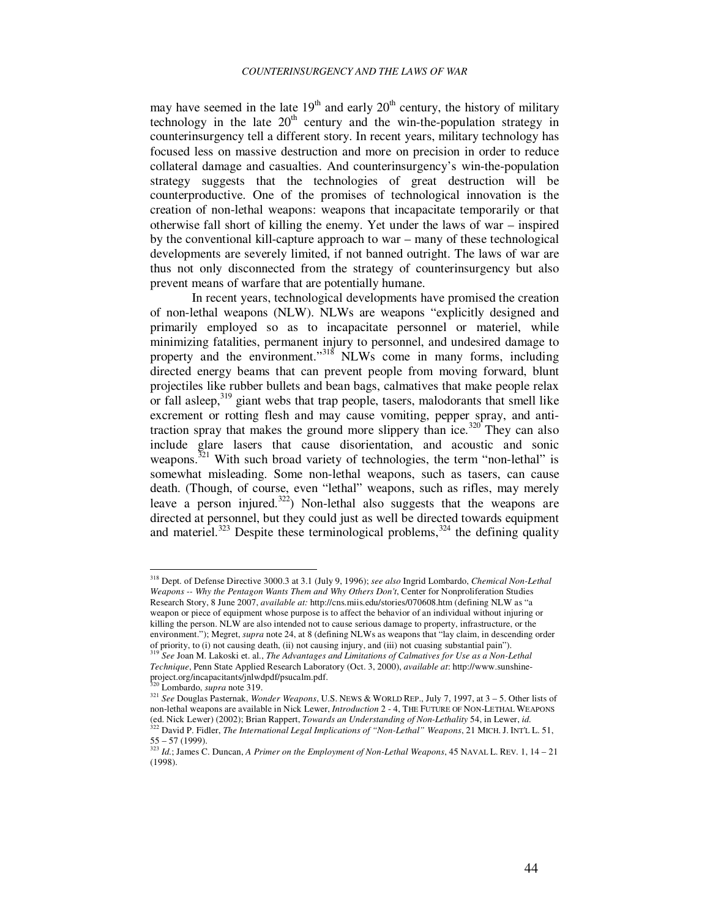may have seemed in the late  $19<sup>th</sup>$  and early  $20<sup>th</sup>$  century, the history of military technology in the late  $20<sup>th</sup>$  century and the win-the-population strategy in counterinsurgency tell a different story. In recent years, military technology has focused less on massive destruction and more on precision in order to reduce collateral damage and casualties. And counterinsurgency's win-the-population strategy suggests that the technologies of great destruction will be counterproductive. One of the promises of technological innovation is the creation of non-lethal weapons: weapons that incapacitate temporarily or that otherwise fall short of killing the enemy. Yet under the laws of war – inspired by the conventional kill-capture approach to war – many of these technological developments are severely limited, if not banned outright. The laws of war are thus not only disconnected from the strategy of counterinsurgency but also prevent means of warfare that are potentially humane.

In recent years, technological developments have promised the creation of non-lethal weapons (NLW). NLWs are weapons "explicitly designed and primarily employed so as to incapacitate personnel or materiel, while minimizing fatalities, permanent injury to personnel, and undesired damage to property and the environment."<sup>318</sup> NLWs come in many forms, including directed energy beams that can prevent people from moving forward, blunt projectiles like rubber bullets and bean bags, calmatives that make people relax or fall asleep,<sup>319</sup> giant webs that trap people, tasers, malodorants that smell like excrement or rotting flesh and may cause vomiting, pepper spray, and antitraction spray that makes the ground more slippery than ice.<sup>320</sup> They can also include glare lasers that cause disorientation, and acoustic and sonic weapons.<sup>321</sup> With such broad variety of technologies, the term "non-lethal" is somewhat misleading. Some non-lethal weapons, such as tasers, can cause death. (Though, of course, even "lethal" weapons, such as rifles, may merely leave a person injured. $322$ ) Non-lethal also suggests that the weapons are directed at personnel, but they could just as well be directed towards equipment and materiel.<sup>323</sup> Despite these terminological problems,<sup>324</sup> the defining quality

<sup>318</sup> Dept. of Defense Directive 3000.3 at 3.1 (July 9, 1996); *see also* Ingrid Lombardo, *Chemical Non-Lethal Weapons -- Why the Pentagon Wants Them and Why Others Don't*, Center for Nonproliferation Studies Research Story, 8 June 2007, *available at:* http://cns.miis.edu/stories/070608.htm (defining NLW as "a weapon or piece of equipment whose purpose is to affect the behavior of an individual without injuring or killing the person. NLW are also intended not to cause serious damage to property, infrastructure, or the environment."); Megret, *supra* note 24, at 8 (defining NLWs as weapons that "lay claim, in descending order of priority, to (i) not causing death, (ii) not causing injury, and (iii) not cuasing substantial pain").

<sup>319</sup> *See* Joan M. Lakoski et. al., *The Advantages and Limitations of Calmatives for Use as a Non-Lethal Technique*, Penn State Applied Research Laboratory (Oct. 3, 2000), *available at*: http://www.sunshineproject.org/incapacitants/jnlwdpdf/psucalm.pdf.

<sup>320</sup> Lombardo, *supra* note 319.

<sup>321</sup> *See* Douglas Pasternak, *Wonder Weapons*, U.S. NEWS & WORLD REP., July 7, 1997, at 3 – 5. Other lists of non-lethal weapons are available in Nick Lewer, *Introduction* 2 - 4, THE FUTURE OF NON-LETHAL WEAPONS (ed. Nick Lewer) (2002); Brian Rappert, *Towards an Understanding of Non-Lethality* 54, in Lewer, *id.* <sup>322</sup> David P. Fidler, *The International Legal Implications of "Non-Lethal" Weapons*, 21 MICH. J. INT'L L. 51,

<sup>55 – 57 (1999).</sup>  <sup>323</sup> *Id.*; James C. Duncan, *A Primer on the Employment of Non-Lethal Weapons*, 45 NAVAL L. REV. 1, 14 – 21 (1998).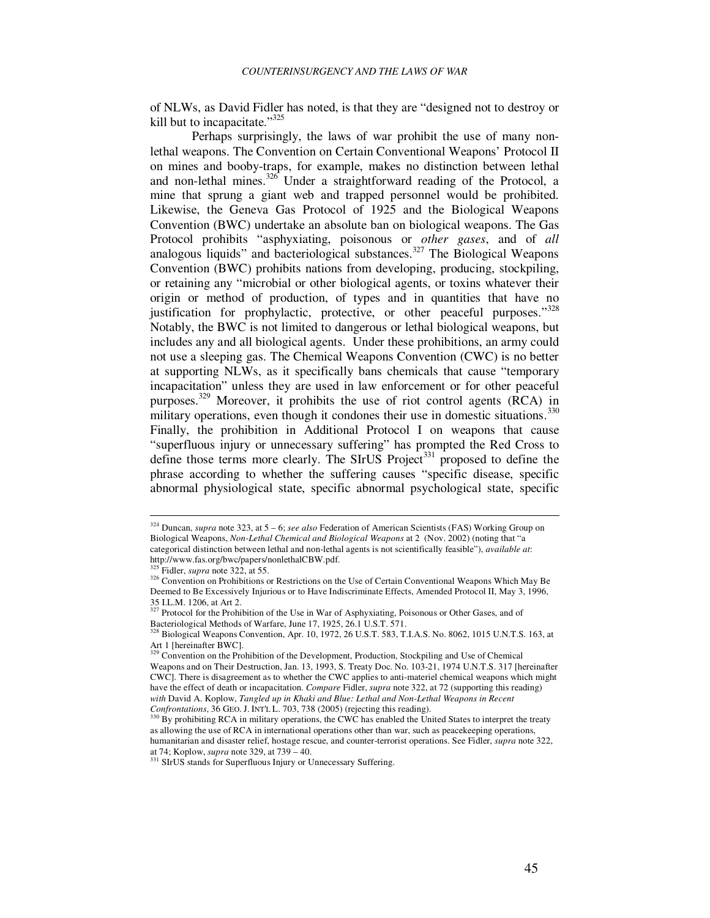of NLWs, as David Fidler has noted, is that they are "designed not to destroy or kill but to incapacitate."<sup>325</sup>

Perhaps surprisingly, the laws of war prohibit the use of many nonlethal weapons. The Convention on Certain Conventional Weapons' Protocol II on mines and booby-traps, for example, makes no distinction between lethal and non-lethal mines.<sup>326</sup> Under a straightforward reading of the Protocol, a mine that sprung a giant web and trapped personnel would be prohibited. Likewise, the Geneva Gas Protocol of 1925 and the Biological Weapons Convention (BWC) undertake an absolute ban on biological weapons. The Gas Protocol prohibits "asphyxiating, poisonous or *other gases*, and of *all* analogous liquids" and bacteriological substances.<sup>327</sup> The Biological Weapons Convention (BWC) prohibits nations from developing, producing, stockpiling, or retaining any "microbial or other biological agents, or toxins whatever their origin or method of production, of types and in quantities that have no justification for prophylactic, protective, or other peaceful purposes."<sup>328</sup> Notably, the BWC is not limited to dangerous or lethal biological weapons, but includes any and all biological agents. Under these prohibitions, an army could not use a sleeping gas. The Chemical Weapons Convention (CWC) is no better at supporting NLWs, as it specifically bans chemicals that cause "temporary incapacitation" unless they are used in law enforcement or for other peaceful purposes.<sup>329</sup> Moreover, it prohibits the use of riot control agents (RCA) in military operations, even though it condones their use in domestic situations.<sup>330</sup> Finally, the prohibition in Additional Protocol I on weapons that cause "superfluous injury or unnecessary suffering" has prompted the Red Cross to define those terms more clearly. The SIrUS Project<sup>331</sup> proposed to define the phrase according to whether the suffering causes "specific disease, specific abnormal physiological state, specific abnormal psychological state, specific

 $\overline{a}$ 

<sup>324</sup> Duncan, *supra* note 323, at 5 – 6; *see also* Federation of American Scientists (FAS) Working Group on Biological Weapons, *Non-Lethal Chemical and Biological Weapons* at 2 (Nov. 2002) (noting that "a categorical distinction between lethal and non-lethal agents is not scientifically feasible"), *available at*: http://www.fas.org/bwc/papers/nonlethalCBW.pdf.

<sup>&</sup>lt;sup>325</sup> Fidler, *supra* note 322, at 55.

<sup>&</sup>lt;sup>326</sup> Convention on Prohibitions or Restrictions on the Use of Certain Conventional Weapons Which May Be Deemed to Be Excessively Injurious or to Have Indiscriminate Effects, Amended Protocol II, May 3, 1996, 35 I.L.M. 1206, at Art 2.

Protocol for the Prohibition of the Use in War of Asphyxiating, Poisonous or Other Gases, and of Bacteriological Methods of Warfare, June 17, 1925, 26.1 U.S.T. 571.

<sup>&</sup>lt;sup>328</sup> Biological Weapons Convention, Apr. 10, 1972, 26 U.S.T. 583, T.I.A.S. No. 8062, 1015 U.N.T.S. 163, at

Art 1 [hereinafter BWC].<br><sup>329</sup> Convention on the Prohibition of the Development, Production, Stockpiling and Use of Chemical Weapons and on Their Destruction, Jan. 13, 1993, S. Treaty Doc. No. 103-21, 1974 U.N.T.S. 317 [hereinafter CWC]. There is disagreement as to whether the CWC applies to anti-materiel chemical weapons which might have the effect of death or incapacitation. *Compare* Fidler, *supra* note 322, at 72 (supporting this reading) *with* David A. Koplow, *Tangled up in Khaki and Blue: Lethal and Non-Lethal Weapons in Recent Confrontations*, 36 GEO. J. INT'L L. 703, 738 (2005) (rejecting this reading).

<sup>&</sup>lt;sup>330</sup> By prohibiting RCA in military operations, the CWC has enabled the United States to interpret the treaty as allowing the use of RCA in international operations other than war, such as peacekeeping operations, humanitarian and disaster relief, hostage rescue, and counter-terrorist operations. See Fidler, *supra* note 322, at 74; Koplow, *supra* note 329, at 739 – 40.

<sup>331</sup> SIrUS stands for Superfluous Injury or Unnecessary Suffering.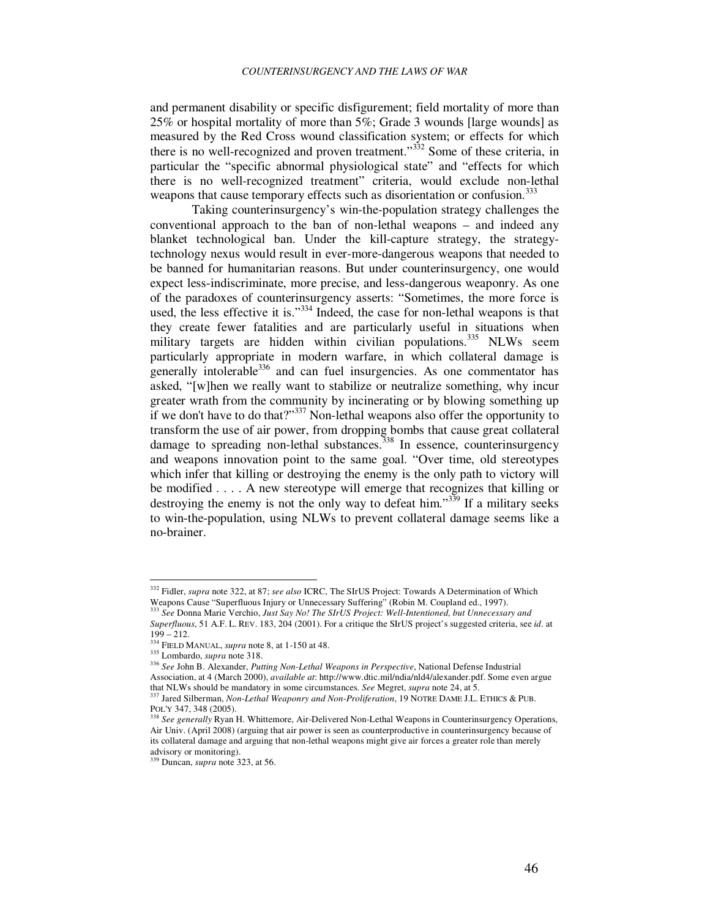and permanent disability or specific disfigurement; field mortality of more than 25% or hospital mortality of more than 5%; Grade 3 wounds [large wounds] as measured by the Red Cross wound classification system; or effects for which there is no well-recognized and proven treatment." $332$  Some of these criteria, in particular the "specific abnormal physiological state" and "effects for which there is no well-recognized treatment" criteria, would exclude non-lethal weapons that cause temporary effects such as disorientation or confusion.<sup>333</sup>

Taking counterinsurgency's win-the-population strategy challenges the conventional approach to the ban of non-lethal weapons – and indeed any blanket technological ban. Under the kill-capture strategy, the strategytechnology nexus would result in ever-more-dangerous weapons that needed to be banned for humanitarian reasons. But under counterinsurgency, one would expect less-indiscriminate, more precise, and less-dangerous weaponry. As one of the paradoxes of counterinsurgency asserts: "Sometimes, the more force is used, the less effective it is."<sup>334</sup> Indeed, the case for non-lethal weapons is that they create fewer fatalities and are particularly useful in situations when military targets are hidden within civilian populations.<sup>335</sup> NLWs seem particularly appropriate in modern warfare, in which collateral damage is generally intolerable<sup>336</sup> and can fuel insurgencies. As one commentator has asked, "[w]hen we really want to stabilize or neutralize something, why incur greater wrath from the community by incinerating or by blowing something up if we don't have to do that?"<sup>337</sup> Non-lethal weapons also offer the opportunity to transform the use of air power, from dropping bombs that cause great collateral damage to spreading non-lethal substances.<sup>338</sup> In essence, counterinsurgency and weapons innovation point to the same goal. "Over time, old stereotypes which infer that killing or destroying the enemy is the only path to victory will be modified . . . . A new stereotype will emerge that recognizes that killing or destroying the enemy is not the only way to defeat him."<sup>339</sup> If a military seeks to win-the-population, using NLWs to prevent collateral damage seems like a no-brainer.

<sup>332</sup> Fidler, *supra* note 322, at 87; *see also* ICRC, The SIrUS Project: Towards A Determination of Which Weapons Cause "Superfluous Injury or Unnecessary Suffering" (Robin M. Coupland ed., 1997).

<sup>333</sup> *See* Donna Marie Verchio, *Just Say No! The SIrUS Project: Well-Intentioned, but Unnecessary and Superfluous*, 51 A.F. L. REV. 183, 204 (2001). For a critique the SIrUS project's suggested criteria, see *id*. at  $199 - 212$ .

<sup>334</sup> FIELD MANUAL, *supra* note 8, at 1-150 at 48.

<sup>335</sup> Lombardo, *supra* note 318.

<sup>336</sup> *See* John B. Alexander, *Putting Non-Lethal Weapons in Perspective*, National Defense Industrial Association, at 4 (March 2000), *available at*: http://www.dtic.mil/ndia/nld4/alexander.pdf. Some even argue that NLWs should be mandatory in some circumstances. *See* Megret, *supra* note 24, at 5.

<sup>337</sup> Jared Silberman, *Non-Lethal Weaponry and Non-Proliferation*, 19 NOTRE DAME J.L. ETHICS & PUB. POL'Y 347, 348 (2005).

<sup>338</sup> *See generally* Ryan H. Whittemore, Air-Delivered Non-Lethal Weapons in Counterinsurgency Operations, Air Univ. (April 2008) (arguing that air power is seen as counterproductive in counterinsurgency because of its collateral damage and arguing that non-lethal weapons might give air forces a greater role than merely advisory or monitoring).

<sup>339</sup> Duncan, *supra* note 323, at 56.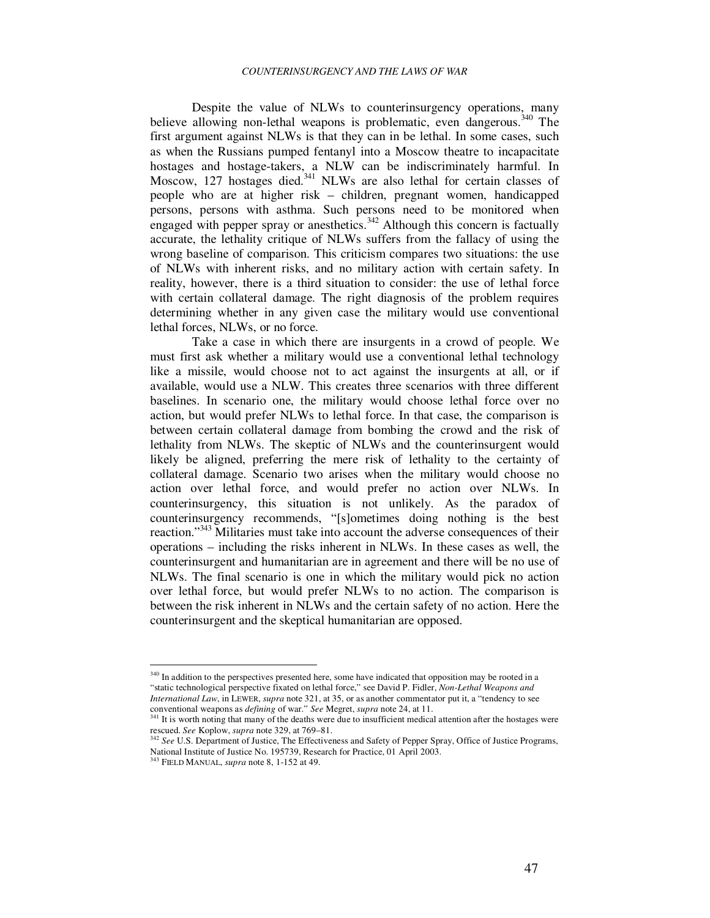Despite the value of NLWs to counterinsurgency operations, many believe allowing non-lethal weapons is problematic, even dangerous.<sup>340</sup> The first argument against NLWs is that they can in be lethal. In some cases, such as when the Russians pumped fentanyl into a Moscow theatre to incapacitate hostages and hostage-takers, a NLW can be indiscriminately harmful. In Moscow, 127 hostages died.<sup>341</sup> NLWs are also lethal for certain classes of people who are at higher risk – children, pregnant women, handicapped persons, persons with asthma. Such persons need to be monitored when engaged with pepper spray or anesthetics.<sup>342</sup> Although this concern is factually accurate, the lethality critique of NLWs suffers from the fallacy of using the wrong baseline of comparison. This criticism compares two situations: the use of NLWs with inherent risks, and no military action with certain safety. In reality, however, there is a third situation to consider: the use of lethal force with certain collateral damage. The right diagnosis of the problem requires determining whether in any given case the military would use conventional lethal forces, NLWs, or no force.

Take a case in which there are insurgents in a crowd of people. We must first ask whether a military would use a conventional lethal technology like a missile, would choose not to act against the insurgents at all, or if available, would use a NLW. This creates three scenarios with three different baselines. In scenario one, the military would choose lethal force over no action, but would prefer NLWs to lethal force. In that case, the comparison is between certain collateral damage from bombing the crowd and the risk of lethality from NLWs. The skeptic of NLWs and the counterinsurgent would likely be aligned, preferring the mere risk of lethality to the certainty of collateral damage. Scenario two arises when the military would choose no action over lethal force, and would prefer no action over NLWs. In counterinsurgency, this situation is not unlikely. As the paradox of counterinsurgency recommends, "[s]ometimes doing nothing is the best reaction."<sup>343</sup> Militaries must take into account the adverse consequences of their operations – including the risks inherent in NLWs. In these cases as well, the counterinsurgent and humanitarian are in agreement and there will be no use of NLWs. The final scenario is one in which the military would pick no action over lethal force, but would prefer NLWs to no action. The comparison is between the risk inherent in NLWs and the certain safety of no action. Here the counterinsurgent and the skeptical humanitarian are opposed.

 $340$  In addition to the perspectives presented here, some have indicated that opposition may be rooted in a "static technological perspective fixated on lethal force," see David P. Fidler, *Non-Lethal Weapons and International Law*, in LEWER, *supra* note 321, at 35, or as another commentator put it, a "tendency to see conventional weapons as *defining* of war." *See* Megret, *supra* note 24, at 11.

 $341$  It is worth noting that many of the deaths were due to insufficient medical attention after the hostages were

rescued. *See* Koplow, *supra* note 329, at 769–81. <sup>342</sup> *See* U.S. Department of Justice, The Effectiveness and Safety of Pepper Spray, Office of Justice Programs, National Institute of Justice No. 195739, Research for Practice, 01 April 2003.

<sup>343</sup> FIELD MANUAL, *supra* note 8, 1-152 at 49.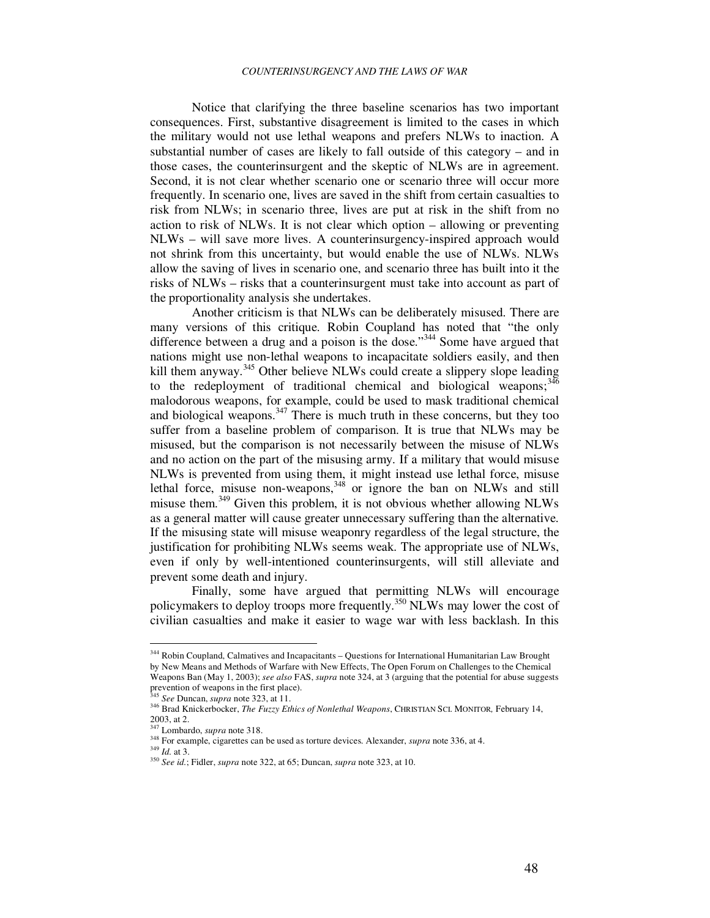Notice that clarifying the three baseline scenarios has two important consequences. First, substantive disagreement is limited to the cases in which the military would not use lethal weapons and prefers NLWs to inaction. A substantial number of cases are likely to fall outside of this category – and in those cases, the counterinsurgent and the skeptic of NLWs are in agreement. Second, it is not clear whether scenario one or scenario three will occur more frequently. In scenario one, lives are saved in the shift from certain casualties to risk from NLWs; in scenario three, lives are put at risk in the shift from no action to risk of NLWs. It is not clear which option – allowing or preventing NLWs – will save more lives. A counterinsurgency-inspired approach would not shrink from this uncertainty, but would enable the use of NLWs. NLWs allow the saving of lives in scenario one, and scenario three has built into it the risks of NLWs – risks that a counterinsurgent must take into account as part of the proportionality analysis she undertakes.

Another criticism is that NLWs can be deliberately misused. There are many versions of this critique. Robin Coupland has noted that "the only difference between a drug and a poison is the dose."<sup>344</sup> Some have argued that nations might use non-lethal weapons to incapacitate soldiers easily, and then kill them anyway.<sup>345</sup> Other believe NLWs could create a slippery slope leading to the redeployment of traditional chemical and biological weapons;  $346$ malodorous weapons, for example, could be used to mask traditional chemical and biological weapons.<sup>347</sup> There is much truth in these concerns, but they too suffer from a baseline problem of comparison. It is true that NLWs may be misused, but the comparison is not necessarily between the misuse of NLWs and no action on the part of the misusing army. If a military that would misuse NLWs is prevented from using them, it might instead use lethal force, misuse lethal force, misuse non-weapons,<sup>348</sup> or ignore the ban on NLWs and still misuse them.<sup>349</sup> Given this problem, it is not obvious whether allowing NLWs as a general matter will cause greater unnecessary suffering than the alternative. If the misusing state will misuse weaponry regardless of the legal structure, the justification for prohibiting NLWs seems weak. The appropriate use of NLWs, even if only by well-intentioned counterinsurgents, will still alleviate and prevent some death and injury.

Finally, some have argued that permitting NLWs will encourage policymakers to deploy troops more frequently.<sup>350</sup> NLWs may lower the cost of civilian casualties and make it easier to wage war with less backlash. In this

<sup>344</sup> Robin Coupland, Calmatives and Incapacitants – Questions for International Humanitarian Law Brought by New Means and Methods of Warfare with New Effects, The Open Forum on Challenges to the Chemical Weapons Ban (May 1, 2003); *see also* FAS, *supra* note 324, at 3 (arguing that the potential for abuse suggests prevention of weapons in the first place).

<sup>345</sup> *See* Duncan, *supra* note 323, at 11.

<sup>346</sup> Brad Knickerbocker, *The Fuzzy Ethics of Nonlethal Weapons*, CHRISTIAN SCI. MONITOR*,* February 14, 2003, at 2.

<sup>347</sup> Lombardo, *supra* note 318.

<sup>348</sup> For example, cigarettes can be used as torture devices. Alexander, *supra* note 336, at 4.

<sup>349</sup> *Id.* at 3.

<sup>350</sup> *See id.*; Fidler, *supra* note 322, at 65; Duncan, *supra* note 323, at 10.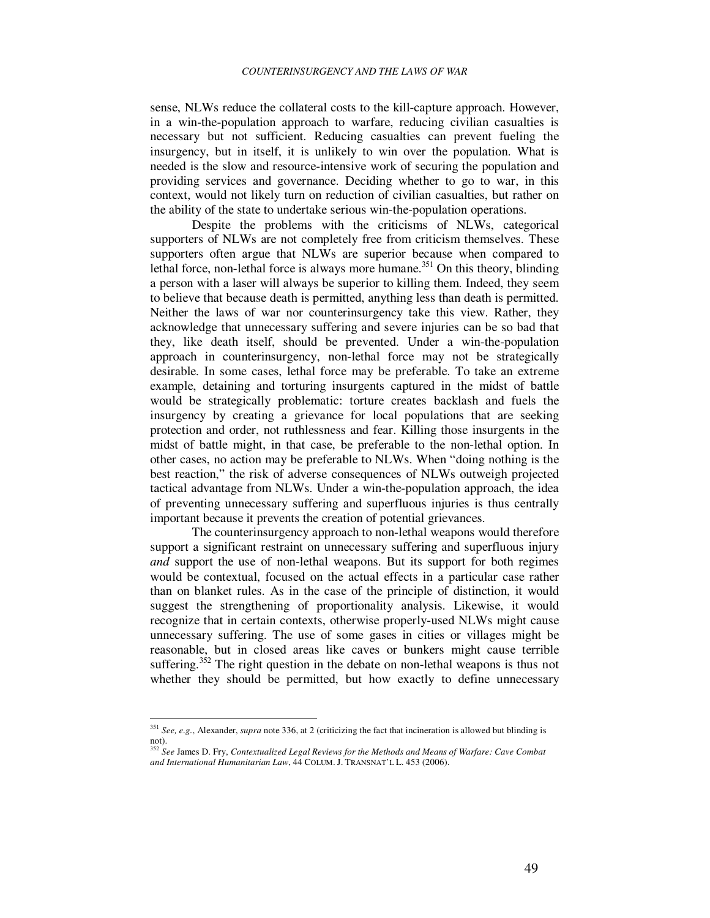sense, NLWs reduce the collateral costs to the kill-capture approach. However, in a win-the-population approach to warfare, reducing civilian casualties is necessary but not sufficient. Reducing casualties can prevent fueling the insurgency, but in itself, it is unlikely to win over the population. What is needed is the slow and resource-intensive work of securing the population and providing services and governance. Deciding whether to go to war, in this context, would not likely turn on reduction of civilian casualties, but rather on the ability of the state to undertake serious win-the-population operations.

Despite the problems with the criticisms of NLWs, categorical supporters of NLWs are not completely free from criticism themselves. These supporters often argue that NLWs are superior because when compared to lethal force, non-lethal force is always more humane.<sup>351</sup> On this theory, blinding a person with a laser will always be superior to killing them. Indeed, they seem to believe that because death is permitted, anything less than death is permitted. Neither the laws of war nor counterinsurgency take this view. Rather, they acknowledge that unnecessary suffering and severe injuries can be so bad that they, like death itself, should be prevented. Under a win-the-population approach in counterinsurgency, non-lethal force may not be strategically desirable. In some cases, lethal force may be preferable. To take an extreme example, detaining and torturing insurgents captured in the midst of battle would be strategically problematic: torture creates backlash and fuels the insurgency by creating a grievance for local populations that are seeking protection and order, not ruthlessness and fear. Killing those insurgents in the midst of battle might, in that case, be preferable to the non-lethal option. In other cases, no action may be preferable to NLWs. When "doing nothing is the best reaction," the risk of adverse consequences of NLWs outweigh projected tactical advantage from NLWs. Under a win-the-population approach, the idea of preventing unnecessary suffering and superfluous injuries is thus centrally important because it prevents the creation of potential grievances.

The counterinsurgency approach to non-lethal weapons would therefore support a significant restraint on unnecessary suffering and superfluous injury *and* support the use of non-lethal weapons. But its support for both regimes would be contextual, focused on the actual effects in a particular case rather than on blanket rules. As in the case of the principle of distinction, it would suggest the strengthening of proportionality analysis. Likewise, it would recognize that in certain contexts, otherwise properly-used NLWs might cause unnecessary suffering. The use of some gases in cities or villages might be reasonable, but in closed areas like caves or bunkers might cause terrible suffering.<sup>352</sup> The right question in the debate on non-lethal weapons is thus not whether they should be permitted, but how exactly to define unnecessary

<sup>351</sup> *See, e.g.*, Alexander, *supra* note 336, at 2 (criticizing the fact that incineration is allowed but blinding is not). <sup>352</sup> *See* James D. Fry, *Contextualized Legal Reviews for the Methods and Means of Warfare: Cave Combat* 

*and International Humanitarian Law*, 44 COLUM. J. TRANSNAT'L L. 453 (2006).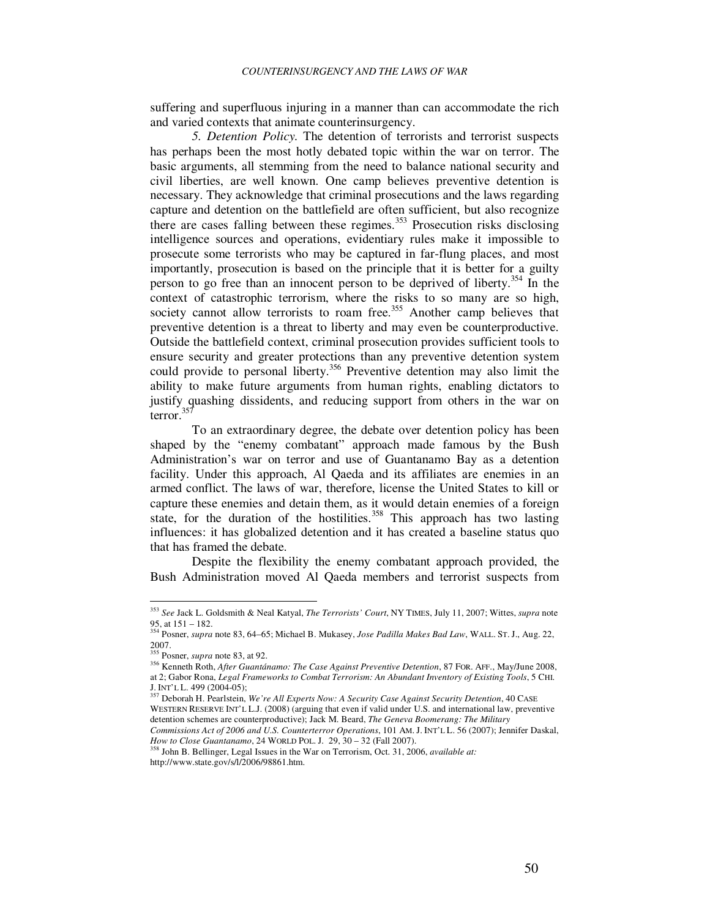suffering and superfluous injuring in a manner than can accommodate the rich and varied contexts that animate counterinsurgency.

*5. Detention Policy.* The detention of terrorists and terrorist suspects has perhaps been the most hotly debated topic within the war on terror. The basic arguments, all stemming from the need to balance national security and civil liberties, are well known. One camp believes preventive detention is necessary. They acknowledge that criminal prosecutions and the laws regarding capture and detention on the battlefield are often sufficient, but also recognize there are cases falling between these regimes.<sup>353</sup> Prosecution risks disclosing intelligence sources and operations, evidentiary rules make it impossible to prosecute some terrorists who may be captured in far-flung places, and most importantly, prosecution is based on the principle that it is better for a guilty person to go free than an innocent person to be deprived of liberty.<sup>354</sup> In the context of catastrophic terrorism, where the risks to so many are so high, society cannot allow terrorists to roam free.<sup>355</sup> Another camp believes that preventive detention is a threat to liberty and may even be counterproductive. Outside the battlefield context, criminal prosecution provides sufficient tools to ensure security and greater protections than any preventive detention system could provide to personal liberty.<sup>356</sup> Preventive detention may also limit the ability to make future arguments from human rights, enabling dictators to justify quashing dissidents, and reducing support from others in the war on terror.<sup>357</sup>

To an extraordinary degree, the debate over detention policy has been shaped by the "enemy combatant" approach made famous by the Bush Administration's war on terror and use of Guantanamo Bay as a detention facility. Under this approach, Al Qaeda and its affiliates are enemies in an armed conflict. The laws of war, therefore, license the United States to kill or capture these enemies and detain them, as it would detain enemies of a foreign state, for the duration of the hostilities.<sup>358</sup> This approach has two lasting influences: it has globalized detention and it has created a baseline status quo that has framed the debate.

Despite the flexibility the enemy combatant approach provided, the Bush Administration moved Al Qaeda members and terrorist suspects from

<sup>353</sup> *See* Jack L. Goldsmith & Neal Katyal, *The Terrorists' Court*, NY TIMES, July 11, 2007; Wittes, *supra* note 95, at 151 – 182.

<sup>354</sup> Posner, *supra* note 83, 64–65; Michael B. Mukasey, *Jose Padilla Makes Bad Law*, WALL. ST. J., Aug. 22, 2007.

<sup>355</sup> Posner, *supra* note 83, at 92.

<sup>356</sup> Kenneth Roth, *After Guantánamo: The Case Against Preventive Detention*, 87 FOR. AFF., May/June 2008, at 2; Gabor Rona, *Legal Frameworks to Combat Terrorism: An Abundant Inventory of Existing Tools*, 5 CHI.

J. INT'L L. 499 (2004-05); <sup>357</sup> Deborah H. Pearlstein, *We're All Experts Now: A Security Case Against Security Detention*, 40 CASE WESTERN RESERVE INT'L L.J. (2008) (arguing that even if valid under U.S. and international law, preventive detention schemes are counterproductive); Jack M. Beard, *The Geneva Boomerang: The Military Commissions Act of 2006 and U.S. Counterterror Operations*, 101 AM. J. INT'L L. 56 (2007); Jennifer Daskal,

*How to Close Guantanamo*, 24 WORLD POL. J. 29, 30 – 32 (Fall 2007). <sup>358</sup> John B. Bellinger, Legal Issues in the War on Terrorism, Oct. 31, 2006, *available at:*

http://www.state.gov/s/l/2006/98861.htm.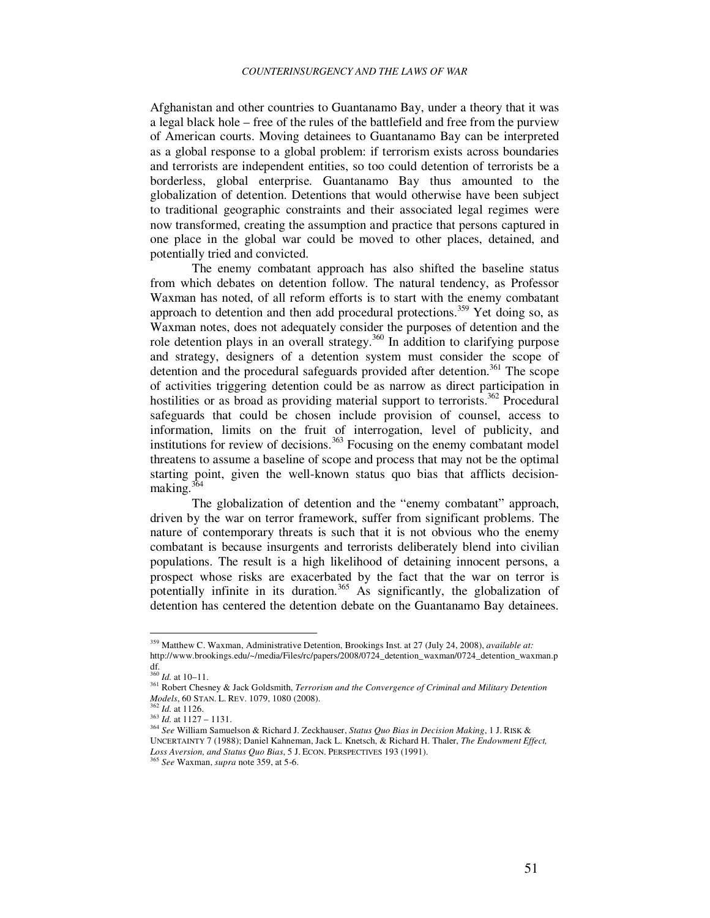Afghanistan and other countries to Guantanamo Bay, under a theory that it was a legal black hole – free of the rules of the battlefield and free from the purview of American courts. Moving detainees to Guantanamo Bay can be interpreted as a global response to a global problem: if terrorism exists across boundaries and terrorists are independent entities, so too could detention of terrorists be a borderless, global enterprise. Guantanamo Bay thus amounted to the globalization of detention. Detentions that would otherwise have been subject to traditional geographic constraints and their associated legal regimes were now transformed, creating the assumption and practice that persons captured in one place in the global war could be moved to other places, detained, and potentially tried and convicted.

The enemy combatant approach has also shifted the baseline status from which debates on detention follow. The natural tendency, as Professor Waxman has noted, of all reform efforts is to start with the enemy combatant approach to detention and then add procedural protections.<sup>359</sup> Yet doing so, as Waxman notes, does not adequately consider the purposes of detention and the role detention plays in an overall strategy.<sup>360</sup> In addition to clarifying purpose and strategy, designers of a detention system must consider the scope of detention and the procedural safeguards provided after detention.<sup>361</sup> The scope of activities triggering detention could be as narrow as direct participation in hostilities or as broad as providing material support to terrorists.<sup>362</sup> Procedural safeguards that could be chosen include provision of counsel, access to information, limits on the fruit of interrogation, level of publicity, and institutions for review of decisions. $363$  Focusing on the enemy combatant model threatens to assume a baseline of scope and process that may not be the optimal starting point, given the well-known status quo bias that afflicts decisionmaking.<sup>364</sup>

The globalization of detention and the "enemy combatant" approach, driven by the war on terror framework, suffer from significant problems. The nature of contemporary threats is such that it is not obvious who the enemy combatant is because insurgents and terrorists deliberately blend into civilian populations. The result is a high likelihood of detaining innocent persons, a prospect whose risks are exacerbated by the fact that the war on terror is potentially infinite in its duration.<sup>365</sup> As significantly, the globalization of detention has centered the detention debate on the Guantanamo Bay detainees.

<sup>359</sup> Matthew C. Waxman, Administrative Detention, Brookings Inst. at 27 (July 24, 2008), *available at:* http://www.brookings.edu/~/media/Files/rc/papers/2008/0724\_detention\_waxman/0724\_detention\_waxman.p df.

 $360$  *Id.* at 10–11.

<sup>361</sup> Robert Chesney & Jack Goldsmith, *Terrorism and the Convergence of Criminal and Military Detention Models*, 60 STAN. L. REV. 1079, 1080 (2008).

<sup>362</sup> *Id.* at 1126.

<sup>363</sup> *Id.* at 1127 – 1131.

<sup>364</sup> *See* William Samuelson & Richard J. Zeckhauser, *Status Quo Bias in Decision Making*, 1 J. RISK & UNCERTAINTY 7 (1988); Daniel Kahneman, Jack L. Knetsch, & Richard H. Thaler, *The Endowment Effect, Loss Aversion, and Status Quo Bias*, 5 J. ECON. PERSPECTIVES 193 (1991).

<sup>365</sup> *See* Waxman, *supra* note 359, at 5-6.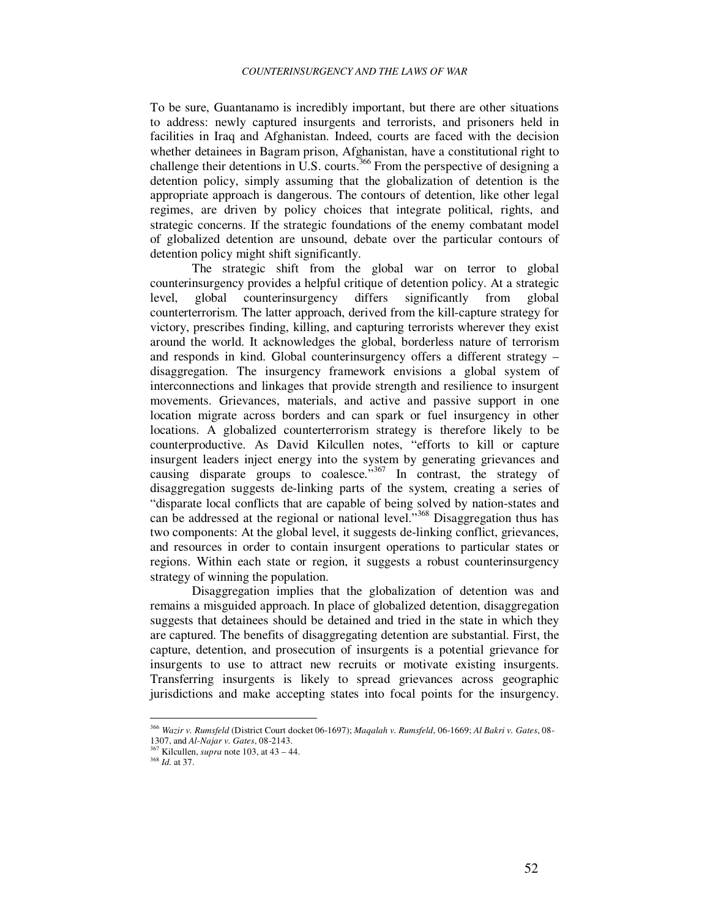To be sure, Guantanamo is incredibly important, but there are other situations to address: newly captured insurgents and terrorists, and prisoners held in facilities in Iraq and Afghanistan. Indeed, courts are faced with the decision whether detainees in Bagram prison, Afghanistan, have a constitutional right to challenge their detentions in U.S. courts.<sup>366</sup> From the perspective of designing a detention policy, simply assuming that the globalization of detention is the appropriate approach is dangerous. The contours of detention, like other legal regimes, are driven by policy choices that integrate political, rights, and strategic concerns. If the strategic foundations of the enemy combatant model of globalized detention are unsound, debate over the particular contours of detention policy might shift significantly.

The strategic shift from the global war on terror to global counterinsurgency provides a helpful critique of detention policy. At a strategic level, global counterinsurgency differs significantly from global counterterrorism. The latter approach, derived from the kill-capture strategy for victory, prescribes finding, killing, and capturing terrorists wherever they exist around the world. It acknowledges the global, borderless nature of terrorism and responds in kind. Global counterinsurgency offers a different strategy – disaggregation. The insurgency framework envisions a global system of interconnections and linkages that provide strength and resilience to insurgent movements. Grievances, materials, and active and passive support in one location migrate across borders and can spark or fuel insurgency in other locations. A globalized counterterrorism strategy is therefore likely to be counterproductive. As David Kilcullen notes, "efforts to kill or capture insurgent leaders inject energy into the system by generating grievances and causing disparate groups to coalesce."<sup>367</sup> In contrast, the strategy of disaggregation suggests de-linking parts of the system, creating a series of "disparate local conflicts that are capable of being solved by nation-states and can be addressed at the regional or national level."<sup>368</sup> Disaggregation thus has two components: At the global level, it suggests de-linking conflict, grievances, and resources in order to contain insurgent operations to particular states or regions. Within each state or region, it suggests a robust counterinsurgency strategy of winning the population.

Disaggregation implies that the globalization of detention was and remains a misguided approach. In place of globalized detention, disaggregation suggests that detainees should be detained and tried in the state in which they are captured. The benefits of disaggregating detention are substantial. First, the capture, detention, and prosecution of insurgents is a potential grievance for insurgents to use to attract new recruits or motivate existing insurgents. Transferring insurgents is likely to spread grievances across geographic jurisdictions and make accepting states into focal points for the insurgency.

<sup>366</sup> *Wazir v. Rumsfeld* (District Court docket 06-1697); *Maqalah v. Rumsfeld*, 06-1669; *Al Bakri v. Gates*, 08-

<sup>1307,</sup> and *Al-Najar v. Gates*, 08-2143. <sup>367</sup> Kilcullen, *supra* note 103, at 43 – 44.

<sup>368</sup> *Id.* at 37.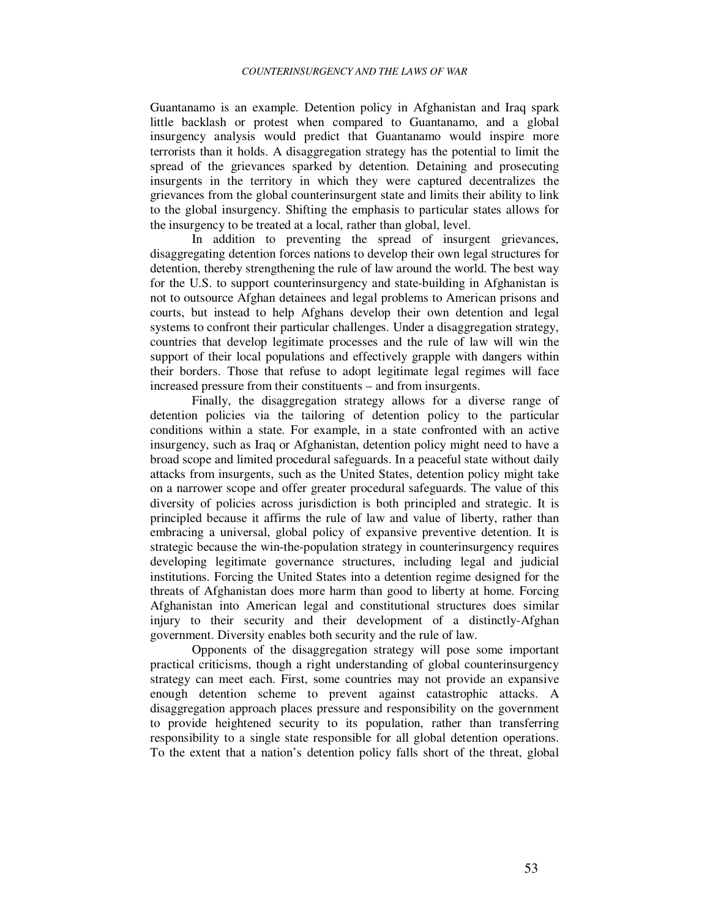Guantanamo is an example. Detention policy in Afghanistan and Iraq spark little backlash or protest when compared to Guantanamo, and a global insurgency analysis would predict that Guantanamo would inspire more terrorists than it holds. A disaggregation strategy has the potential to limit the spread of the grievances sparked by detention. Detaining and prosecuting insurgents in the territory in which they were captured decentralizes the grievances from the global counterinsurgent state and limits their ability to link to the global insurgency. Shifting the emphasis to particular states allows for the insurgency to be treated at a local, rather than global, level.

In addition to preventing the spread of insurgent grievances, disaggregating detention forces nations to develop their own legal structures for detention, thereby strengthening the rule of law around the world. The best way for the U.S. to support counterinsurgency and state-building in Afghanistan is not to outsource Afghan detainees and legal problems to American prisons and courts, but instead to help Afghans develop their own detention and legal systems to confront their particular challenges. Under a disaggregation strategy, countries that develop legitimate processes and the rule of law will win the support of their local populations and effectively grapple with dangers within their borders. Those that refuse to adopt legitimate legal regimes will face increased pressure from their constituents – and from insurgents.

Finally, the disaggregation strategy allows for a diverse range of detention policies via the tailoring of detention policy to the particular conditions within a state. For example, in a state confronted with an active insurgency, such as Iraq or Afghanistan, detention policy might need to have a broad scope and limited procedural safeguards. In a peaceful state without daily attacks from insurgents, such as the United States, detention policy might take on a narrower scope and offer greater procedural safeguards. The value of this diversity of policies across jurisdiction is both principled and strategic. It is principled because it affirms the rule of law and value of liberty, rather than embracing a universal, global policy of expansive preventive detention. It is strategic because the win-the-population strategy in counterinsurgency requires developing legitimate governance structures, including legal and judicial institutions. Forcing the United States into a detention regime designed for the threats of Afghanistan does more harm than good to liberty at home. Forcing Afghanistan into American legal and constitutional structures does similar injury to their security and their development of a distinctly-Afghan government. Diversity enables both security and the rule of law.

Opponents of the disaggregation strategy will pose some important practical criticisms, though a right understanding of global counterinsurgency strategy can meet each. First, some countries may not provide an expansive enough detention scheme to prevent against catastrophic attacks. A disaggregation approach places pressure and responsibility on the government to provide heightened security to its population, rather than transferring responsibility to a single state responsible for all global detention operations. To the extent that a nation's detention policy falls short of the threat, global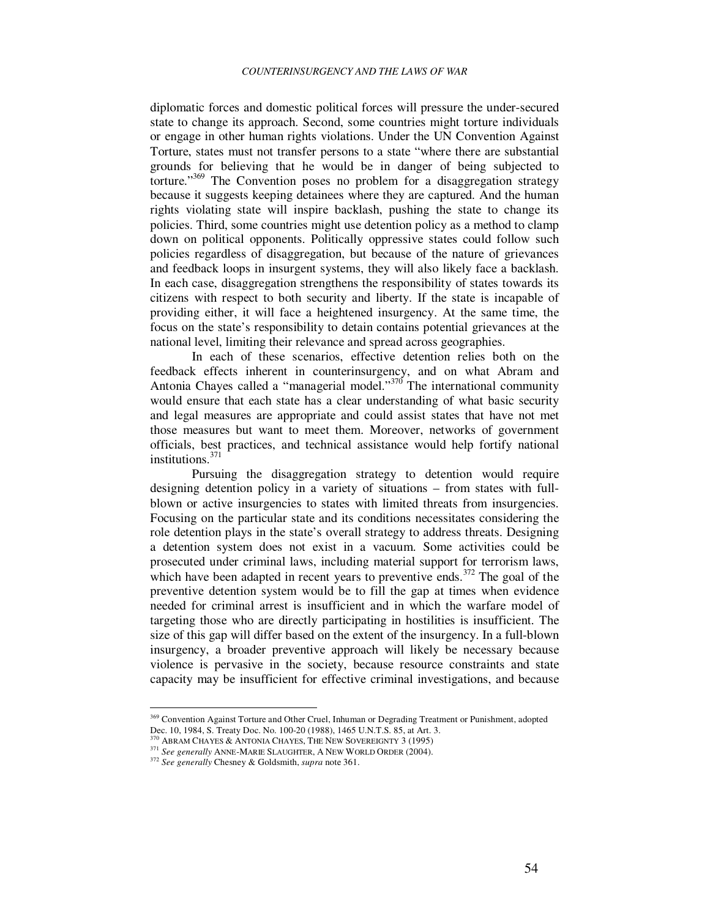diplomatic forces and domestic political forces will pressure the under-secured state to change its approach. Second, some countries might torture individuals or engage in other human rights violations. Under the UN Convention Against Torture, states must not transfer persons to a state "where there are substantial grounds for believing that he would be in danger of being subjected to torture."<sup>369</sup> The Convention poses no problem for a disaggregation strategy because it suggests keeping detainees where they are captured. And the human rights violating state will inspire backlash, pushing the state to change its policies. Third, some countries might use detention policy as a method to clamp down on political opponents. Politically oppressive states could follow such policies regardless of disaggregation, but because of the nature of grievances and feedback loops in insurgent systems, they will also likely face a backlash. In each case, disaggregation strengthens the responsibility of states towards its citizens with respect to both security and liberty. If the state is incapable of providing either, it will face a heightened insurgency. At the same time, the focus on the state's responsibility to detain contains potential grievances at the national level, limiting their relevance and spread across geographies.

In each of these scenarios, effective detention relies both on the feedback effects inherent in counterinsurgency, and on what Abram and Antonia Chayes called a "managerial model."<sup>370</sup> The international community would ensure that each state has a clear understanding of what basic security and legal measures are appropriate and could assist states that have not met those measures but want to meet them. Moreover, networks of government officials, best practices, and technical assistance would help fortify national institutions.<sup>371</sup>

Pursuing the disaggregation strategy to detention would require designing detention policy in a variety of situations – from states with fullblown or active insurgencies to states with limited threats from insurgencies. Focusing on the particular state and its conditions necessitates considering the role detention plays in the state's overall strategy to address threats. Designing a detention system does not exist in a vacuum. Some activities could be prosecuted under criminal laws, including material support for terrorism laws, which have been adapted in recent years to preventive ends.<sup>372</sup> The goal of the preventive detention system would be to fill the gap at times when evidence needed for criminal arrest is insufficient and in which the warfare model of targeting those who are directly participating in hostilities is insufficient. The size of this gap will differ based on the extent of the insurgency. In a full-blown insurgency, a broader preventive approach will likely be necessary because violence is pervasive in the society, because resource constraints and state capacity may be insufficient for effective criminal investigations, and because

<sup>369</sup> Convention Against Torture and Other Cruel, Inhuman or Degrading Treatment or Punishment, adopted Dec. 10, 1984, S. Treaty Doc. No. 100-20 (1988), 1465 U.N.T.S. 85, at Art. 3.

 $370$  ABRAM CHAYES & ANTONIA CHAYES, THE NEW SOVEREIGNTY 3 (1995)

<sup>371</sup> *See generally* ANNE-MARIE SLAUGHTER, A NEW WORLD ORDER (2004).

<sup>372</sup> *See generally* Chesney & Goldsmith, *supra* note 361.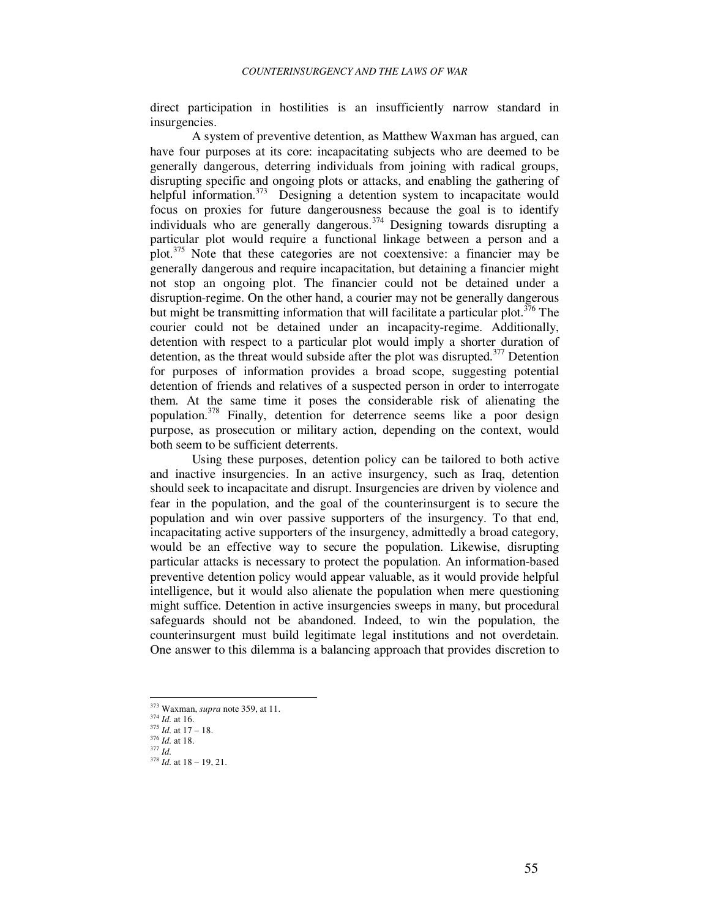direct participation in hostilities is an insufficiently narrow standard in insurgencies.

A system of preventive detention, as Matthew Waxman has argued, can have four purposes at its core: incapacitating subjects who are deemed to be generally dangerous, deterring individuals from joining with radical groups, disrupting specific and ongoing plots or attacks, and enabling the gathering of helpful information.<sup>373</sup> Designing a detention system to incapacitate would focus on proxies for future dangerousness because the goal is to identify individuals who are generally dangerous.<sup>374</sup> Designing towards disrupting a particular plot would require a functional linkage between a person and a plot.<sup>375</sup> Note that these categories are not coextensive: a financier may be generally dangerous and require incapacitation, but detaining a financier might not stop an ongoing plot. The financier could not be detained under a disruption-regime. On the other hand, a courier may not be generally dangerous but might be transmitting information that will facilitate a particular plot.<sup>376</sup> The courier could not be detained under an incapacity-regime. Additionally, detention with respect to a particular plot would imply a shorter duration of detention, as the threat would subside after the plot was disrupted. $377$  Detention for purposes of information provides a broad scope, suggesting potential detention of friends and relatives of a suspected person in order to interrogate them. At the same time it poses the considerable risk of alienating the population.<sup>378</sup> Finally, detention for deterrence seems like a poor design purpose, as prosecution or military action, depending on the context, would both seem to be sufficient deterrents.

Using these purposes, detention policy can be tailored to both active and inactive insurgencies. In an active insurgency, such as Iraq, detention should seek to incapacitate and disrupt. Insurgencies are driven by violence and fear in the population, and the goal of the counterinsurgent is to secure the population and win over passive supporters of the insurgency. To that end, incapacitating active supporters of the insurgency, admittedly a broad category, would be an effective way to secure the population. Likewise, disrupting particular attacks is necessary to protect the population. An information-based preventive detention policy would appear valuable, as it would provide helpful intelligence, but it would also alienate the population when mere questioning might suffice. Detention in active insurgencies sweeps in many, but procedural safeguards should not be abandoned. Indeed, to win the population, the counterinsurgent must build legitimate legal institutions and not overdetain. One answer to this dilemma is a balancing approach that provides discretion to

<sup>373</sup> Waxman, *supra* note 359, at 11.

<sup>374</sup> *Id.* at 16.

<sup>375</sup> *Id.* at 17 – 18.  $^{376}$  *Id.* at 18.

<sup>377</sup> *Id.*

<sup>378</sup> *Id.* at 18 – 19, 21.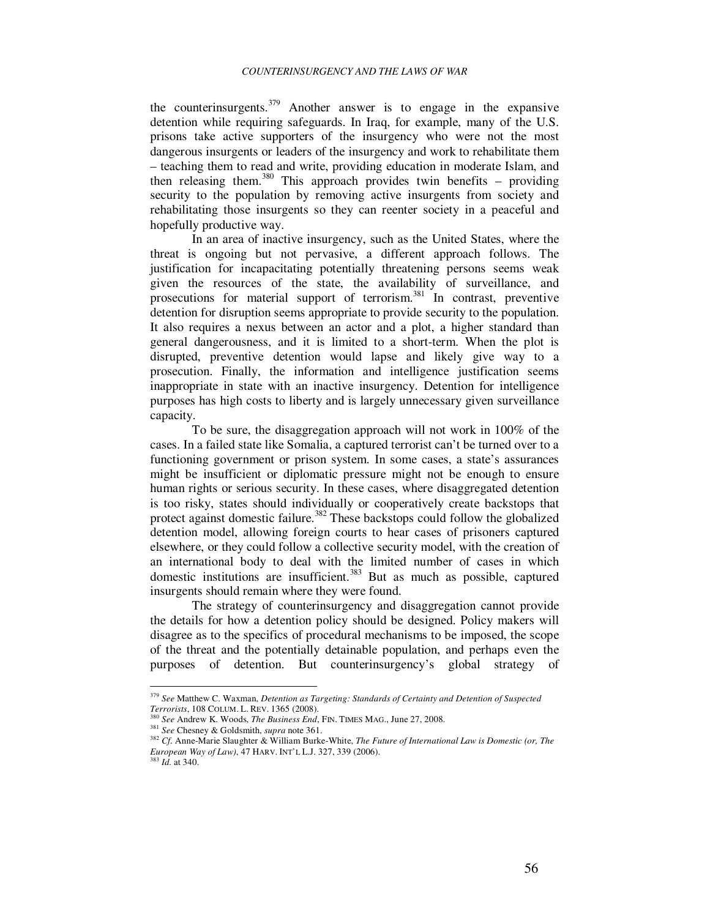the counterinsurgents.  $379$  Another answer is to engage in the expansive detention while requiring safeguards. In Iraq, for example, many of the U.S. prisons take active supporters of the insurgency who were not the most dangerous insurgents or leaders of the insurgency and work to rehabilitate them – teaching them to read and write, providing education in moderate Islam, and then releasing them.<sup>380</sup> This approach provides twin benefits – providing security to the population by removing active insurgents from society and rehabilitating those insurgents so they can reenter society in a peaceful and hopefully productive way.

In an area of inactive insurgency, such as the United States, where the threat is ongoing but not pervasive, a different approach follows. The justification for incapacitating potentially threatening persons seems weak given the resources of the state, the availability of surveillance, and prosecutions for material support of terrorism.<sup>381</sup> In contrast, preventive detention for disruption seems appropriate to provide security to the population. It also requires a nexus between an actor and a plot, a higher standard than general dangerousness, and it is limited to a short-term. When the plot is disrupted, preventive detention would lapse and likely give way to a prosecution. Finally, the information and intelligence justification seems inappropriate in state with an inactive insurgency. Detention for intelligence purposes has high costs to liberty and is largely unnecessary given surveillance capacity.

To be sure, the disaggregation approach will not work in 100% of the cases. In a failed state like Somalia, a captured terrorist can't be turned over to a functioning government or prison system. In some cases, a state's assurances might be insufficient or diplomatic pressure might not be enough to ensure human rights or serious security. In these cases, where disaggregated detention is too risky, states should individually or cooperatively create backstops that protect against domestic failure.<sup>382</sup> These backstops could follow the globalized detention model, allowing foreign courts to hear cases of prisoners captured elsewhere, or they could follow a collective security model, with the creation of an international body to deal with the limited number of cases in which domestic institutions are insufficient.<sup>383</sup> But as much as possible, captured insurgents should remain where they were found.

The strategy of counterinsurgency and disaggregation cannot provide the details for how a detention policy should be designed. Policy makers will disagree as to the specifics of procedural mechanisms to be imposed, the scope of the threat and the potentially detainable population, and perhaps even the purposes of detention. But counterinsurgency's global strategy of

<sup>379</sup> *See* Matthew C. Waxman, *Detention as Targeting: Standards of Certainty and Detention of Suspected Terrorists*, 108 COLUM. L. REV. 1365 (2008).

<sup>380</sup> *See* Andrew K. Woods, *The Business End*, FIN. TIMES MAG., June 27, 2008.

<sup>381</sup> *See* Chesney & Goldsmith, *supra* note 361.

<sup>382</sup> *Cf*. Anne-Marie Slaughter & William Burke-White, *The Future of International Law is Domestic (or, The European Way of Law)*, 47 HARV. INT'L L.J. 327, 339 (2006). <sup>383</sup> *Id.* at 340.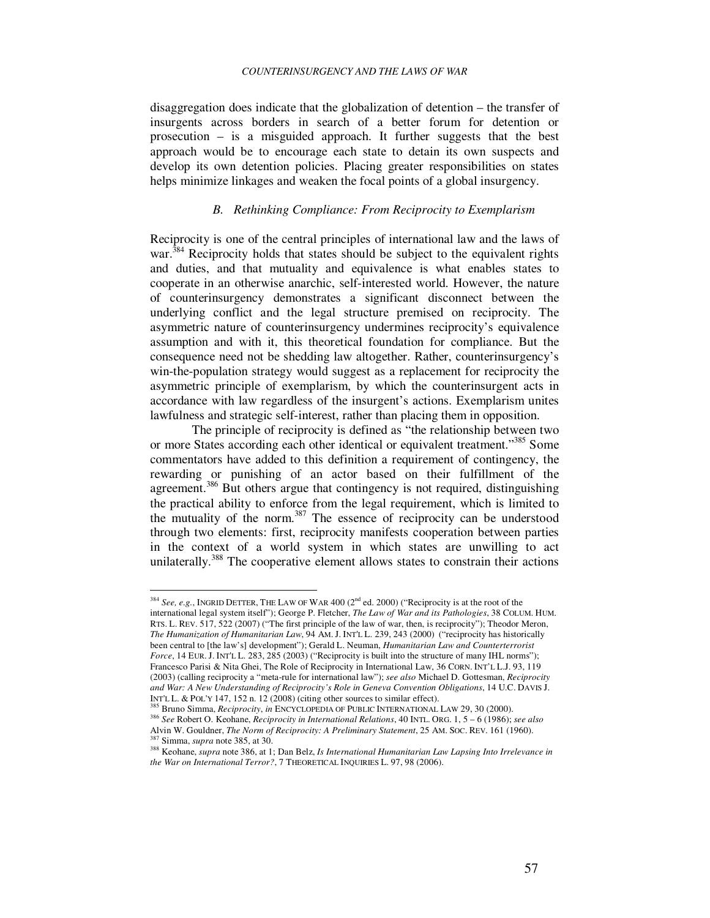#### *COUNTERINSURGENCY AND THE LAWS OF WAR*

disaggregation does indicate that the globalization of detention – the transfer of insurgents across borders in search of a better forum for detention or prosecution – is a misguided approach. It further suggests that the best approach would be to encourage each state to detain its own suspects and develop its own detention policies. Placing greater responsibilities on states helps minimize linkages and weaken the focal points of a global insurgency.

## *B. Rethinking Compliance: From Reciprocity to Exemplarism*

Reciprocity is one of the central principles of international law and the laws of war.<sup>384</sup> Reciprocity holds that states should be subject to the equivalent rights and duties, and that mutuality and equivalence is what enables states to cooperate in an otherwise anarchic, self-interested world. However, the nature of counterinsurgency demonstrates a significant disconnect between the underlying conflict and the legal structure premised on reciprocity. The asymmetric nature of counterinsurgency undermines reciprocity's equivalence assumption and with it, this theoretical foundation for compliance. But the consequence need not be shedding law altogether. Rather, counterinsurgency's win-the-population strategy would suggest as a replacement for reciprocity the asymmetric principle of exemplarism, by which the counterinsurgent acts in accordance with law regardless of the insurgent's actions. Exemplarism unites lawfulness and strategic self-interest, rather than placing them in opposition.

The principle of reciprocity is defined as "the relationship between two or more States according each other identical or equivalent treatment."<sup>385</sup> Some commentators have added to this definition a requirement of contingency, the rewarding or punishing of an actor based on their fulfillment of the agreement.<sup>386</sup> But others argue that contingency is not required, distinguishing the practical ability to enforce from the legal requirement, which is limited to the mutuality of the norm.<sup>387</sup> The essence of reciprocity can be understood through two elements: first, reciprocity manifests cooperation between parties in the context of a world system in which states are unwilling to act unilaterally.<sup>388</sup> The cooperative element allows states to constrain their actions

<sup>384</sup> *See, e.g.*, INGRID DETTER, THE LAW OF WAR 400 (2nd ed. 2000) ("Reciprocity is at the root of the international legal system itself"); George P. Fletcher, *The Law of War and its Pathologies*, 38 COLUM. HUM. RTS. L. REV. 517, 522 (2007) ("The first principle of the law of war, then, is reciprocity"); Theodor Meron, *The Humanization of Humanitarian Law*, 94 AM. J. INT'L L. 239, 243 (2000) ("reciprocity has historically been central to [the law's] development"); Gerald L. Neuman, *Humanitarian Law and Counterterrorist Force*, 14 EUR. J. INT'L L. 283, 285 (2003) ("Reciprocity is built into the structure of many IHL norms"); Francesco Parisi & Nita Ghei, The Role of Reciprocity in International Law, 36 CORN. INT'L L.J. 93, 119 (2003) (calling reciprocity a "meta-rule for international law"); *see also* Michael D. Gottesman, *Reciprocity and War: A New Understanding of Reciprocity's Role in Geneva Convention Obligations*, 14 U.C. DAVIS J. INT'L L. & POL'Y 147, 152 n. 12 (2008) (citing other sources to similar effect).

<sup>385</sup> Bruno Simma, *Reciprocity*, *in* ENCYCLOPEDIA OF PUBLIC INTERNATIONAL LAW 29, 30 (2000). <sup>386</sup> *See* Robert O. Keohane, *Reciprocity in International Relations*, 40 INTL. ORG. 1, 5 – 6 (1986); *see also*

Alvin W. Gouldner, *The Norm of Reciprocity: A Preliminary Statement*, 25 AM. SOC. REV. 161 (1960). Simma, *supra* note 385, at 30.

<sup>388</sup> Keohane, *supra* note 386, at 1; Dan Belz, *Is International Humanitarian Law Lapsing Into Irrelevance in the War on International Terror?*, 7 THEORETICAL INQUIRIES L. 97, 98 (2006).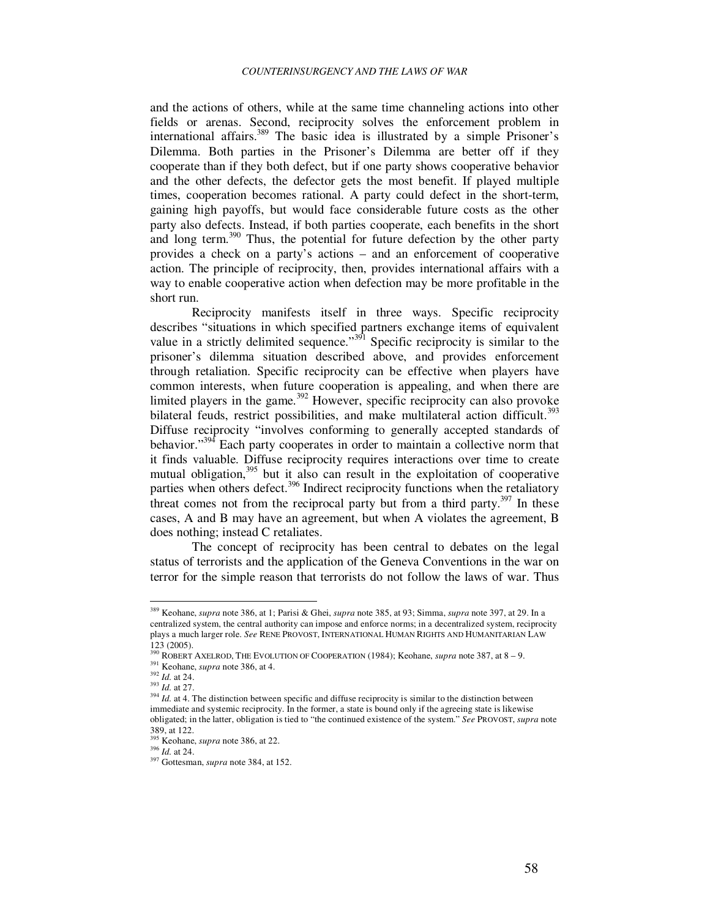and the actions of others, while at the same time channeling actions into other fields or arenas. Second, reciprocity solves the enforcement problem in international affairs.<sup>389</sup> The basic idea is illustrated by a simple Prisoner's Dilemma. Both parties in the Prisoner's Dilemma are better off if they cooperate than if they both defect, but if one party shows cooperative behavior and the other defects, the defector gets the most benefit. If played multiple times, cooperation becomes rational. A party could defect in the short-term, gaining high payoffs, but would face considerable future costs as the other party also defects. Instead, if both parties cooperate, each benefits in the short and long term.<sup>390</sup> Thus, the potential for future defection by the other party provides a check on a party's actions – and an enforcement of cooperative action. The principle of reciprocity, then, provides international affairs with a way to enable cooperative action when defection may be more profitable in the short run.

Reciprocity manifests itself in three ways. Specific reciprocity describes "situations in which specified partners exchange items of equivalent value in a strictly delimited sequence."<sup>391</sup> Specific reciprocity is similar to the prisoner's dilemma situation described above, and provides enforcement through retaliation. Specific reciprocity can be effective when players have common interests, when future cooperation is appealing, and when there are limited players in the game.<sup>392</sup> However, specific reciprocity can also provoke bilateral feuds, restrict possibilities, and make multilateral action difficult.<sup>393</sup> Diffuse reciprocity "involves conforming to generally accepted standards of behavior."<sup>394</sup> Each party cooperates in order to maintain a collective norm that it finds valuable. Diffuse reciprocity requires interactions over time to create mutual obligation, $395$  but it also can result in the exploitation of cooperative parties when others defect.<sup>396</sup> Indirect reciprocity functions when the retaliatory threat comes not from the reciprocal party but from a third party. $397$  In these cases, A and B may have an agreement, but when A violates the agreement, B does nothing; instead C retaliates.

The concept of reciprocity has been central to debates on the legal status of terrorists and the application of the Geneva Conventions in the war on terror for the simple reason that terrorists do not follow the laws of war. Thus

<sup>389</sup> Keohane, *supra* note 386, at 1; Parisi & Ghei, *supra* note 385, at 93; Simma, *supra* note 397, at 29. In a centralized system, the central authority can impose and enforce norms; in a decentralized system, reciprocity plays a much larger role. *See* RENE PROVOST, INTERNATIONAL HUMAN RIGHTS AND HUMANITARIAN LAW 123 (2005).

<sup>390</sup> ROBERT AXELROD, THE EVOLUTION OF COOPERATION (1984); Keohane, *supra* note 387, at 8 – 9.

<sup>391</sup> Keohane, *supra* note 386, at 4.

<sup>392</sup> *Id.* at 24.

<sup>393</sup> *Id.* at 27.

<sup>&</sup>lt;sup>394</sup> *Id.* at 4. The distinction between specific and diffuse reciprocity is similar to the distinction between immediate and systemic reciprocity. In the former, a state is bound only if the agreeing state is likewise obligated; in the latter, obligation is tied to "the continued existence of the system." *See* PROVOST, *supra* note  $389, \text{at } 122.$ <br> $395 --$ 

<sup>&</sup>lt;sup>95</sup> Keohane, *supra* note 386, at 22.

<sup>396</sup> *Id.* at 24.

<sup>397</sup> Gottesman, *supra* note 384, at 152.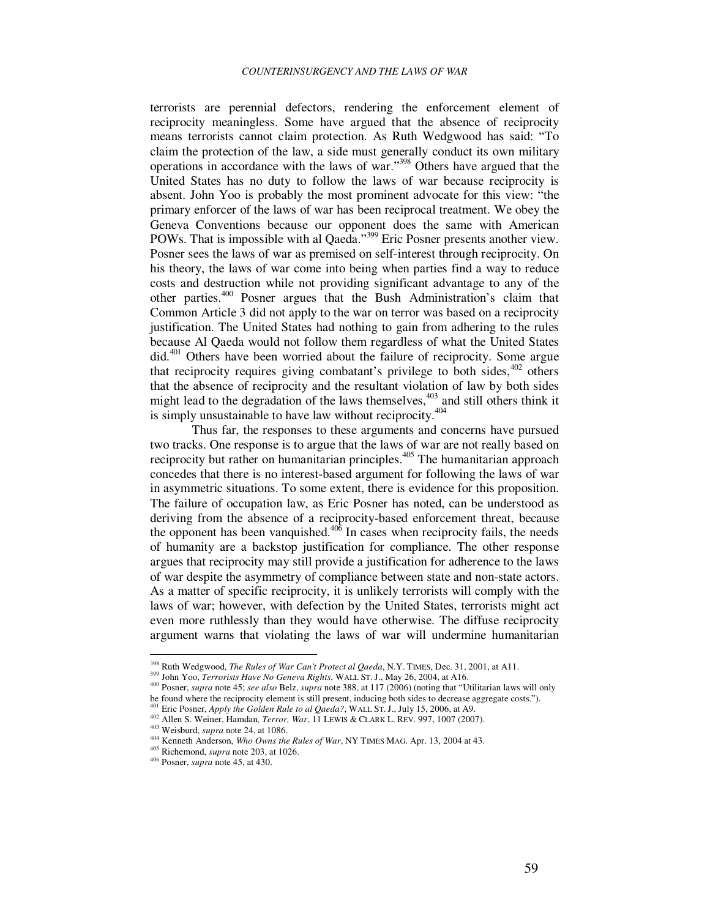terrorists are perennial defectors, rendering the enforcement element of reciprocity meaningless. Some have argued that the absence of reciprocity means terrorists cannot claim protection. As Ruth Wedgwood has said: "To claim the protection of the law, a side must generally conduct its own military operations in accordance with the laws of war."<sup>398</sup> Others have argued that the United States has no duty to follow the laws of war because reciprocity is absent. John Yoo is probably the most prominent advocate for this view: "the primary enforcer of the laws of war has been reciprocal treatment. We obey the Geneva Conventions because our opponent does the same with American POWs. That is impossible with al Qaeda."<sup>399</sup> Eric Posner presents another view. Posner sees the laws of war as premised on self-interest through reciprocity. On his theory, the laws of war come into being when parties find a way to reduce costs and destruction while not providing significant advantage to any of the other parties.<sup>400</sup> Posner argues that the Bush Administration's claim that Common Article 3 did not apply to the war on terror was based on a reciprocity justification. The United States had nothing to gain from adhering to the rules because Al Qaeda would not follow them regardless of what the United States did.<sup>401</sup> Others have been worried about the failure of reciprocity. Some argue that reciprocity requires giving combatant's privilege to both sides,<sup>402</sup> others that the absence of reciprocity and the resultant violation of law by both sides might lead to the degradation of the laws themselves,  $403$  and still others think it is simply unsustainable to have law without reciprocity.<sup>404</sup>

Thus far, the responses to these arguments and concerns have pursued two tracks. One response is to argue that the laws of war are not really based on reciprocity but rather on humanitarian principles.<sup>405</sup> The humanitarian approach concedes that there is no interest-based argument for following the laws of war in asymmetric situations. To some extent, there is evidence for this proposition. The failure of occupation law, as Eric Posner has noted, can be understood as deriving from the absence of a reciprocity-based enforcement threat, because the opponent has been vanquished.<sup>406</sup> In cases when reciprocity fails, the needs of humanity are a backstop justification for compliance. The other response argues that reciprocity may still provide a justification for adherence to the laws of war despite the asymmetry of compliance between state and non-state actors. As a matter of specific reciprocity, it is unlikely terrorists will comply with the laws of war; however, with defection by the United States, terrorists might act even more ruthlessly than they would have otherwise. The diffuse reciprocity argument warns that violating the laws of war will undermine humanitarian

<sup>398</sup> Ruth Wedgwood, *The Rules of War Can't Protect al Qaeda*, N.Y. TIMES, Dec. 31, 2001, at A11.

<sup>399</sup> John Yoo, *Terrorists Have No Geneva Rights*, WALL ST. J., May 26, 2004, at A16.

<sup>400</sup> Posner, *supra* note 45; *see also* Belz, *supra* note 388, at 117 (2006) (noting that "Utilitarian laws will only be found where the reciprocity element is still present, inducing both sides to decrease aggregate costs.").

<sup>401</sup> Eric Posner, *Apply the Golden Rule to al Qaeda?*, WALL ST. J., July 15, 2006, at A9.

<sup>402</sup> Allen S. Weiner, Hamdan*, Terror, War*, 11 LEWIS & CLARK L. REV. 997, 1007 (2007).

<sup>403</sup> Weisburd, *supra* note 24, at 1086.

<sup>404</sup> Kenneth Anderson, *Who Owns the Rules of War*, NY TIMES MAG. Apr. 13, 2004 at 43.

<sup>405</sup> Richemond, *supra* note 203, at 1026.

<sup>406</sup> Posner, *supra* note 45, at 430.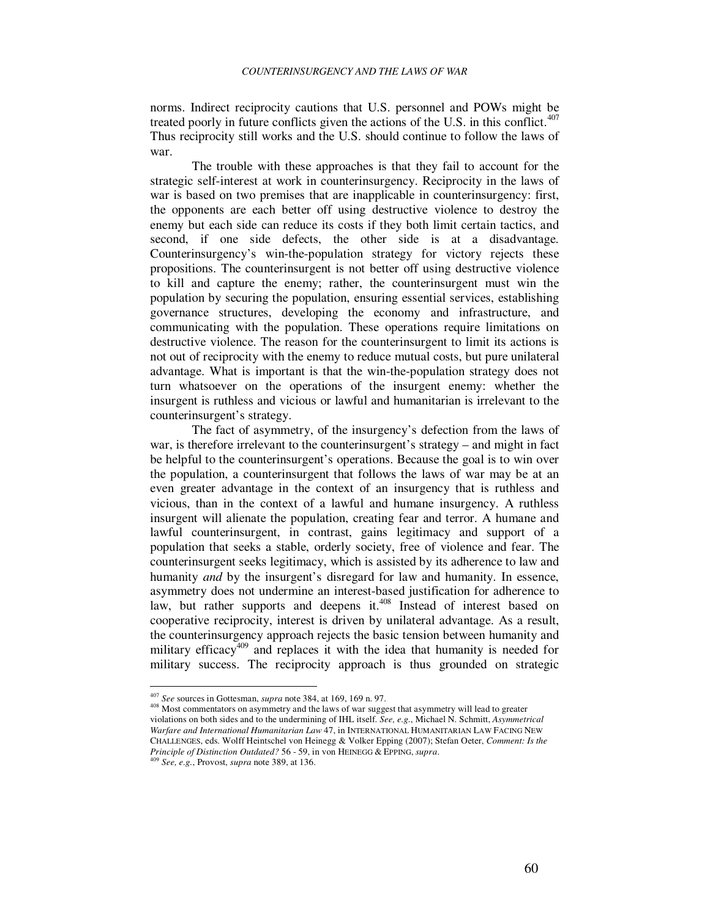norms. Indirect reciprocity cautions that U.S. personnel and POWs might be treated poorly in future conflicts given the actions of the U.S. in this conflict. $407$ Thus reciprocity still works and the U.S. should continue to follow the laws of war.

The trouble with these approaches is that they fail to account for the strategic self-interest at work in counterinsurgency. Reciprocity in the laws of war is based on two premises that are inapplicable in counterinsurgency: first, the opponents are each better off using destructive violence to destroy the enemy but each side can reduce its costs if they both limit certain tactics, and second, if one side defects, the other side is at a disadvantage. Counterinsurgency's win-the-population strategy for victory rejects these propositions. The counterinsurgent is not better off using destructive violence to kill and capture the enemy; rather, the counterinsurgent must win the population by securing the population, ensuring essential services, establishing governance structures, developing the economy and infrastructure, and communicating with the population. These operations require limitations on destructive violence. The reason for the counterinsurgent to limit its actions is not out of reciprocity with the enemy to reduce mutual costs, but pure unilateral advantage. What is important is that the win-the-population strategy does not turn whatsoever on the operations of the insurgent enemy: whether the insurgent is ruthless and vicious or lawful and humanitarian is irrelevant to the counterinsurgent's strategy.

The fact of asymmetry, of the insurgency's defection from the laws of war, is therefore irrelevant to the counterinsurgent's strategy – and might in fact be helpful to the counterinsurgent's operations. Because the goal is to win over the population, a counterinsurgent that follows the laws of war may be at an even greater advantage in the context of an insurgency that is ruthless and vicious, than in the context of a lawful and humane insurgency. A ruthless insurgent will alienate the population, creating fear and terror. A humane and lawful counterinsurgent, in contrast, gains legitimacy and support of a population that seeks a stable, orderly society, free of violence and fear. The counterinsurgent seeks legitimacy, which is assisted by its adherence to law and humanity *and* by the insurgent's disregard for law and humanity. In essence, asymmetry does not undermine an interest-based justification for adherence to law, but rather supports and deepens it.<sup>408</sup> Instead of interest based on cooperative reciprocity, interest is driven by unilateral advantage. As a result, the counterinsurgency approach rejects the basic tension between humanity and military efficacy<sup> $409$ </sup> and replaces it with the idea that humanity is needed for military success. The reciprocity approach is thus grounded on strategic

<sup>407</sup> *See* sources in Gottesman, *supra* note 384, at 169, 169 n. 97.

<sup>408</sup> Most commentators on asymmetry and the laws of war suggest that asymmetry will lead to greater violations on both sides and to the undermining of IHL itself. *See, e.g.*, Michael N. Schmitt, *Asymmetrical Warfare and International Humanitarian Law* 47, in INTERNATIONAL HUMANITARIAN LAW FACING NEW CHALLENGES, eds. Wolff Heintschel von Heinegg & Volker Epping (2007); Stefan Oeter, *Comment: Is the Principle of Distinction Outdated?* 56 - 59, in von HEINEGG & EPPING, *supra*.

<sup>409</sup> *See, e.g.*, Provost, *supra* note 389, at 136.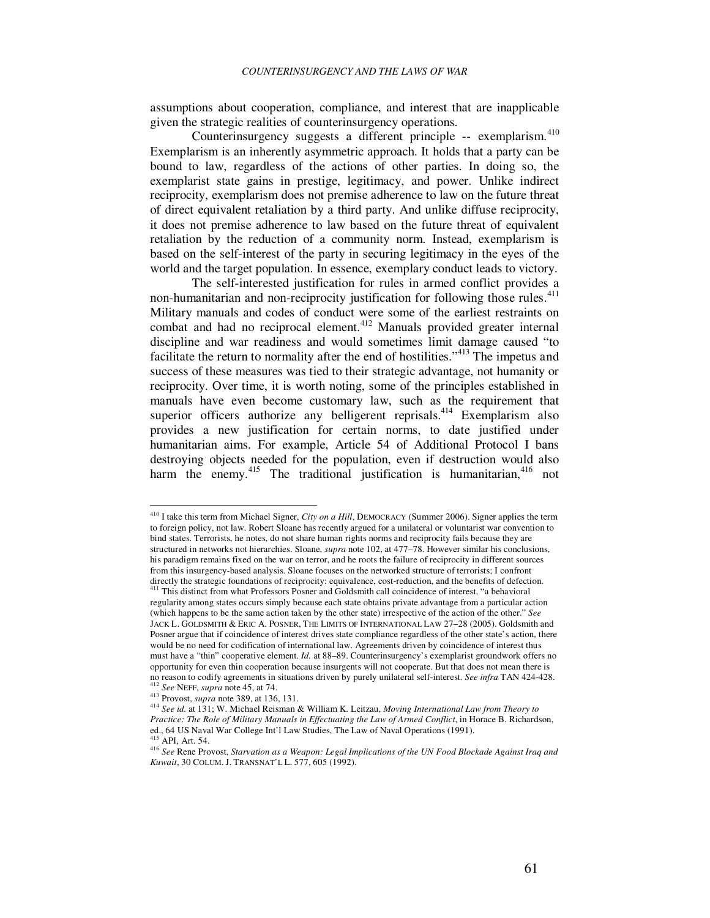assumptions about cooperation, compliance, and interest that are inapplicable given the strategic realities of counterinsurgency operations.

Counterinsurgency suggests a different principle -- exemplarism.<sup>410</sup> Exemplarism is an inherently asymmetric approach. It holds that a party can be bound to law, regardless of the actions of other parties. In doing so, the exemplarist state gains in prestige, legitimacy, and power. Unlike indirect reciprocity, exemplarism does not premise adherence to law on the future threat of direct equivalent retaliation by a third party. And unlike diffuse reciprocity, it does not premise adherence to law based on the future threat of equivalent retaliation by the reduction of a community norm. Instead, exemplarism is based on the self-interest of the party in securing legitimacy in the eyes of the world and the target population. In essence, exemplary conduct leads to victory.

The self-interested justification for rules in armed conflict provides a non-humanitarian and non-reciprocity justification for following those rules.<sup>411</sup> Military manuals and codes of conduct were some of the earliest restraints on combat and had no reciprocal element.<sup>412</sup> Manuals provided greater internal discipline and war readiness and would sometimes limit damage caused "to facilitate the return to normality after the end of hostilities."<sup>413</sup> The impetus and success of these measures was tied to their strategic advantage, not humanity or reciprocity. Over time, it is worth noting, some of the principles established in manuals have even become customary law, such as the requirement that superior officers authorize any belligerent reprisals.<sup>414</sup> Exemplarism also provides a new justification for certain norms, to date justified under humanitarian aims. For example, Article 54 of Additional Protocol I bans destroying objects needed for the population, even if destruction would also harm the enemy.<sup>415</sup> The traditional justification is humanitarian,<sup>416</sup> not

<sup>410</sup> I take this term from Michael Signer, *City on a Hill*, DEMOCRACY (Summer 2006). Signer applies the term to foreign policy, not law. Robert Sloane has recently argued for a unilateral or voluntarist war convention to bind states. Terrorists, he notes, do not share human rights norms and reciprocity fails because they are structured in networks not hierarchies. Sloane, *supra* note 102, at 477–78. However similar his conclusions, his paradigm remains fixed on the war on terror, and he roots the failure of reciprocity in different sources from this insurgency-based analysis. Sloane focuses on the networked structure of terrorists; I confront directly the strategic foundations of reciprocity: equivalence, cost-reduction, and the benefits of defection. <sup>411</sup> This distinct from what Professors Posner and Goldsmith call coincidence of interest, "a behavioral

regularity among states occurs simply because each state obtains private advantage from a particular action (which happens to be the same action taken by the other state) irrespective of the action of the other." *See* JACK L. GOLDSMITH & ERIC A. POSNER, THE LIMITS OF INTERNATIONAL LAW 27–28 (2005). Goldsmith and Posner argue that if coincidence of interest drives state compliance regardless of the other state's action, there would be no need for codification of international law. Agreements driven by coincidence of interest thus must have a "thin" cooperative element. *Id.* at 88–89. Counterinsurgency's exemplarist groundwork offers no opportunity for even thin cooperation because insurgents will not cooperate. But that does not mean there is no reason to codify agreements in situations driven by purely unilateral self-interest. *See infra* TAN 424-428. <sup>412</sup> *See* NEFF, *supra* note 45, at 74.

<sup>413</sup> Provost, *supra* note 389, at 136, 131.

<sup>414</sup> *See id.* at 131; W. Michael Reisman & William K. Leitzau, *Moving International Law from Theory to Practice: The Role of Military Manuals in Effectuating the Law of Armed Conflict*, in Horace B. Richardson, ed., 64 US Naval War College Int'l Law Studies, The Law of Naval Operations (1991).

 $<sup>5</sup>$  API, Art. 54.</sup>

<sup>416</sup> *See* Rene Provost, *Starvation as a Weapon: Legal Implications of the UN Food Blockade Against Iraq and Kuwait*, 30 COLUM. J. TRANSNAT'L L. 577, 605 (1992).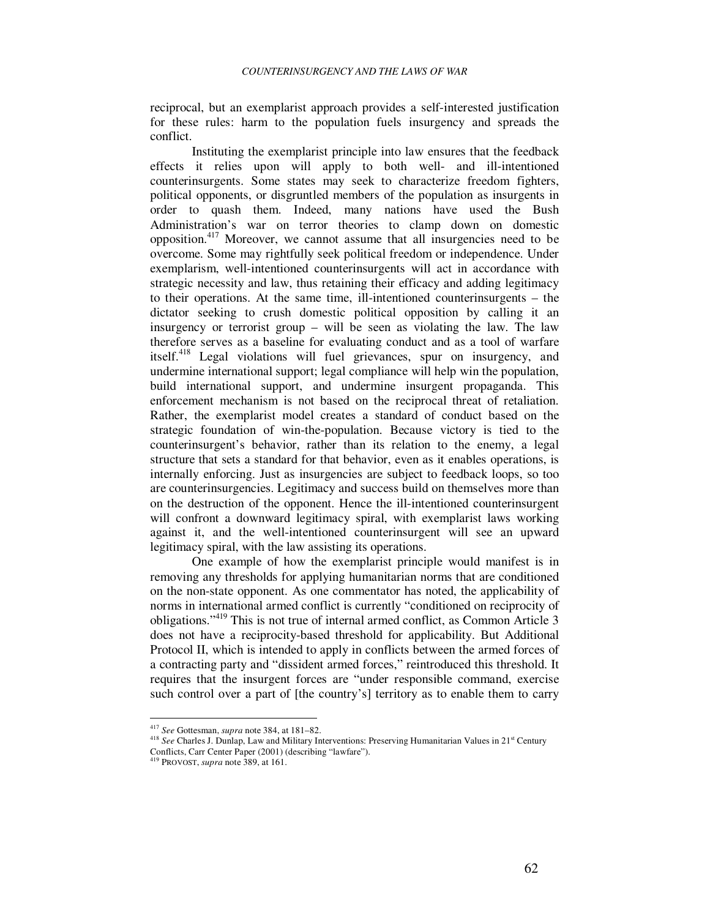reciprocal, but an exemplarist approach provides a self-interested justification for these rules: harm to the population fuels insurgency and spreads the conflict.

Instituting the exemplarist principle into law ensures that the feedback effects it relies upon will apply to both well- and ill-intentioned counterinsurgents. Some states may seek to characterize freedom fighters, political opponents, or disgruntled members of the population as insurgents in order to quash them. Indeed, many nations have used the Bush Administration's war on terror theories to clamp down on domestic opposition.<sup>417</sup> Moreover, we cannot assume that all insurgencies need to be overcome. Some may rightfully seek political freedom or independence. Under exemplarism, well-intentioned counterinsurgents will act in accordance with strategic necessity and law, thus retaining their efficacy and adding legitimacy to their operations. At the same time, ill-intentioned counterinsurgents – the dictator seeking to crush domestic political opposition by calling it an insurgency or terrorist group – will be seen as violating the law. The law therefore serves as a baseline for evaluating conduct and as a tool of warfare itself.<sup>418</sup> Legal violations will fuel grievances, spur on insurgency, and undermine international support; legal compliance will help win the population, build international support, and undermine insurgent propaganda. This enforcement mechanism is not based on the reciprocal threat of retaliation. Rather, the exemplarist model creates a standard of conduct based on the strategic foundation of win-the-population. Because victory is tied to the counterinsurgent's behavior, rather than its relation to the enemy, a legal structure that sets a standard for that behavior, even as it enables operations, is internally enforcing. Just as insurgencies are subject to feedback loops, so too are counterinsurgencies. Legitimacy and success build on themselves more than on the destruction of the opponent. Hence the ill-intentioned counterinsurgent will confront a downward legitimacy spiral, with exemplarist laws working against it, and the well-intentioned counterinsurgent will see an upward legitimacy spiral, with the law assisting its operations.

One example of how the exemplarist principle would manifest is in removing any thresholds for applying humanitarian norms that are conditioned on the non-state opponent. As one commentator has noted, the applicability of norms in international armed conflict is currently "conditioned on reciprocity of obligations."<sup>419</sup> This is not true of internal armed conflict, as Common Article 3 does not have a reciprocity-based threshold for applicability. But Additional Protocol II, which is intended to apply in conflicts between the armed forces of a contracting party and "dissident armed forces," reintroduced this threshold. It requires that the insurgent forces are "under responsible command, exercise such control over a part of [the country's] territory as to enable them to carry

<sup>417</sup> *See* Gottesman, *supra* note 384, at 181–82.

<sup>&</sup>lt;sup>418</sup> See Charles J. Dunlap, Law and Military Interventions: Preserving Humanitarian Values in 21<sup>st</sup> Century Conflicts, Carr Center Paper (2001) (describing "lawfare").

<sup>419</sup> PROVOST, *supra* note 389, at 161.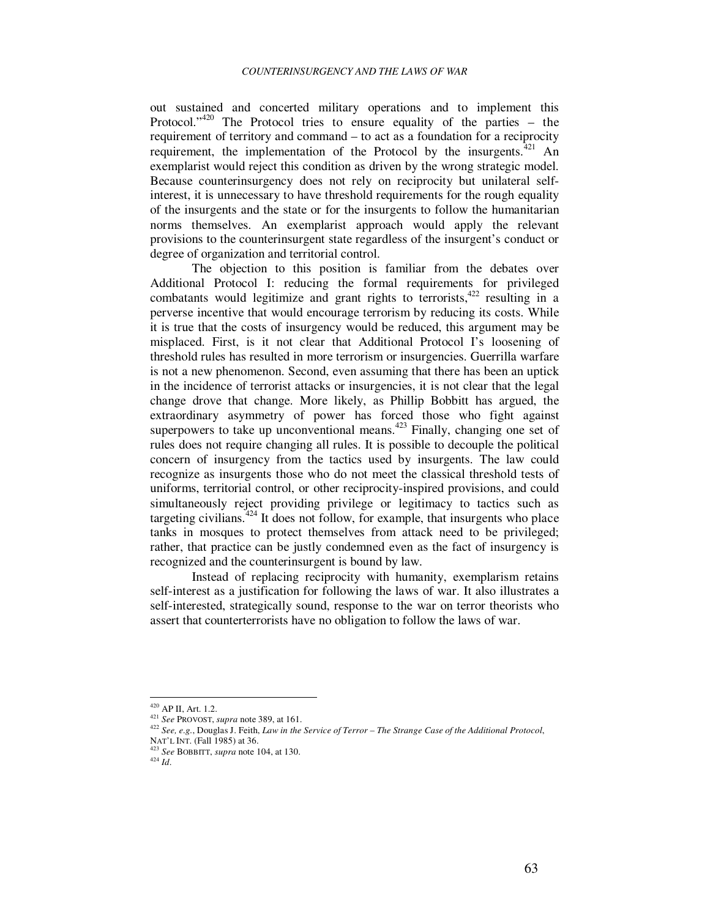out sustained and concerted military operations and to implement this Protocol."<sup>420</sup> The Protocol tries to ensure equality of the parties – the requirement of territory and command – to act as a foundation for a reciprocity requirement, the implementation of the Protocol by the insurgents.<sup> $421$ </sup> An exemplarist would reject this condition as driven by the wrong strategic model. Because counterinsurgency does not rely on reciprocity but unilateral selfinterest, it is unnecessary to have threshold requirements for the rough equality of the insurgents and the state or for the insurgents to follow the humanitarian norms themselves. An exemplarist approach would apply the relevant provisions to the counterinsurgent state regardless of the insurgent's conduct or degree of organization and territorial control.

The objection to this position is familiar from the debates over Additional Protocol I: reducing the formal requirements for privileged combatants would legitimize and grant rights to terrorists,  $422$  resulting in a perverse incentive that would encourage terrorism by reducing its costs. While it is true that the costs of insurgency would be reduced, this argument may be misplaced. First, is it not clear that Additional Protocol I's loosening of threshold rules has resulted in more terrorism or insurgencies. Guerrilla warfare is not a new phenomenon. Second, even assuming that there has been an uptick in the incidence of terrorist attacks or insurgencies, it is not clear that the legal change drove that change. More likely, as Phillip Bobbitt has argued, the extraordinary asymmetry of power has forced those who fight against superpowers to take up unconventional means.<sup>423</sup> Finally, changing one set of rules does not require changing all rules. It is possible to decouple the political concern of insurgency from the tactics used by insurgents. The law could recognize as insurgents those who do not meet the classical threshold tests of uniforms, territorial control, or other reciprocity-inspired provisions, and could simultaneously reject providing privilege or legitimacy to tactics such as targeting civilians.<sup> $424$ </sup> It does not follow, for example, that insurgents who place tanks in mosques to protect themselves from attack need to be privileged; rather, that practice can be justly condemned even as the fact of insurgency is recognized and the counterinsurgent is bound by law.

Instead of replacing reciprocity with humanity, exemplarism retains self-interest as a justification for following the laws of war. It also illustrates a self-interested, strategically sound, response to the war on terror theorists who assert that counterterrorists have no obligation to follow the laws of war.

 $420$  AP II, Art. 1.2.

<sup>421</sup> *See* PROVOST, *supra* note 389, at 161.

<sup>422</sup> *See, e.g.*, Douglas J. Feith, *Law in the Service of Terror – The Strange Case of the Additional Protocol*,

NAT'L INT. (Fall 1985) at 36. <sup>423</sup> *See* BOBBITT, *supra* note 104, at 130.

<sup>424</sup> *Id*.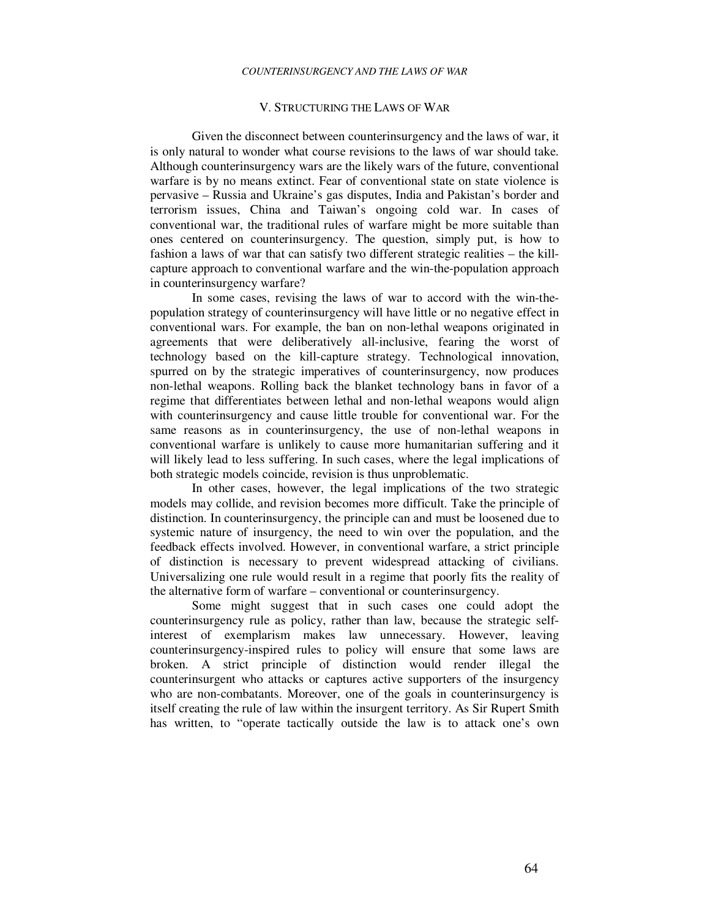### V. STRUCTURING THE LAWS OF WAR

Given the disconnect between counterinsurgency and the laws of war, it is only natural to wonder what course revisions to the laws of war should take. Although counterinsurgency wars are the likely wars of the future, conventional warfare is by no means extinct. Fear of conventional state on state violence is pervasive – Russia and Ukraine's gas disputes, India and Pakistan's border and terrorism issues, China and Taiwan's ongoing cold war. In cases of conventional war, the traditional rules of warfare might be more suitable than ones centered on counterinsurgency. The question, simply put, is how to fashion a laws of war that can satisfy two different strategic realities – the killcapture approach to conventional warfare and the win-the-population approach in counterinsurgency warfare?

In some cases, revising the laws of war to accord with the win-thepopulation strategy of counterinsurgency will have little or no negative effect in conventional wars. For example, the ban on non-lethal weapons originated in agreements that were deliberatively all-inclusive, fearing the worst of technology based on the kill-capture strategy. Technological innovation, spurred on by the strategic imperatives of counterinsurgency, now produces non-lethal weapons. Rolling back the blanket technology bans in favor of a regime that differentiates between lethal and non-lethal weapons would align with counterinsurgency and cause little trouble for conventional war. For the same reasons as in counterinsurgency, the use of non-lethal weapons in conventional warfare is unlikely to cause more humanitarian suffering and it will likely lead to less suffering. In such cases, where the legal implications of both strategic models coincide, revision is thus unproblematic.

In other cases, however, the legal implications of the two strategic models may collide, and revision becomes more difficult. Take the principle of distinction. In counterinsurgency, the principle can and must be loosened due to systemic nature of insurgency, the need to win over the population, and the feedback effects involved. However, in conventional warfare, a strict principle of distinction is necessary to prevent widespread attacking of civilians. Universalizing one rule would result in a regime that poorly fits the reality of the alternative form of warfare – conventional or counterinsurgency.

Some might suggest that in such cases one could adopt the counterinsurgency rule as policy, rather than law, because the strategic selfinterest of exemplarism makes law unnecessary. However, leaving counterinsurgency-inspired rules to policy will ensure that some laws are broken. A strict principle of distinction would render illegal the counterinsurgent who attacks or captures active supporters of the insurgency who are non-combatants. Moreover, one of the goals in counterinsurgency is itself creating the rule of law within the insurgent territory. As Sir Rupert Smith has written, to "operate tactically outside the law is to attack one's own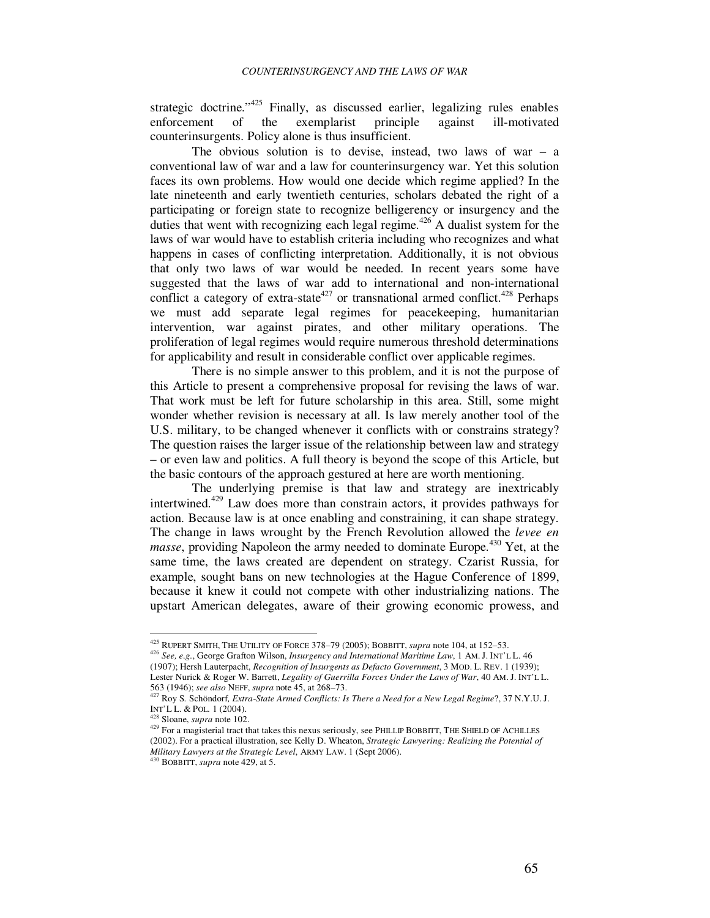strategic doctrine." $425$  Finally, as discussed earlier, legalizing rules enables enforcement of the exemplarist principle against ill-motivated enforcement of the exemplarist principle against ill-motivated counterinsurgents. Policy alone is thus insufficient.

The obvious solution is to devise, instead, two laws of war  $-$  a conventional law of war and a law for counterinsurgency war. Yet this solution faces its own problems. How would one decide which regime applied? In the late nineteenth and early twentieth centuries, scholars debated the right of a participating or foreign state to recognize belligerency or insurgency and the duties that went with recognizing each legal regime.<sup> $426$ </sup> A dualist system for the laws of war would have to establish criteria including who recognizes and what happens in cases of conflicting interpretation. Additionally, it is not obvious that only two laws of war would be needed. In recent years some have suggested that the laws of war add to international and non-international conflict a category of extra-state<sup>427</sup> or transnational armed conflict.<sup>428</sup> Perhaps we must add separate legal regimes for peacekeeping, humanitarian intervention, war against pirates, and other military operations. The proliferation of legal regimes would require numerous threshold determinations for applicability and result in considerable conflict over applicable regimes.

There is no simple answer to this problem, and it is not the purpose of this Article to present a comprehensive proposal for revising the laws of war. That work must be left for future scholarship in this area. Still, some might wonder whether revision is necessary at all. Is law merely another tool of the U.S. military, to be changed whenever it conflicts with or constrains strategy? The question raises the larger issue of the relationship between law and strategy – or even law and politics. A full theory is beyond the scope of this Article, but the basic contours of the approach gestured at here are worth mentioning.

The underlying premise is that law and strategy are inextricably intertwined.<sup>429</sup> Law does more than constrain actors, it provides pathways for action. Because law is at once enabling and constraining, it can shape strategy. The change in laws wrought by the French Revolution allowed the *levee en masse*, providing Napoleon the army needed to dominate Europe.<sup>430</sup> Yet, at the same time, the laws created are dependent on strategy. Czarist Russia, for example, sought bans on new technologies at the Hague Conference of 1899, because it knew it could not compete with other industrializing nations. The upstart American delegates, aware of their growing economic prowess, and

<sup>425</sup> RUPERT SMITH, THE UTILITY OF FORCE 378–79 (2005); BOBBITT, *supra* note 104, at 152–53.

<sup>426</sup> *See, e.g.*, George Grafton Wilson, *Insurgency and International Maritime Law*, 1 AM. J. INT'L L. 46 (1907); Hersh Lauterpacht, *Recognition of Insurgents as Defacto Government*, 3 MOD. L. REV. 1 (1939);

Lester Nurick & Roger W. Barrett, *Legality of Guerrilla Forces Under the Laws of War*, 40 AM. J. INT'L L. 563 (1946); *see also* NEFF, *supra* note 45, at 268–73. <sup>427</sup> Roy S*.* Schöndorf*, Extra*-*State Armed Conflicts: Is There a Need for a New Legal Regime*?, 37 N.Y.U. J.

INT'L L. & POL*.* 1 (2004).

<sup>428</sup> Sloane, *supra* note 102.

 $429$  For a magisterial tract that takes this nexus seriously, see PHILLIP BOBBITT, THE SHIELD OF ACHILLES (2002). For a practical illustration, see Kelly D. Wheaton, *Strategic Lawyering: Realizing the Potential of Military Lawyers at the Strategic Level*, ARMY LAW. 1 (Sept 2006).

<sup>430</sup> BOBBITT, *supra* note 429, at 5.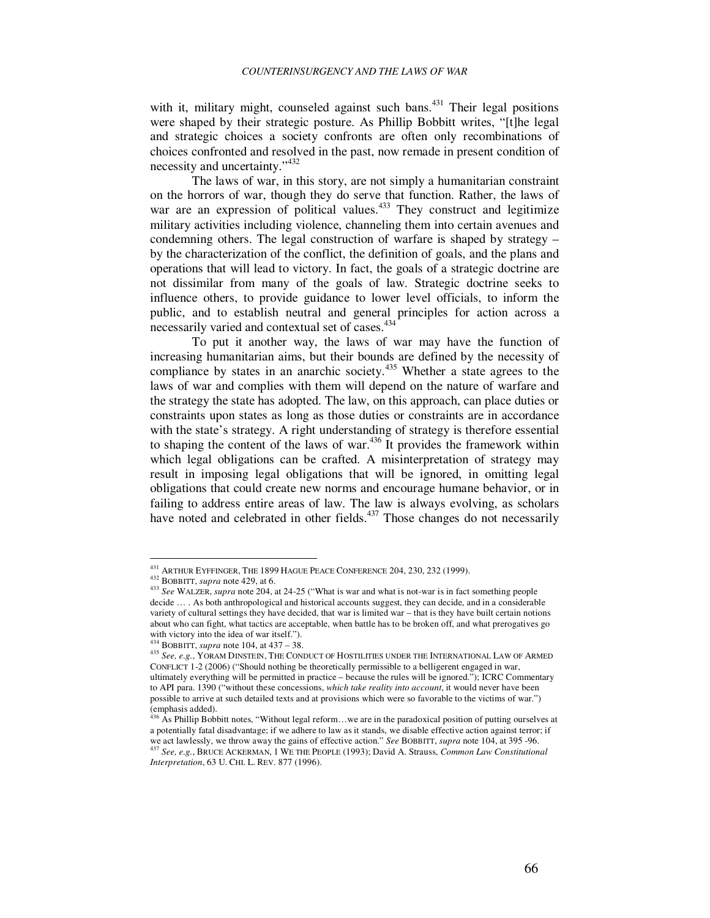with it, military might, counseled against such bans.<sup>431</sup> Their legal positions were shaped by their strategic posture. As Phillip Bobbitt writes, "[t]he legal and strategic choices a society confronts are often only recombinations of choices confronted and resolved in the past, now remade in present condition of necessity and uncertainty."<sup>432</sup>

The laws of war, in this story, are not simply a humanitarian constraint on the horrors of war, though they do serve that function. Rather, the laws of war are an expression of political values.<sup> $433$ </sup> They construct and legitimize military activities including violence, channeling them into certain avenues and condemning others. The legal construction of warfare is shaped by strategy – by the characterization of the conflict, the definition of goals, and the plans and operations that will lead to victory. In fact, the goals of a strategic doctrine are not dissimilar from many of the goals of law. Strategic doctrine seeks to influence others, to provide guidance to lower level officials, to inform the public, and to establish neutral and general principles for action across a necessarily varied and contextual set of cases.<sup>434</sup>

To put it another way, the laws of war may have the function of increasing humanitarian aims, but their bounds are defined by the necessity of compliance by states in an anarchic society.<sup>435</sup> Whether a state agrees to the laws of war and complies with them will depend on the nature of warfare and the strategy the state has adopted. The law, on this approach, can place duties or constraints upon states as long as those duties or constraints are in accordance with the state's strategy. A right understanding of strategy is therefore essential to shaping the content of the laws of war. $436$  It provides the framework within which legal obligations can be crafted. A misinterpretation of strategy may result in imposing legal obligations that will be ignored, in omitting legal obligations that could create new norms and encourage humane behavior, or in failing to address entire areas of law. The law is always evolving, as scholars have noted and celebrated in other fields. $437$  Those changes do not necessarily

 $^{431}$  Arthur Eyffinger, The 1899 Hague Peace Conference 204, 230, 232 (1999).

<sup>432</sup> BOBBITT, *supra* note 429, at 6.

<sup>433</sup> *See* WALZER, *supra* note 204, at 24-25 ("What is war and what is not-war is in fact something people decide … . As both anthropological and historical accounts suggest, they can decide, and in a considerable variety of cultural settings they have decided, that war is limited war – that is they have built certain notions about who can fight, what tactics are acceptable, when battle has to be broken off, and what prerogatives go with victory into the idea of war itself.").

<sup>434</sup> BOBBITT, *supra* note 104, at 437 – 38.

<sup>435</sup> *See, e.g.*, YORAM DINSTEIN, THE CONDUCT OF HOSTILITIES UNDER THE INTERNATIONAL LAW OF ARMED CONFLICT 1-2 (2006) ("Should nothing be theoretically permissible to a belligerent engaged in war, ultimately everything will be permitted in practice – because the rules will be ignored."); ICRC Commentary to API para. 1390 ("without these concessions, *which take reality into account*, it would never have been possible to arrive at such detailed texts and at provisions which were so favorable to the victims of war.") (emphasis added).

 $436$  As Phillip Bobbitt notes, "Without legal reform... we are in the paradoxical position of putting ourselves at a potentially fatal disadvantage; if we adhere to law as it stands, we disable effective action against terror; if we act lawlessly, we throw away the gains of effective action." See BOBBITT, supra note 104, at 395 -96.<br><sup>437</sup> See, e.g., BRUCE ACKERMAN, 1 WE THE PEOPLE (1993); David A. Strauss, *Common Law Constitutional* 

*Interpretation*, 63 U. CHI. L. REV. 877 (1996).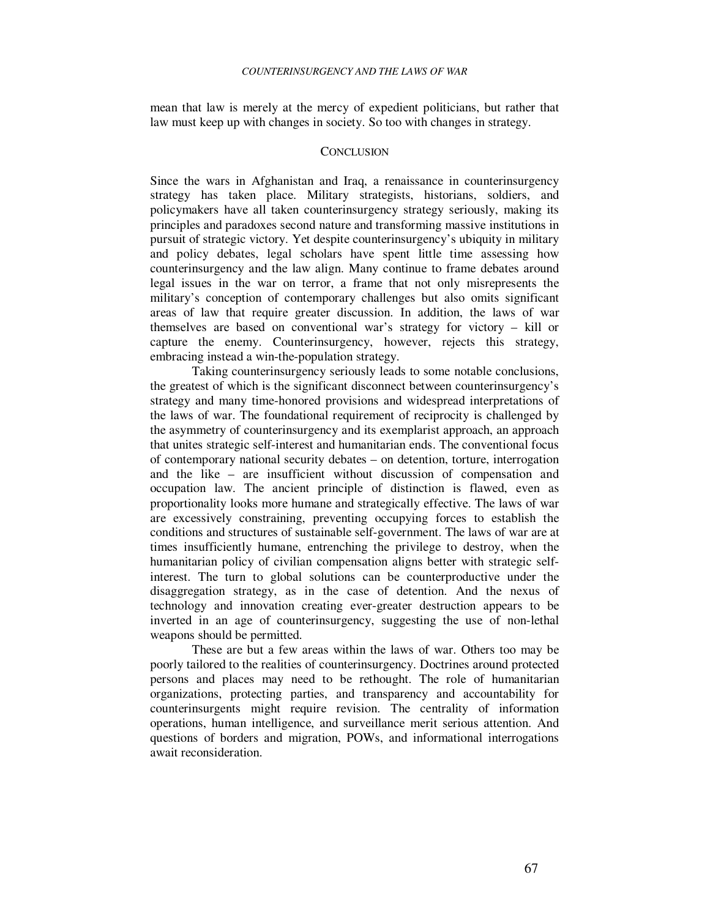mean that law is merely at the mercy of expedient politicians, but rather that law must keep up with changes in society. So too with changes in strategy.

## **CONCLUSION**

Since the wars in Afghanistan and Iraq, a renaissance in counterinsurgency strategy has taken place. Military strategists, historians, soldiers, and policymakers have all taken counterinsurgency strategy seriously, making its principles and paradoxes second nature and transforming massive institutions in pursuit of strategic victory. Yet despite counterinsurgency's ubiquity in military and policy debates, legal scholars have spent little time assessing how counterinsurgency and the law align. Many continue to frame debates around legal issues in the war on terror, a frame that not only misrepresents the military's conception of contemporary challenges but also omits significant areas of law that require greater discussion. In addition, the laws of war themselves are based on conventional war's strategy for victory – kill or capture the enemy. Counterinsurgency, however, rejects this strategy, embracing instead a win-the-population strategy.

Taking counterinsurgency seriously leads to some notable conclusions, the greatest of which is the significant disconnect between counterinsurgency's strategy and many time-honored provisions and widespread interpretations of the laws of war. The foundational requirement of reciprocity is challenged by the asymmetry of counterinsurgency and its exemplarist approach, an approach that unites strategic self-interest and humanitarian ends. The conventional focus of contemporary national security debates – on detention, torture, interrogation and the like – are insufficient without discussion of compensation and occupation law. The ancient principle of distinction is flawed, even as proportionality looks more humane and strategically effective. The laws of war are excessively constraining, preventing occupying forces to establish the conditions and structures of sustainable self-government. The laws of war are at times insufficiently humane, entrenching the privilege to destroy, when the humanitarian policy of civilian compensation aligns better with strategic selfinterest. The turn to global solutions can be counterproductive under the disaggregation strategy, as in the case of detention. And the nexus of technology and innovation creating ever-greater destruction appears to be inverted in an age of counterinsurgency, suggesting the use of non-lethal weapons should be permitted.

These are but a few areas within the laws of war. Others too may be poorly tailored to the realities of counterinsurgency. Doctrines around protected persons and places may need to be rethought. The role of humanitarian organizations, protecting parties, and transparency and accountability for counterinsurgents might require revision. The centrality of information operations, human intelligence, and surveillance merit serious attention. And questions of borders and migration, POWs, and informational interrogations await reconsideration.